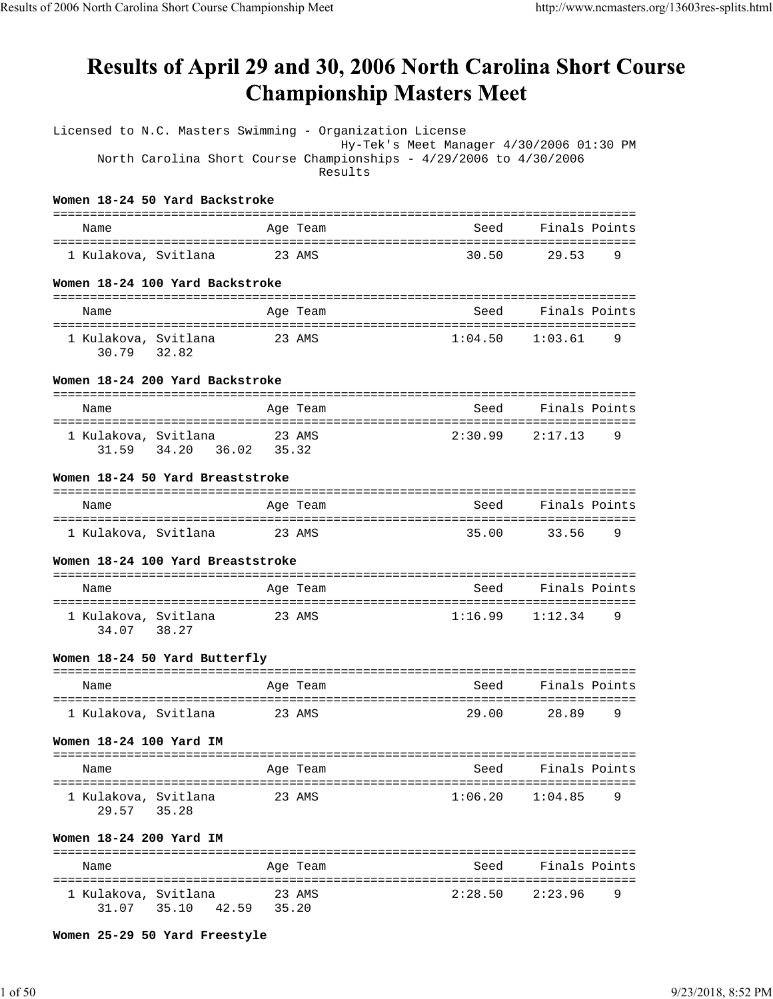# Results of April 29 and 30, 2006 North Carolina Short Course **Championship Masters Meet**

| Licensed to N.C. Masters Swimming - Organization License |                                                                               | Hy-Tek's Meet Manager 4/30/2006 01:30 PM |                          |
|----------------------------------------------------------|-------------------------------------------------------------------------------|------------------------------------------|--------------------------|
|                                                          | North Carolina Short Course Championships - 4/29/2006 to 4/30/2006<br>Results |                                          |                          |
| Women 18-24 50 Yard Backstroke                           |                                                                               |                                          |                          |
| Name                                                     | Age Team                                                                      | Seed                                     | Finals Points            |
| 1 Kulakova, Svitlana                                     | 23 AMS                                                                        | 30.50                                    | 29.53<br>9               |
| Women 18-24 100 Yard Backstroke                          |                                                                               |                                          |                          |
| Name                                                     | Age Team                                                                      |                                          | Seed Finals Points       |
| 1 Kulakova, Svitlana<br>30.79 32.82                      | 23 AMS                                                                        | $1:04.50$ $1:03.61$                      | 9                        |
| Women 18-24 200 Yard Backstroke                          |                                                                               |                                          |                          |
| Name                                                     | Age Team                                                                      | Seed                                     | Finals Points            |
| 1 Kulakova, Svitlana<br>31.59 34.20 36.02 35.32          | 23 AMS                                                                        |                                          | $2:30.99$ $2:17.13$<br>9 |
| Women 18-24 50 Yard Breaststroke                         |                                                                               |                                          |                          |
| Name                                                     | Age Team                                                                      | Seed                                     | Finals Points            |
| 1 Kulakova, Svitlana                                     | 23 AMS                                                                        | 35.00                                    | 33.56<br>9               |
| Women 18-24 100 Yard Breaststroke                        |                                                                               |                                          |                          |
| Name                                                     | Age Team                                                                      | Seed                                     | Finals Points            |
| 1 Kulakova, Svitlana<br>34.07 38.27                      | 23 AMS                                                                        |                                          | $1:16.99$ $1:12.34$<br>9 |
| Women 18-24 50 Yard Butterfly                            |                                                                               |                                          |                          |
| Name                                                     | Age Team                                                                      | <u>seed Seed</u>                         | Finals Points            |
| 1 Kulakova, Svitlana                                     | 23 AMS                                                                        |                                          | 29.00 28.89<br>9         |
| Women 18-24 100 Yard IM                                  |                                                                               |                                          |                          |
| Name                                                     | Age Team                                                                      | Seed                                     | Finals Points            |
| 1 Kulakova, Svitlana<br>29.57 35.28                      | 23 AMS                                                                        |                                          | $1:06.20$ $1:04.85$<br>9 |
| Women 18-24 200 Yard IM                                  |                                                                               |                                          |                          |
| Name                                                     | Age Team                                                                      |                                          | Seed Finals Points       |
| 1 Kulakova, Svitlana<br>31.07 35.10 42.59 35.20          | 23 AMS                                                                        |                                          | $2:28.50$ $2:23.96$<br>9 |

**Women 25-29 50 Yard Freestyle**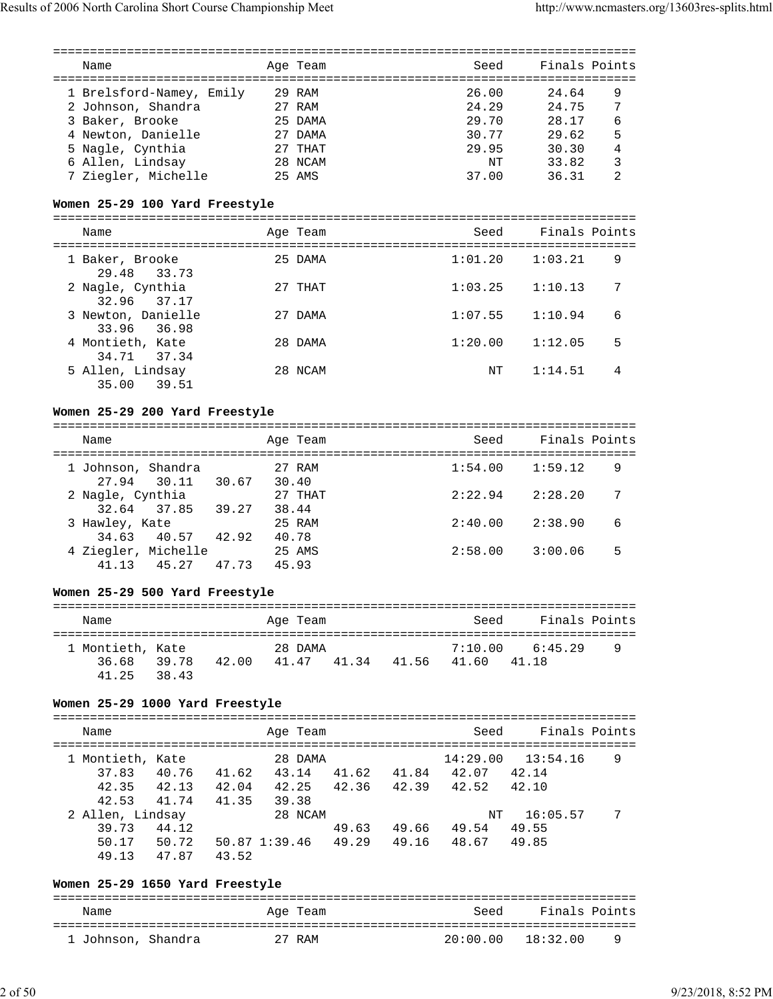|                                 |       | ========== |       |                               |          | =================================      |                |
|---------------------------------|-------|------------|-------|-------------------------------|----------|----------------------------------------|----------------|
| Name                            |       | Age Team   |       |                               | Seed     | Finals Points                          |                |
|                                 |       |            |       |                               |          |                                        |                |
| 1 Brelsford-Namey, Emily        |       | 29 RAM     |       |                               | 26.00    | 24.64                                  | 9              |
| 2 Johnson, Shandra              |       | 27 RAM     |       |                               | 24.29    | 24.75                                  | 7              |
| 3 Baker, Brooke                 |       | 25 DAMA    |       |                               | 29.70    | 28.17                                  | 6              |
|                                 |       |            |       |                               |          |                                        |                |
| 4 Newton, Danielle              |       | 27 DAMA    |       |                               | 30.77    | 29.62                                  | 5              |
| 5 Nagle, Cynthia                |       | 27 THAT    |       |                               | 29.95    | 30.30                                  | $\overline{4}$ |
| 6 Allen, Lindsay                |       | 28 NCAM    |       |                               | ΝT       | 33.82                                  | 3              |
| 7 Ziegler, Michelle             |       | 25 AMS     |       |                               | 37.00    | 36.31                                  | 2              |
|                                 |       |            |       |                               |          |                                        |                |
| Women 25-29 100 Yard Freestyle  |       |            |       |                               |          |                                        |                |
|                                 |       |            |       |                               |          |                                        |                |
| Name                            |       | Age Team   |       |                               | Seed     | Finals Points                          |                |
|                                 |       |            |       |                               |          |                                        |                |
| 1 Baker, Brooke                 |       | 25 DAMA    |       |                               | 1:01.20  | 1:03.21                                | 9              |
| 29.48<br>33.73                  |       |            |       |                               |          |                                        |                |
|                                 |       |            |       |                               |          |                                        |                |
| 2 Nagle, Cynthia                |       | 27 THAT    |       |                               | 1:03.25  | 1:10.13                                | 7              |
| 32.96<br>37.17                  |       |            |       |                               |          |                                        |                |
| 3 Newton, Danielle              |       | 27 DAMA    |       |                               | 1:07.55  | 1:10.94                                | 6              |
| 33.96<br>36.98                  |       |            |       |                               |          |                                        |                |
| 4 Montieth, Kate                |       | 28 DAMA    |       |                               | 1:20.00  | 1:12.05                                | 5              |
| 34.71<br>37.34                  |       |            |       |                               |          |                                        |                |
| 5 Allen, Lindsay                |       | 28 NCAM    |       |                               | NΤ       | 1:14.51                                | 4              |
| 35.00<br>39.51                  |       |            |       |                               |          |                                        |                |
|                                 |       |            |       |                               |          |                                        |                |
| Women 25-29 200 Yard Freestyle  |       |            |       |                               |          |                                        |                |
|                                 |       |            |       |                               |          | -------------------------------------- |                |
|                                 |       |            |       |                               |          |                                        |                |
| Name                            |       | Age Team   |       |                               | Seed     | Finals Points                          |                |
|                                 |       |            |       |                               |          |                                        |                |
| 1 Johnson, Shandra              |       | 27 RAM     |       |                               | 1:54.00  | 1:59.12                                | 9              |
| 27.94<br>30.11 30.67            |       | 30.40      |       |                               |          |                                        |                |
| 2 Nagle, Cynthia                |       | 27 THAT    |       |                               | 2:22.94  | 2:28.20                                | 7              |
| 37.85 39.27<br>32.64            |       | 38.44      |       |                               |          |                                        |                |
| 3 Hawley, Kate                  |       | 25 RAM     |       |                               | 2:40.00  | 2:38.90                                | 6              |
| 34.63<br>40.57                  | 42.92 | 40.78      |       |                               |          |                                        |                |
| 4 Ziegler, Michelle             |       | 25 AMS     |       |                               | 2:58.00  | 3:00.06                                | 5              |
| 41.13<br>45.27                  | 47.73 | 45.93      |       |                               |          |                                        |                |
|                                 |       |            |       |                               |          |                                        |                |
|                                 |       |            |       |                               |          |                                        |                |
| Women 25-29 500 Yard Freestyle  |       |            |       |                               |          |                                        |                |
|                                 |       |            |       |                               |          |                                        |                |
| Name                            |       | Age Team   |       |                               | Seed     | Finals Points                          |                |
|                                 |       |            |       |                               |          |                                        |                |
| 1 Montieth, Kate                |       | 28 DAMA    |       |                               | 7:10.00  | 6:45.29                                | 9              |
| 39.78 42.00 41.47<br>36.68      |       |            | 41.34 | 41.56                         | 41.60    | 41.18                                  |                |
| 38.43<br>41.25                  |       |            |       |                               |          |                                        |                |
|                                 |       |            |       |                               |          |                                        |                |
| Women 25-29 1000 Yard Freestyle |       |            |       |                               |          |                                        |                |
|                                 |       |            |       |                               |          |                                        |                |
| Name                            |       | Age Team   |       |                               | Seed     | Finals Points                          |                |
|                                 |       |            |       |                               |          |                                        |                |
| 1 Montieth, Kate                |       | 28 DAMA    |       |                               | 14:29.00 | 13:54.16                               | 9              |
|                                 |       |            |       | 43.14 41.62 41.84 42.07 42.14 |          |                                        |                |
| 40.76 41.62<br>37.83            |       |            |       |                               |          |                                        |                |
| 42.35<br>42.13 42.04 42.25      |       |            |       | 42.36 42.39 42.52             |          | 42.10                                  |                |
| 42.53 41.74                     | 41.35 | 39.38      |       |                               |          |                                        |                |
| 2 Allen, Lindsay                |       | 28 NCAM    |       |                               | ΝT       | 16:05.57                               | 7              |
| 39.73<br>44.12                  |       |            | 49.63 | 49.66 49.54                   |          | 49.55                                  |                |
| 50.17 50.72 50.87 1:39.46       |       |            | 49.29 | 49.16                         | 48.67    | 49.85                                  |                |
| 47.87<br>49.13                  | 43.52 |            |       |                               |          |                                        |                |
|                                 |       |            |       |                               |          |                                        |                |
|                                 |       |            |       |                               |          |                                        |                |

#### **Women 25-29 1650 Yard Freestyle** =============================================================================== Name **Age Team** Age Team Seed Finals Points ===============================================================================  $20:00.00$   $18:32.00$  9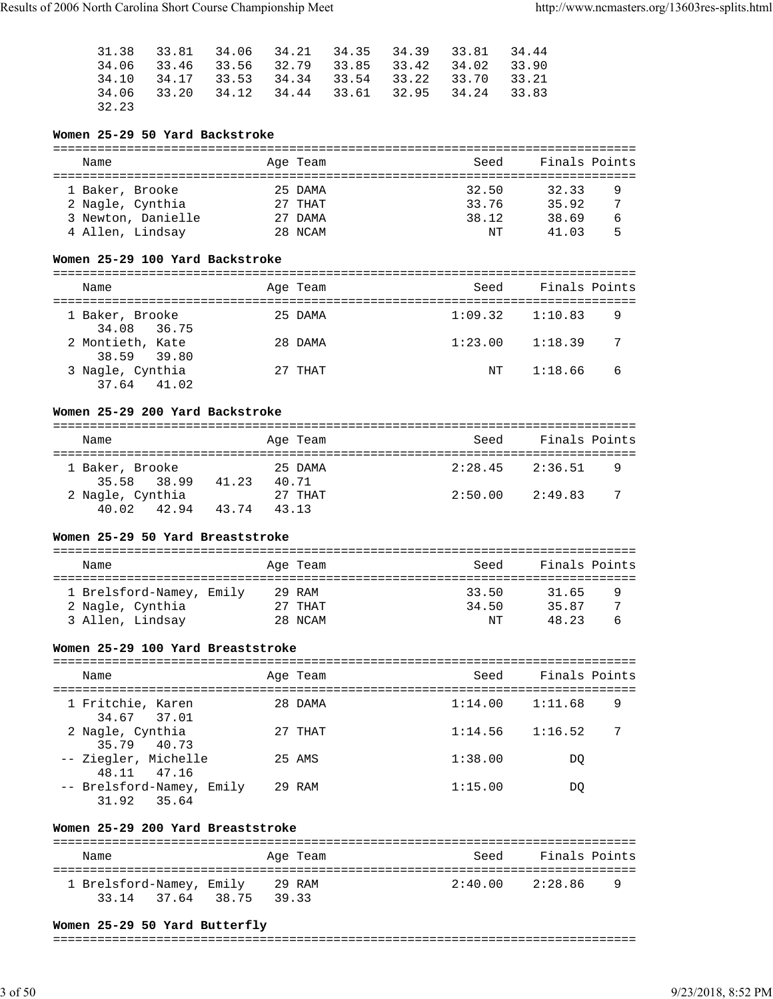|       |             |  |  | 31, 38    33, 81    34, 06    34, 21    34, 35    34, 39    33, 81    34, 44 |  |
|-------|-------------|--|--|------------------------------------------------------------------------------|--|
|       |             |  |  | 34.06 33.46 33.56 32.79 33.85 33.42 34.02 33.90                              |  |
|       |             |  |  | 34.10 34.17 33.53 34.34 33.54 33.22 33.70 33.21                              |  |
|       | 34.06 33.20 |  |  | 34.12 34.44 33.61 32.95 34.24 33.83                                          |  |
| 32.23 |             |  |  |                                                                              |  |

# **Women 25-29 50 Yard Backstroke**

| Name               | Age Team  | Seed  | Finals Points |   |
|--------------------|-----------|-------|---------------|---|
| 1 Baker, Brooke    | 25 DAMA   | 32.50 | 32.33         | 9 |
| 2 Nagle, Cynthia   | $27$ THAT | 33.76 | 35.92         | 7 |
| 3 Newton, Danielle | 27 DAMA   | 38.12 | 38.69         | 6 |
| 4 Allen, Lindsay   | 28 NCAM   | NΤ    | 41 03         | 5 |

#### **Women 25-29 100 Yard Backstroke**

| Name                                | Age Team | Seed    | Finals Points |
|-------------------------------------|----------|---------|---------------|
| 1 Baker, Brooke<br>34.08 36.75      | 25 DAMA  | 1:09.32 | 1:10.83<br>9  |
| 2 Montieth, Kate<br>38.59 39.80     | 28 DAMA  | 1:23.00 | 7<br>1:18.39  |
| 3 Nagle, Cynthia<br>$37.64$ $41.02$ | 27 THAT  | NT      | 6<br>1:18.66  |

#### **Women 25-29 200 Yard Backstroke**

| Name                            | Age Team                  | Seed    | Finals Points |
|---------------------------------|---------------------------|---------|---------------|
| 1 Baker, Brooke<br>35.58 38.99  | 25 DAMA<br>41.23<br>40.71 | 2:28.45 | 2:36.51<br>9  |
| 2 Nagle, Cynthia<br>40.02 42.94 | 27 THAT<br>43.74<br>43.13 | 2:50.00 | -7<br>2:49.83 |

#### **Women 25-29 50 Yard Breaststroke**

| Name                     | Age Team | Seed  | Finals Points |   |
|--------------------------|----------|-------|---------------|---|
| 1 Brelsford-Namey, Emily | 29 RAM   | 33.50 | 31.65         | 9 |
| 2 Nagle, Cynthia         | 27 THAT  | 34.50 | 35 87         | 7 |
| 3 Allen, Lindsay         | 28 NCAM  | NΤ    | 48 23         | ь |

#### **Women 25-29 100 Yard Breaststroke**

| Name                                     | Age Team | Seed    | Finals Points |
|------------------------------------------|----------|---------|---------------|
| 1 Fritchie, Karen<br>34.67 37.01         | 28 DAMA  | 1:14.00 | 9<br>1:11.68  |
| 2 Nagle, Cynthia<br>35.79 40.73          | 27 THAT  | 1:14.56 | 7<br>1:16.52  |
| -- Ziegler, Michelle<br>48.11 47.16      | 25 AMS   | 1:38.00 | DO            |
| -- Brelsford-Namey, Emily<br>31.92 35.64 | 29 RAM   | 1:15.00 | DO.           |

#### **Women 25-29 200 Yard Breaststroke**

| Name                     |             | Age Team | Seed            | Finals Points |  |
|--------------------------|-------------|----------|-----------------|---------------|--|
| 1 Brelsford-Namey, Emily | 29 RAM      |          | 2:40.00 2:28.86 | <b>Q</b>      |  |
| 33.14 37.64              | 38.75 39.33 |          |                 |               |  |

#### **Women 25-29 50 Yard Butterfly**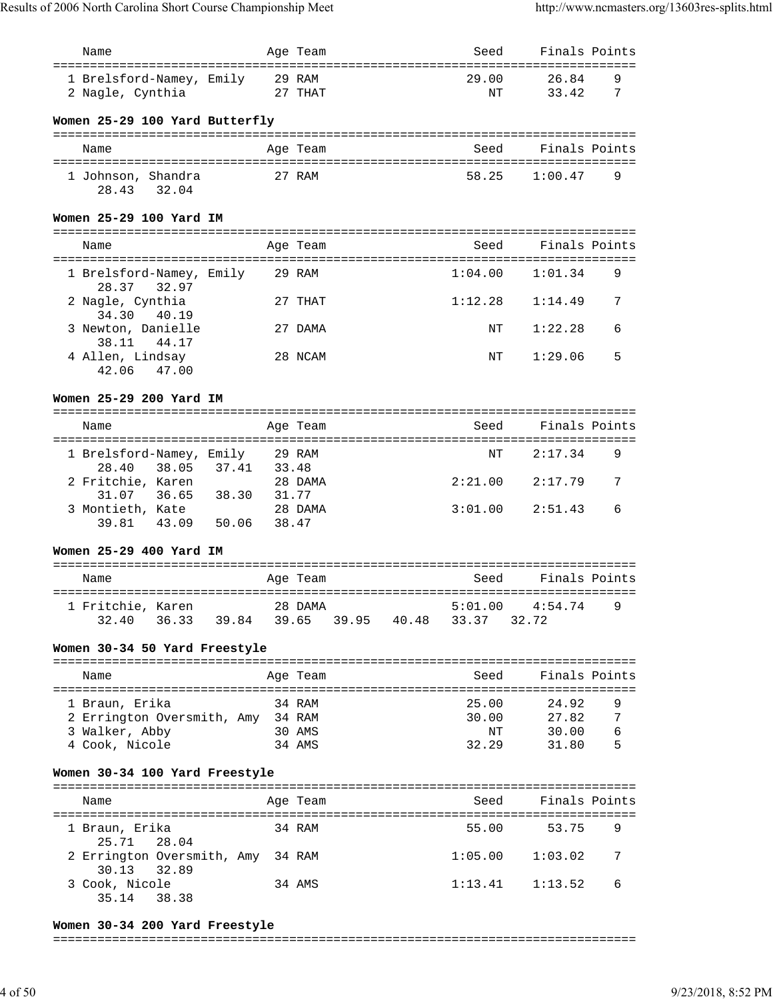| Name                                                             |        | Age Team |                                                | Seed    | Finals Points |                |
|------------------------------------------------------------------|--------|----------|------------------------------------------------|---------|---------------|----------------|
| ====================================<br>1 Brelsford-Namey, Emily | 29 RAM |          | -----------------------------------            | 29.00   | 26.84         | 9              |
| 2 Nagle, Cynthia                                                 |        | 27 THAT  |                                                | NΤ      | 33.42         | 7              |
|                                                                  |        |          |                                                |         |               |                |
| Women 25-29 100 Yard Butterfly                                   |        |          |                                                |         |               |                |
| Name                                                             |        | Age Team |                                                | Seed    | Finals Points |                |
| 1 Johnson, Shandra                                               |        | 27 RAM   |                                                | 58.25   | 1:00.47       | 9              |
| 32.04<br>28.43                                                   |        |          |                                                |         |               |                |
| Women 25-29 100 Yard IM                                          |        |          |                                                |         |               |                |
| Name                                                             |        | Age Team |                                                | Seed    | Finals Points |                |
|                                                                  |        |          |                                                |         |               |                |
| 1 Brelsford-Namey, Emily<br>28.37<br>32.97                       |        | 29 RAM   |                                                | 1:04.00 | 1:01.34       | 9              |
| 2 Nagle, Cynthia<br>34.30<br>40.19                               |        | 27 THAT  |                                                | 1:12.28 | 1:14.49       | 7              |
| 3 Newton, Danielle<br>38.11<br>44.17                             |        | 27 DAMA  |                                                | ΝT      | 1:22.28       | 6              |
| 4 Allen, Lindsay<br>42.06<br>47.00                               |        | 28 NCAM  |                                                | ΝT      | 1:29.06       | 5              |
| Women 25-29 200 Yard IM                                          |        |          |                                                |         |               |                |
| Name                                                             |        | Age Team |                                                | Seed    | Finals Points |                |
| 1 Brelsford-Namey, Emily 29 RAM<br>38.05 37.41                   | 33.48  |          |                                                | NΤ      | 2:17.34       | 9              |
| 28.40<br>2 Fritchie, Karen<br>$36.65$ 38.30                      |        | 28 DAMA  |                                                | 2:21.00 | 2:17.79       | 7              |
| 31.07<br>3 Montieth, Kate                                        | 31.77  | 28 DAMA  |                                                | 3:01.00 | 2:51.43       | 6              |
| 43.09 50.06<br>39.81                                             |        | 38.47    |                                                |         |               |                |
| Women 25-29 400 Yard IM                                          |        |          |                                                |         |               |                |
| Name                                                             |        | Age Team |                                                | Seed    | Finals Points |                |
|                                                                  |        |          |                                                |         |               |                |
| 1 Fritchie, Karen<br>28 DAMA<br>36.33<br>32.40                   |        |          | 5:01.00<br>39.84 39.65 39.95 40.48 33.37 32.72 |         | 4:54.74       | 9              |
|                                                                  |        |          |                                                |         |               |                |
| Women 30-34 50 Yard Freestyle                                    |        |          |                                                |         |               |                |
| Name                                                             |        | Age Team |                                                | Seed    | Finals Points |                |
| 1 Braun, Erika                                                   |        | 34 RAM   |                                                | 25.00   | 24.92         | 9              |
| 2 Errington Oversmith, Amy 34 RAM                                |        |          |                                                | 30.00   | 27.82         | $\overline{7}$ |
| 3 Walker, Abby                                                   |        | 30 AMS   |                                                | ΝT      | 30.00         | 6              |
| 4 Cook, Nicole                                                   |        | 34 AMS   |                                                | 32.29   | 31.80         | 5              |
| Women 30-34 100 Yard Freestyle                                   |        |          |                                                |         |               |                |
| Name                                                             |        | Age Team |                                                | Seed    | Finals Points |                |
| 1 Braun, Erika                                                   |        | 34 RAM   |                                                | 55.00   | 53.75         | 9              |
| 25.71<br>28.04<br>2 Errington Oversmith, Amy                     |        | 34 RAM   |                                                | 1:05.00 | 1:03.02       | 7              |
| 30.13<br>32.89<br>3 Cook, Nicole                                 |        | 34 AMS   |                                                | 1:13.41 | 1:13.52       | 6              |
| 35.14<br>38.38                                                   |        |          |                                                |         |               |                |

#### **Women 30-34 200 Yard Freestyle**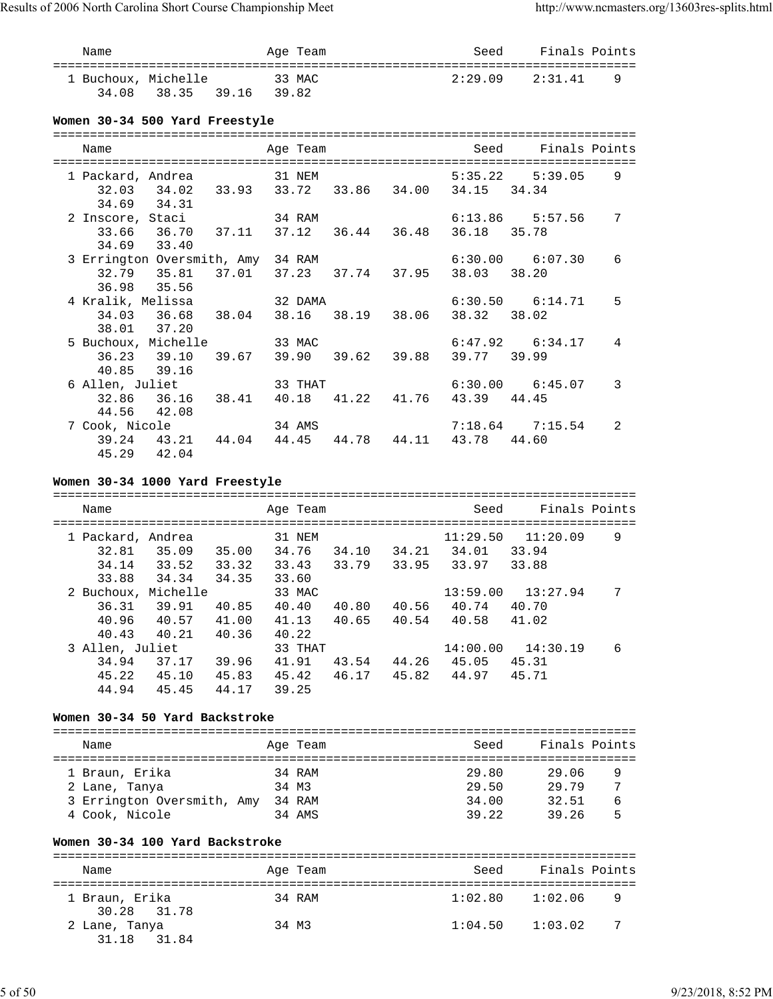| Name           |                                                               | Age Team                       |  |                               | Seed Finals Points    |                |
|----------------|---------------------------------------------------------------|--------------------------------|--|-------------------------------|-----------------------|----------------|
|                | 1 Buchoux, Michelle 33 MAC<br>34.08 38.35 39.16 39.82         |                                |  |                               | $2:29.09$ $2:31.41$ 9 |                |
|                | Women 30-34 500 Yard Freestyle                                |                                |  |                               |                       |                |
|                |                                                               |                                |  |                               |                       |                |
| Name           |                                                               | Age Team<br>================== |  | Seed                          | Finals Points         |                |
|                | 1 Packard, Andrea 31 NEM                                      |                                |  |                               | $5:35.22$ $5:39.05$   | 9              |
|                | 32.03 34.02 33.93 33.72 33.86 34.00 34.15 34.34               |                                |  |                               |                       |                |
| 34.69 34.31    |                                                               |                                |  |                               |                       |                |
|                | 2 Inscore, Staci                                              | 34 RAM                         |  |                               | $6:13.86$ $5:57.56$   | 7              |
|                | 33.66 36.70 37.11 37.12 36.44 36.48                           |                                |  | 36.18 35.78                   |                       |                |
| 34.69 33.40    |                                                               |                                |  |                               |                       |                |
|                | 3 Errington Oversmith, Amy 34 RAM                             |                                |  |                               | $6:30.00$ $6:07.30$   | 6              |
|                | 32.79   35.81   37.01   37.23   37.74   37.95   38.03   38.20 |                                |  |                               |                       |                |
| 36.98 35.56    |                                                               |                                |  |                               |                       |                |
|                |                                                               |                                |  |                               | $6:30.50$ $6:14.71$   | 5              |
|                | 34.03 36.68 38.04 38.16 38.19 38.06 38.32 38.02               |                                |  |                               |                       |                |
| 38.01 37.20    |                                                               |                                |  |                               |                       |                |
|                | 5 Buchoux, Michelle 33 MAC                                    |                                |  |                               | $6:47.92$ $6:34.17$   | $\overline{4}$ |
|                | 36.23 39.10 39.67                                             |                                |  | 39.90 39.62 39.88 39.77 39.99 |                       |                |
| 40.85 39.16    |                                                               |                                |  |                               |                       |                |
|                | 6 Allen, Juliet 33 THAT                                       |                                |  |                               | $6:30.00$ $6:45.07$   | $\mathcal{R}$  |
|                | 32.86  36.16  38.41  40.18  41.22  41.76  43.39  44.45        |                                |  |                               |                       |                |
| 44.56 42.08    |                                                               |                                |  |                               |                       |                |
| 7 Cook, Nicole |                                                               | 34 AMS                         |  |                               | 7:18.64 7:15.54       | $\overline{2}$ |
|                | 39.24 43.21 44.04 44.45 44.78 44.11 43.78 44.60               |                                |  |                               |                       |                |

# **Women 30-34 1000 Yard Freestyle**

45.29 42.04

| Name                                         |                                     |                         | Age Team                           |                |                | Seed                       | Finals Points              |   |
|----------------------------------------------|-------------------------------------|-------------------------|------------------------------------|----------------|----------------|----------------------------|----------------------------|---|
| 1 Packard, Andrea<br>32.81<br>34.14<br>33.88 | 35.09<br>33.52<br>34.34             | 35.00<br>33.32<br>34.35 | 31 NEM<br>34.76<br>33.43<br>33.60  | 34.10<br>33.79 | 34.21<br>33.95 | 11:29.50<br>34.01<br>33.97 | 11:20.09<br>33.94<br>33.88 | 9 |
| 2 Buchoux,<br>36.31<br>40.96<br>40.43        | Michelle<br>39.91<br>40.57<br>40.21 | 40.85<br>41.00<br>40.36 | 33 MAC<br>40.40<br>41.13<br>40.22  | 40.80<br>40.65 | 40.56<br>40.54 | 13:59.00<br>40.74<br>40.58 | 13:27.94<br>40.70<br>41.02 | 7 |
| 3 Allen, Juliet<br>34.94<br>45.22<br>44.94   | 37.17<br>45.10<br>45.45             | 39.96<br>45.83<br>44.17 | 33 THAT<br>41.91<br>45.42<br>39.25 | 43.54<br>46.17 | 44.26<br>45.82 | 14:00.00<br>45.05<br>44.97 | 14:30.19<br>45.31<br>45.71 | 6 |

# **Women 30-34 50 Yard Backstroke**

| Name                                                          |  | Age Team                  | Seed                    | Finals Points                          |  |  |  |
|---------------------------------------------------------------|--|---------------------------|-------------------------|----------------------------------------|--|--|--|
| 1 Braun, Erika<br>2 Lane, Tanya<br>3 Errington Oversmith, Amy |  | 34 RAM<br>34 M3<br>34 RAM | 29.80<br>29.50<br>34.00 | 29.06<br>9<br>7<br>29.79<br>32.51<br>6 |  |  |  |
| 4 Cook, Nicole                                                |  | 34 AMS                    | 39.22                   | 39.26<br>5                             |  |  |  |

#### **Women 30-34 100 Yard Backstroke**

| Name                          | Age Team | Seed    | Finals Points  |  |  |  |  |
|-------------------------------|----------|---------|----------------|--|--|--|--|
| 1 Braun, Erika<br>30.28 31.78 | 34 RAM   | 1:02.80 | 1:02.06<br>- 9 |  |  |  |  |
| 2 Lane, Tanya<br>31.18 31.84  | 34 M3    | 1:04.50 | - 7<br>1:03.02 |  |  |  |  |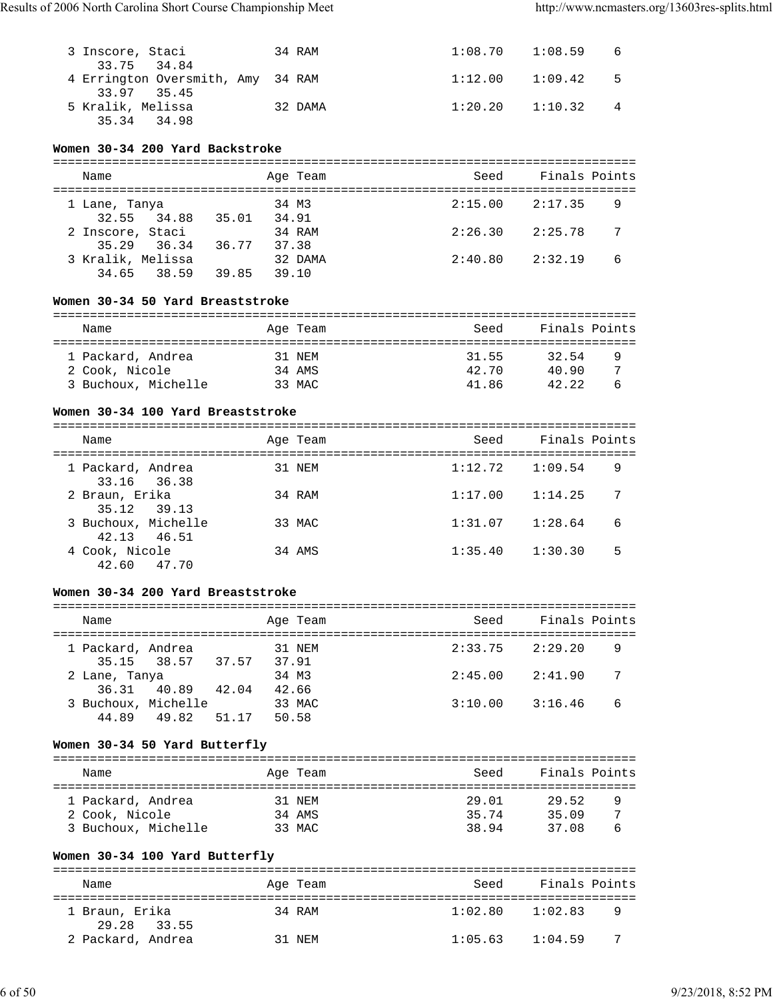| 3 Inscore, Staci                  | 34 RAM  |                     | $1:08.70$ $1:08.59$ 6 |                |
|-----------------------------------|---------|---------------------|-----------------------|----------------|
| 33.75 34.84                       |         |                     |                       |                |
| 4 Errington Oversmith, Amy 34 RAM |         |                     | $1:12.00$ $1:09.42$ 5 |                |
| 33.97 35.45                       |         |                     |                       |                |
| 5 Kralik, Melissa                 | 32 DAMA | $1:20.20$ $1:10.32$ |                       | $\overline{4}$ |
| 35.34 34.98                       |         |                     |                       |                |

# **Women 30-34 200 Yard Backstroke**

| Name              |             |       | Age Team | Seed    | Finals Points  |
|-------------------|-------------|-------|----------|---------|----------------|
| 1 Lane, Tanya     |             |       | 34 M3    | 2:15.00 | 2:17.35<br>-9  |
|                   | 32.55 34.88 | 35.01 | 34.91    |         |                |
| 2 Inscore, Staci  |             |       | 34 RAM   | 2:26.30 | 2:25.78<br>- 7 |
|                   | 35.29 36.34 | 36.77 | 37.38    |         |                |
| 3 Kralik, Melissa |             |       | 32 DAMA  | 2:40.80 | 6<br>2:32.19   |
|                   | 34.65 38.59 | 39.85 | 39.10    |         |                |

#### **Women 30-34 50 Yard Breaststroke**

| Name                | Age Team | Seed  | Finals Points |   |
|---------------------|----------|-------|---------------|---|
| 1 Packard, Andrea   | 31 NEM   | 31.55 | 32.54         | 9 |
| 2 Cook, Nicole      | 34 AMS   | 42.70 | 40.90         | 7 |
| 3 Buchoux, Michelle | 33 MAC   | 41.86 | 42.22         | ь |

#### **Women 30-34 100 Yard Breaststroke**

| Name                               | Age Team | Seed    | Finals Points |   |
|------------------------------------|----------|---------|---------------|---|
| 1 Packard, Andrea<br>33.16 36.38   | 31 NEM   | 1:12.72 | 1:09.54       | 9 |
| 2 Braun, Erika<br>35.12 39.13      | 34 RAM   | 1:17.00 | 1:14.25       | 7 |
| 3 Buchoux, Michelle<br>42.13 46.51 | 33 MAC   | 1:31.07 | 1:28.64       | 6 |
| 4 Cook, Nicole<br>42.60 47.70      | 34 AMS   | 1:35.40 | 1:30.30       | 5 |

#### **Women 30-34 200 Yard Breaststroke**

| Name                               |       |       |       | Age Team | Seed    | Finals Points |   |
|------------------------------------|-------|-------|-------|----------|---------|---------------|---|
| 1 Packard, Andrea<br>35.15 38.57   |       | 37.57 | 37.91 | 31 NEM   | 2:33.75 | 2:29.20       | 9 |
| 2 Lane, Tanya                      |       |       | 34 M3 |          | 2:45.00 | 2:41.90       | 7 |
| 36.31 40.89<br>3 Buchoux, Michelle |       | 42.04 | 42.66 | 33 MAC   | 3:10.00 | 3:16.46       | 6 |
| 44.89                              | 49.82 | 51.17 | 50.58 |          |         |               |   |

#### **Women 30-34 50 Yard Butterfly**

| Name                | Age Team | Seed  | Finals Points |   |
|---------------------|----------|-------|---------------|---|
| 1 Packard, Andrea   | 31 NEM   | 29.01 | 29.52         | 9 |
| 2 Cook, Nicole      | 34 AMS   | 35.74 | 35.09         | 7 |
| 3 Buchoux, Michelle | 33 MAC   | 38.94 | 37.08         | ь |

# **Women 30-34 100 Yard Butterfly** =============================================================================== Name **Age Team** Age Team Seed Finals Points =============================================================================== 1 Braun, Erika 34 RAM 1:02.80 1:02.83 9 29.28 33.55<br>2 Packard, Andrea 31 NEM 1:05.63 1:04.59 7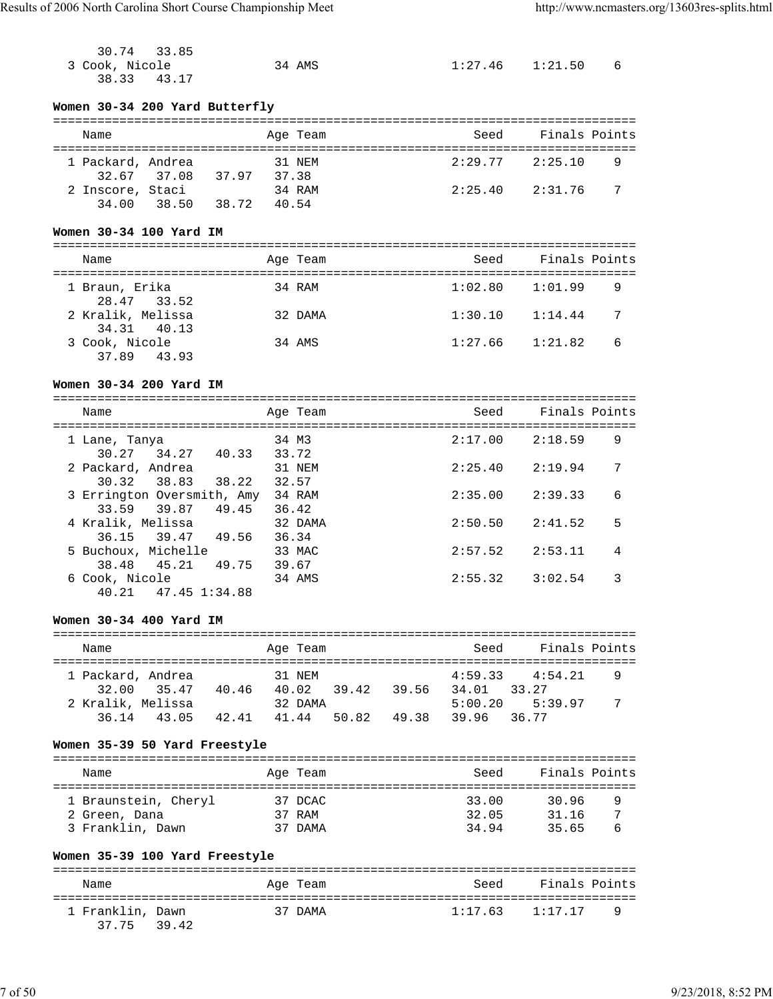| 30.74 33.85    |        |                       |  |
|----------------|--------|-----------------------|--|
| 3 Cook, Nicole | 34 AMS | $1:27.46$ $1:21.50$ 6 |  |
| 38.33 43.17    |        |                       |  |

# **Women 30-34 200 Yard Butterfly**

| Name                      |             |       | Age Team        | Seed    | Finals Points |   |
|---------------------------|-------------|-------|-----------------|---------|---------------|---|
| 1 Packard, Andrea         | 32.67 37.08 | 37.97 | 31 NEM<br>37.38 | 2:29.77 | 2:25.10       | 9 |
| 2 Inscore, Staci<br>34.00 | 38.50       | 38.72 | 34 RAM<br>40.54 | 2:25.40 | 2:31.76       | 7 |

# **Women 30-34 100 Yard IM**

| Name                             | Age Team | Seed    | Finals Points |
|----------------------------------|----------|---------|---------------|
| 1 Braun, Erika<br>28.47 33.52    | 34 RAM   | 1:02.80 | 1:01.99<br>9  |
| 2 Kralik, Melissa<br>34.31 40.13 | 32 DAMA  | 1:30.10 | 1:14.44<br>-7 |
| 3 Cook, Nicole<br>37.89 43.93    | 34 AMS   | 1:27.66 | 6<br>1:21.82  |

# **Women 30-34 200 Yard IM**

| Name                                           | Age Team         | Seed    | Finals Points |
|------------------------------------------------|------------------|---------|---------------|
| 1 Lane, Tanya<br>30.27 34.27<br>40.33          | 34 M3<br>33.72   | 2:17.00 | 9<br>2:18.59  |
| 2 Packard, Andrea<br>30.32 38.83<br>38.22      | 31 NEM<br>32.57  | 2:25.40 | 7<br>2:19.94  |
| 3 Errington Oversmith, Amy                     | 34 RAM           | 2:35.00 | 6<br>2:39.33  |
| 39.87<br>49.45<br>33.59<br>4 Kralik, Melissa   | 36.42<br>32 DAMA | 2:50.50 | 5<br>2:41.52  |
| 36.15 39.47<br>49.56                           | 36.34            |         |               |
| 5 Buchoux, Michelle<br>38.48<br>45.21<br>49.75 | 33 MAC<br>39.67  | 2:57.52 | 2:53.11<br>4  |
| 6 Cook, Nicole<br>$40.21$ $47.45$ $1:34.88$    | 34 AMS           | 2:55.32 | 3<br>3:02.54  |
|                                                |                  |         |               |

## **Women 30-34 400 Yard IM**

| Name                             |       | Age Team                   |       |       | Seed                        | Finals Points               |         |
|----------------------------------|-------|----------------------------|-------|-------|-----------------------------|-----------------------------|---------|
| 1 Packard, Andrea<br>32.00 35.47 | 40.46 | 31 NEM<br>40.02<br>32 DAMA | 39.42 | 39.56 | 4:59.33<br>34.01<br>5:00.20 | 4:54.21<br>33 27<br>5:39.97 | -9<br>7 |
| 2 Kralik, Melissa<br>36.14 43.05 | 42.41 | 41.44                      | 50.82 | 49.38 | 39.96 36.77                 |                             |         |

# **Women 35-39 50 Yard Freestyle**

| Name |                      | Age Team | Seed  | Finals Points |   |
|------|----------------------|----------|-------|---------------|---|
|      |                      |          |       |               |   |
|      | 1 Braunstein, Cheryl | 37 DCAC  | 33.00 | 30.96         | q |
|      | 2 Green, Dana        | 37 RAM   | 32.05 | 31 16         |   |
|      | 3 Franklin, Dawn     | 37 DAMA  | 34.94 | 35 65         | 6 |

# **Women 35-39 100 Yard Freestyle**

| Name                            | Age Team | Seed                | Finals Points |          |
|---------------------------------|----------|---------------------|---------------|----------|
| 1 Franklin, Dawn<br>37.75 39.42 | 37 DAMA  | $1:17.63$ $1:17.17$ |               | <b>Q</b> |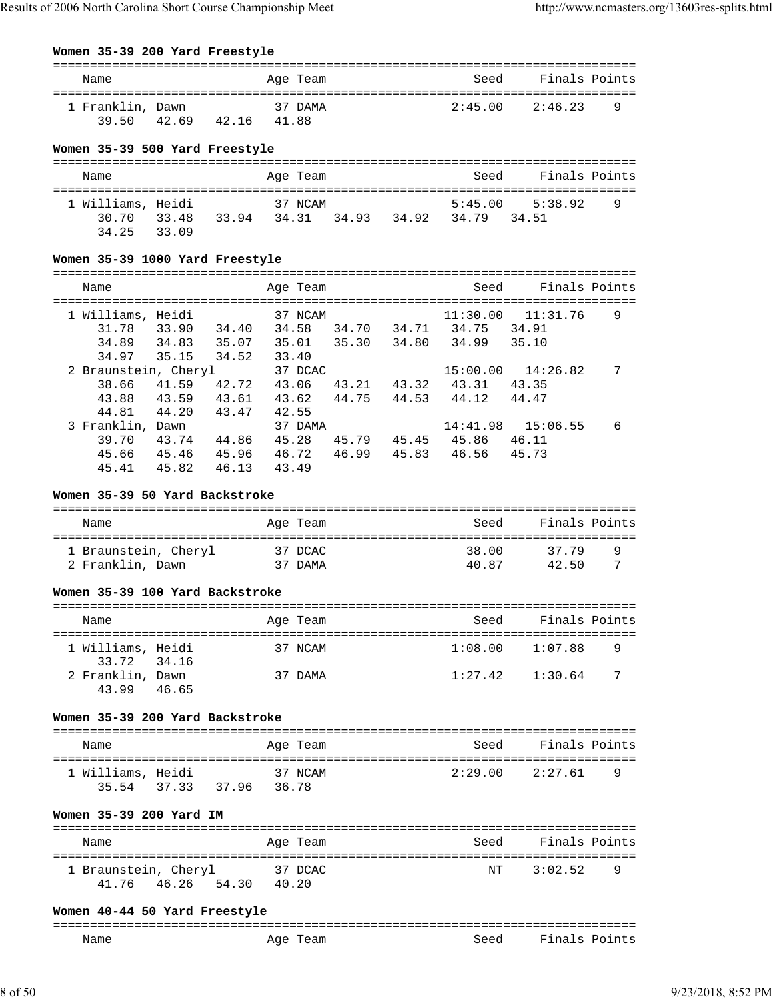# **Women 35-39 200 Yard Freestyle**

| Name<br>Age Team                                               | Finals Points<br>Seed   |
|----------------------------------------------------------------|-------------------------|
|                                                                |                         |
| 37 DAMA<br>1 Franklin, Dawn<br>3950<br>41.88<br>42.69<br>42.16 | 2:45.00<br>2:46.23<br>q |

## **Women 35-39 500 Yard Freestyle**

| Name                  |       |       | Age Team |       |       | Seed        | Finals Points       |   |
|-----------------------|-------|-------|----------|-------|-------|-------------|---------------------|---|
| 1 Williams, Heidi     |       |       | 37 NCAM  |       |       |             | $5:45.00$ $5:38.92$ | 9 |
| 30. 70<br>34.25 33.09 | 33.48 | 33.94 | 34.31    | 34.93 | 34.92 | 34.79 34.51 |                     |   |

#### **Women 35-39 1000 Yard Freestyle**

| Name                                            |                         |                         | Age Team                           |                |                | Seed                       | Finals Points              |   |
|-------------------------------------------------|-------------------------|-------------------------|------------------------------------|----------------|----------------|----------------------------|----------------------------|---|
| 1 Williams, Heidi<br>31.78<br>34.89<br>34.97    | 33.90<br>34.83<br>35.15 | 34.40<br>35.07<br>34.52 | 37 NCAM<br>34.58<br>35.01<br>33.40 | 34.70<br>35.30 | 34.71<br>34.80 | 11:30.00<br>34.75<br>34.99 | 11:31.76<br>34.91<br>35.10 | 9 |
| 2 Braunstein, Cheryl<br>38.66<br>43.88<br>44.81 | 41.59<br>43.59<br>44.20 | 42.72<br>43.61<br>43.47 | 37 DCAC<br>43.06<br>43.62<br>42.55 | 43.21<br>44.75 | 43.32<br>44.53 | 15:00.00<br>43.31<br>44.12 | 14:26.82<br>43.35<br>44.47 | 7 |
| 3 Franklin, Dawn<br>39.70<br>45.66<br>45.41     | 43.74<br>45.46<br>45.82 | 44.86<br>45.96<br>46.13 | 37 DAMA<br>45.28<br>46.72<br>43.49 | 45.79<br>46.99 | 45.45<br>45.83 | 14:41.98<br>45.86<br>46.56 | 15:06.55<br>46.11<br>45.73 | 6 |

#### **Women 35-39 50 Yard Backstroke**

| Name                 | Age Team                | Seed  | Finals Points |
|----------------------|-------------------------|-------|---------------|
| 1 Braunstein, Cheryl | 37 DCAC                 | 38.00 | 37 79<br>q    |
| 2 Franklin, Dawn     | <sup>7</sup> DAMA<br>37 | 40.87 | 42.50         |

#### **Women 35-39 100 Yard Backstroke**

| Name                             |       |  | Age Team | Seed    | Finals Points |  |  |  |
|----------------------------------|-------|--|----------|---------|---------------|--|--|--|
| 1 Williams, Heidi<br>33.72 34.16 |       |  | 37 NCAM  | 1:08.00 | 1:07.88<br>9  |  |  |  |
| 2 Franklin, Dawn<br>43.99        | 46.65 |  | 37 DAMA  | 1:27.42 | -7<br>1:30.64 |  |  |  |

#### **Women 35-39 200 Yard Backstroke**

| Name                             |  |       |       | Age Team | Seed                | Finals Points |     |  |  |
|----------------------------------|--|-------|-------|----------|---------------------|---------------|-----|--|--|
| 1 Williams, Heidi<br>35.54 37.33 |  | 37.96 | 36.78 | 37 NCAM  | $2:29.00$ $2:27.61$ |               | - q |  |  |

#### **Women 35-39 200 Yard IM**

| Name                                         | Age Team         | Seed | Finals Points  |
|----------------------------------------------|------------------|------|----------------|
| 1 Braunstein, Cheryl<br>54.30<br>41.76 46.26 | 37 DCAC<br>40.20 | NT   | 3:02.52<br>- q |

#### **Women 40-44 50 Yard Freestyle**

| ---<br>______ |              |      |                       |
|---------------|--------------|------|-----------------------|
| Name<br>____  | AUH<br>ealll | Seed | Fina.<br>'nt<br>` ~ ت |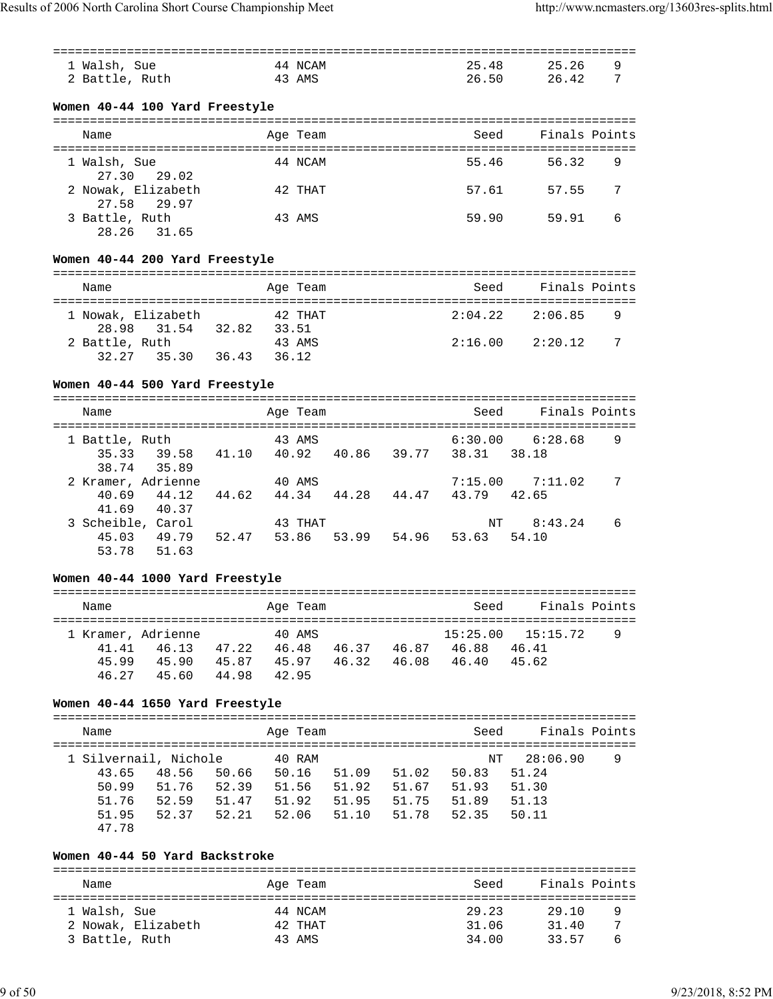|                | ====================================            |        |       |          |                              |             |                                     |                                       |               |
|----------------|-------------------------------------------------|--------|-------|----------|------------------------------|-------------|-------------------------------------|---------------------------------------|---------------|
| 1 Walsh, Sue   |                                                 |        |       | 44 NCAM  |                              |             | 25.48                               | 25.26                                 | 9             |
| 2 Battle, Ruth |                                                 | 43 AMS |       |          |                              |             | 26.50                               | 26.42                                 | 7             |
|                |                                                 |        |       |          |                              |             |                                     |                                       |               |
|                |                                                 |        |       |          |                              |             |                                     |                                       |               |
|                | Women 40-44 100 Yard Freestyle                  |        |       |          |                              |             |                                     |                                       |               |
|                |                                                 |        |       |          |                              |             |                                     |                                       |               |
| Name           |                                                 |        |       | Age Team |                              |             | Seed                                |                                       | Finals Points |
|                |                                                 |        |       |          |                              |             |                                     |                                       |               |
| 1 Walsh, Sue   |                                                 |        |       | 44 NCAM  |                              |             | 55.46                               | 56.32                                 | 9             |
| 27.30          | 29.02                                           |        |       |          |                              |             |                                     |                                       |               |
|                | 2 Nowak, Elizabeth                              |        |       | 42 THAT  |                              |             | 57.61                               | 57.55                                 | 7             |
| 27.58          | 29.97                                           |        |       |          |                              |             |                                     |                                       |               |
| 3 Battle, Ruth |                                                 |        |       | 43 AMS   |                              |             | 59.90                               | 59.91                                 | 6             |
| 28.26          | 31.65                                           |        |       |          |                              |             |                                     |                                       |               |
|                |                                                 |        |       |          |                              |             |                                     |                                       |               |
|                | Women 40-44 200 Yard Freestyle                  |        |       |          |                              |             |                                     |                                       |               |
|                |                                                 |        |       |          |                              |             |                                     |                                       |               |
|                |                                                 |        |       |          |                              |             |                                     |                                       |               |
| Name           |                                                 |        |       | Age Team |                              |             | Seed                                |                                       | Finals Points |
|                |                                                 |        |       |          |                              |             |                                     |                                       |               |
|                | 1 Nowak, Elizabeth                              |        |       | 42 THAT  |                              |             | 2:04.22                             | 2:06.85                               | 9             |
| 28.98          | 31.54 32.82 33.51                               |        |       |          |                              |             |                                     |                                       |               |
| 2 Battle, Ruth |                                                 |        |       | 43 AMS   |                              |             |                                     | $2:16.00$ $2:20.12$                   | 7             |
| 32.27          | 35.30 36.43                                     |        | 36.12 |          |                              |             |                                     |                                       |               |
|                |                                                 |        |       |          |                              |             |                                     |                                       |               |
|                | Women 40-44 500 Yard Freestyle                  |        |       |          |                              |             |                                     |                                       |               |
|                | ==============================                  |        |       |          | ==============               |             |                                     | ------------------------------------- |               |
| Name           |                                                 |        |       | Age Team |                              |             | Seed                                |                                       | Finals Points |
|                | ------------------                              |        |       |          | ============================ |             |                                     |                                       |               |
| 1 Battle, Ruth |                                                 |        |       | 43 AMS   |                              |             |                                     | $6:30.00$ $6:28.68$                   | 9             |
| 35.33          | 39.58 41.10 40.92 40.86 39.77 38.31 38.18       |        |       |          |                              |             |                                     |                                       |               |
| 38.74          | 35.89                                           |        |       |          |                              |             |                                     |                                       |               |
|                | 2 Kramer, Adrienne                              |        |       | 40 AMS   |                              |             |                                     | $7:15.00$ $7:11.02$                   | 7             |
| 40.69          | 44.12                                           |        |       |          |                              |             | 44.62 44.34 44.28 44.47 43.79 42.65 |                                       |               |
| 41.69          | 40.37                                           |        |       |          |                              |             |                                     |                                       |               |
|                | 3 Scheible, Carol                               |        |       | 43 THAT  |                              |             | ΝT                                  | 8:43.24                               | 6             |
|                |                                                 |        |       |          |                              |             |                                     |                                       |               |
| 45.03          | 49.79 52.47                                     |        | 53.86 |          |                              |             | 53.99 54.96 53.63 54.10             |                                       |               |
| 53.78          | 51.63                                           |        |       |          |                              |             |                                     |                                       |               |
|                |                                                 |        |       |          |                              |             |                                     |                                       |               |
|                | Women 40-44 1000 Yard Freestyle                 |        |       |          |                              |             |                                     |                                       |               |
|                |                                                 |        |       |          |                              |             |                                     |                                       |               |
| Name           |                                                 |        |       | Age Team |                              |             | Seed                                |                                       | Finals Points |
|                |                                                 |        |       |          |                              |             |                                     |                                       |               |
|                | 1 Kramer, Adrienne                              |        |       | 40 AMS   |                              |             | 15:25.00                            | 15:15.72                              | 9             |
| 41.41          | 46.13 47.22 46.48 46.37 46.87 46.88             |        |       |          |                              |             |                                     | 46.41                                 |               |
|                | 45.99  45.90  45.87  45.97  46.32  46.08  46.40 |        |       |          |                              |             |                                     | 45.62                                 |               |
|                | 46.27 45.60 44.98                               |        | 42.95 |          |                              |             |                                     |                                       |               |
|                |                                                 |        |       |          |                              |             |                                     |                                       |               |
|                | Women 40-44 1650 Yard Freestyle                 |        |       |          |                              |             |                                     |                                       |               |
|                |                                                 |        |       |          |                              |             |                                     |                                       |               |
| Name           |                                                 |        |       | Age Team |                              |             | Seed                                |                                       | Finals Points |
|                |                                                 |        |       |          |                              |             |                                     |                                       |               |
|                | 1 Silvernail, Nichole                           |        |       | 40 RAM   |                              |             | ΝT                                  | 28:06.90                              | 9             |
| 43.65          | 48.56 50.66                                     |        |       | 50.16    | 51.09                        | 51.02       | 50.83                               | 51.24                                 |               |
| 50.99          | 51.76 52.39                                     |        |       | 51.56    | 51.92                        |             | 51.67 51.93                         | 51.30                                 |               |
| 51.76          | 52.59   51.47   51.92                           |        |       |          |                              |             | 51.95   51.75   51.89               | 51.13                                 |               |
| 51.95          | 52.37 52.21                                     |        |       | 52.06    | 51.10                        | 51.78 52.35 |                                     | 50.11                                 |               |
|                |                                                 |        |       |          |                              |             |                                     |                                       |               |
| 47.78          |                                                 |        |       |          |                              |             |                                     |                                       |               |
|                |                                                 |        |       |          |                              |             |                                     |                                       |               |
|                | Women 40-44 50 Yard Backstroke                  |        |       |          |                              |             |                                     |                                       |               |
|                |                                                 |        |       |          |                              |             |                                     |                                       |               |
| Name           |                                                 |        |       | Age Team |                              |             | Seed                                |                                       | Finals Points |

| nallic             | AYE IEAM | 555U  | Pinais fuints |   |
|--------------------|----------|-------|---------------|---|
| 1 Walsh, Sue       | 44 NCAM  | 29.23 | 29.10         |   |
| 2 Nowak, Elizabeth | 42 THAT  | 31.06 | 31.40         |   |
| 3 Battle, Ruth     | 43 AMS   | 34.00 | 33.57         | 6 |
|                    |          |       |               |   |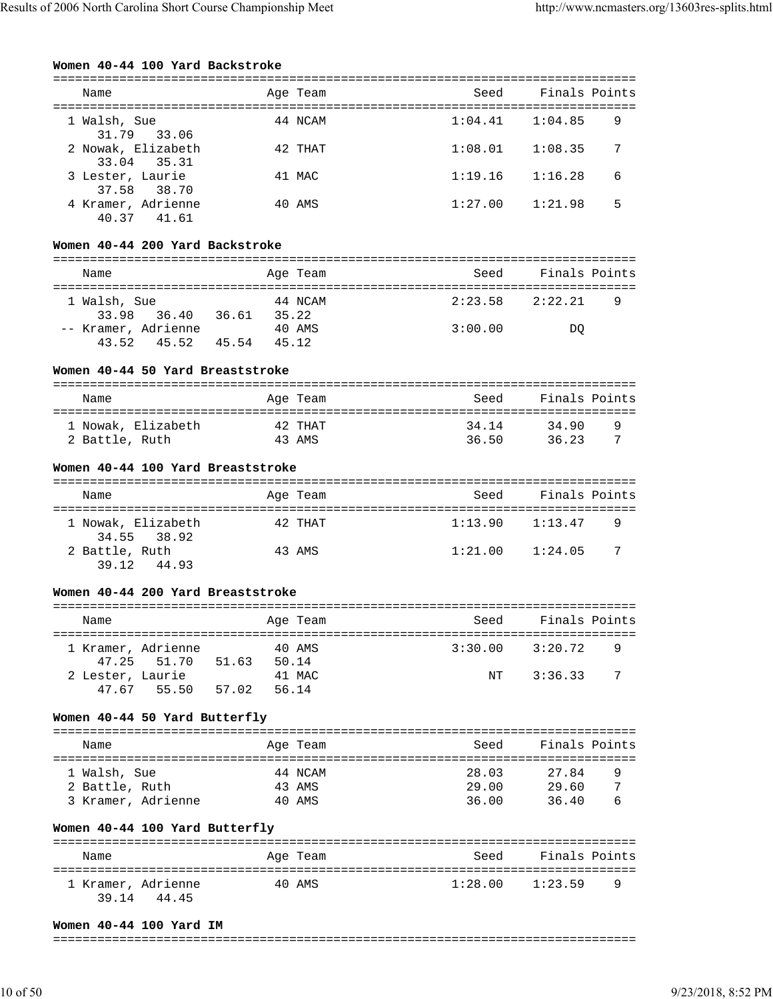#### **Women 40-44 100 Yard Backstroke**

| Name                              | Age Team | Seed    | Finals Points |   |
|-----------------------------------|----------|---------|---------------|---|
| 1 Walsh, Sue<br>31.79 33.06       | 44 NCAM  | 1:04.41 | 1:04.85       | 9 |
| 2 Nowak, Elizabeth<br>33.04 35.31 | 42 THAT  | 1:08.01 | 1:08.35       | 7 |
| 3 Lester, Laurie<br>37.58 38.70   | 41 MAC   | 1:19.16 | 1:16.28       | 6 |
| 4 Kramer, Adrienne<br>40.37 41.61 | 40 AMS   | 1:27.00 | 1:21.98       | 5 |

#### **Women 40-44 200 Yard Backstroke**

| Name                                   |       | Age Team         | Seed    | Finals Points |  |  |  |  |  |
|----------------------------------------|-------|------------------|---------|---------------|--|--|--|--|--|
| 1 Walsh, Sue<br>33.98 36.40            | 36.61 | 44 NCAM<br>35.22 | 2:23.58 | 2:22.21<br>9  |  |  |  |  |  |
| -- Kramer, Adrienne<br>$43.52$ $45.52$ | 45.54 | 40 AMS<br>45.12  | 3:00.00 | DO            |  |  |  |  |  |

## **Women 40-44 50 Yard Breaststroke**

| Name               | Age Team | Seed  | Finals Points |  |  |  |  |  |  |
|--------------------|----------|-------|---------------|--|--|--|--|--|--|
| 1 Nowak, Elizabeth | 42 THAT  | 34.14 | 34.90<br>q    |  |  |  |  |  |  |
| 2 Battle, Ruth     | 43 AMS   | 36.50 | 3623          |  |  |  |  |  |  |

#### **Women 40-44 100 Yard Breaststroke**

| Name                              | Age Team | Seed    | Finals Points  |  |  |  |  |
|-----------------------------------|----------|---------|----------------|--|--|--|--|
| 1 Nowak, Elizabeth<br>34.55 38.92 | 42 THAT  | 1:13.90 | 1:13.47<br>- 9 |  |  |  |  |
| 2 Battle, Ruth<br>39.12 44.93     | 43 AMS   | 1:21.00 | -7<br>1:24.05  |  |  |  |  |

#### **Women 40-44 200 Yard Breaststroke**

| Name             |                                   |       | Age Team        | Seed    | Finals Points |     |  |  |  |
|------------------|-----------------------------------|-------|-----------------|---------|---------------|-----|--|--|--|
|                  | 1 Kramer, Adrienne<br>47.25 51.70 | 51.63 | 40 AMS<br>50.14 | 3:30.00 | 3:20.72       | - 9 |  |  |  |
| 2 Lester, Laurie |                                   |       | 41 MAC          | NT      | 3:36.33       | - 7 |  |  |  |
|                  | 47.67 55.50                       | 57.02 | 56.14           |         |               |     |  |  |  |

# **Women 40-44 50 Yard Butterfly**

| Name                                                 | Age Team                    | Seed                    | Finals Points                     |  |
|------------------------------------------------------|-----------------------------|-------------------------|-----------------------------------|--|
| 1 Walsh, Sue<br>2 Battle, Ruth<br>3 Kramer, Adrienne | 44 NCAM<br>43 AMS<br>40 AMS | 28.03<br>29.00<br>36.00 | 27.84<br>9<br>29.60<br>36.40<br>6 |  |

#### **Women 40-44 100 Yard Butterfly**

| Name                                 | Age Team | Seed                | Finals Points |  |  |  |  |  |  |
|--------------------------------------|----------|---------------------|---------------|--|--|--|--|--|--|
| 1 Kramer, Adrienne<br>39 14<br>44.45 | 40 AMS   | $1:28.00$ $1:23.59$ | - q           |  |  |  |  |  |  |

#### **Women 40-44 100 Yard IM**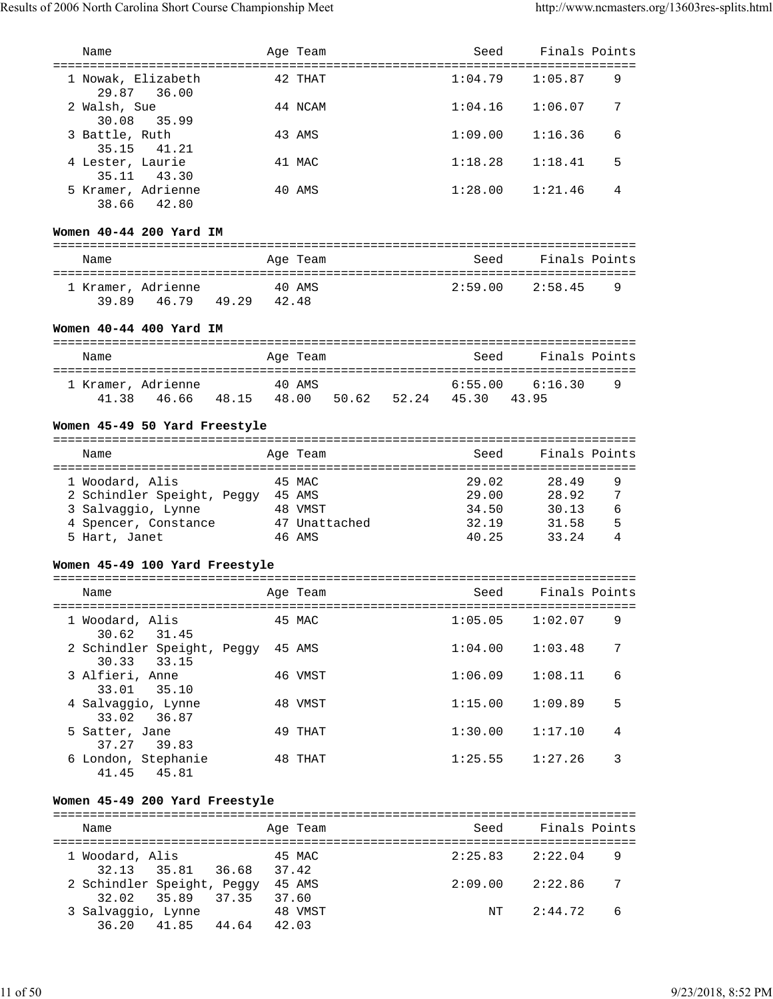| 1 Nowak, Elizabeth<br>29.87<br>36.00                    |        | 42 THAT  |  | 1:04.79        | 1:05.87                          | 9      |
|---------------------------------------------------------|--------|----------|--|----------------|----------------------------------|--------|
| 2 Walsh, Sue<br>30.08<br>35.99                          |        | 44 NCAM  |  | 1:04.16        | 1:06.07                          | 7      |
| 3 Battle, Ruth<br>35.15<br>41.21                        |        | 43 AMS   |  | 1:09.00        | 1:16.36                          | 6      |
| 4 Lester, Laurie<br>35.11 43.30                         |        | 41 MAC   |  | 1:18.28        | 1:18.41                          | 5      |
| 5 Kramer, Adrienne<br>38.66<br>42.80                    |        | 40 AMS   |  | 1:28.00        | 1:21.46                          | 4      |
| Women 40-44 200 Yard IM                                 |        |          |  |                |                                  |        |
|                                                         |        |          |  |                |                                  |        |
| Name                                                    |        | Age Team |  | Seed           | Finals Points                    |        |
|                                                         |        |          |  | 2:59.00        | 2:58.45                          | 9      |
| 1 Kramer, Adrienne 40 AMS<br>39.89  46.79  49.29  42.48 |        |          |  |                |                                  |        |
| Women 40-44 400 Yard IM                                 |        |          |  |                |                                  |        |
|                                                         |        |          |  | Seed           | Finals Points                    |        |
| Name                                                    |        | Age Team |  |                |                                  |        |
| 1 Kramer, Adrienne 40 AMS                               |        |          |  |                | $6:55.00$ $6:16.30$              | 9      |
| 46.66 48.15 48.00 50.62 52.24 45.30<br>41.38            |        |          |  |                | 43.95                            |        |
|                                                         |        |          |  |                |                                  |        |
| Women 45-49 50 Yard Freestyle                           |        |          |  |                |                                  |        |
|                                                         |        |          |  |                |                                  |        |
| Name                                                    |        | Age Team |  | Seed           | Finals Points                    |        |
|                                                         |        |          |  |                |                                  |        |
| 1 Woodard, Alis                                         | 45 MAC |          |  | 29.02          | 28.49                            | 9      |
| 2 Schindler Speight, Peggy 45 AMS                       |        |          |  | 29.00          | 28.92                            | 7      |
| 3 Salvaggio, Lynne                                      |        | 48 VMST  |  | 34.50          | 30.13                            | 6      |
| 4 Spencer, Constance 47 Unattached                      |        | 46 AMS   |  | 32.19<br>40.25 | 31.58                            | 5<br>4 |
| 5 Hart, Janet                                           |        |          |  |                | 33.24                            |        |
| Women 45-49 100 Yard Freestyle                          |        |          |  |                |                                  |        |
| Name                                                    |        | Age Team |  | Seed           | Finals Points                    |        |
| --------------------------------------                  |        |          |  |                | :=============================== |        |
| 1 Woodard, Alis<br>31.45<br>30.62                       |        | 45 MAC   |  | 1:05.05        | 1:02.07                          | 9      |
| 2 Schindler Speight, Peggy 45 AMS<br>33.15<br>30.33     |        |          |  | 1:04.00        | 1:03.48                          | 7      |
| 3 Alfieri, Anne<br>33.01<br>35.10                       |        | 46 VMST  |  | 1:06.09        | 1:08.11                          | 6      |
| 4 Salvaggio, Lynne<br>36.87<br>33.02                    |        | 48 VMST  |  | 1:15.00        | 1:09.89                          | 5      |
| 5 Satter, Jane<br>37.27 39.83                           |        | 49 THAT  |  | 1:30.00        | 1:17.10                          | 4      |
| 6 London, Stephanie<br>41.45<br>45.81                   |        | 48 THAT  |  | 1:25.55        | 1:27.26                          | 3      |
| Women 45-49 200 Yard Freestyle                          |        |          |  |                |                                  |        |
| Name                                                    |        |          |  | Seed           | Finals Points                    |        |
|                                                         |        | Age Team |  |                |                                  |        |
| 1 Woodard, Alis<br>35.81 36.68 37.42<br>32.13           |        | 45 MAC   |  | 2:25.83        | 2:22.04                          | 9      |
| 2 Schindler Speight, Peggy 45 AMS                       |        |          |  |                | $2:09.00$ $2:22.86$              | 7      |
| 35.89 37.35 37.60<br>32.02                              |        |          |  |                |                                  |        |
| 3 Salvaggio, Lynne                                      |        | 48 VMST  |  |                | NT<br>2:44.72                    | 6      |
| 41.85 44.64 42.03<br>36.20                              |        |          |  |                |                                  |        |
|                                                         |        |          |  |                |                                  |        |

Name Mage Team Age Team Seed Finals Points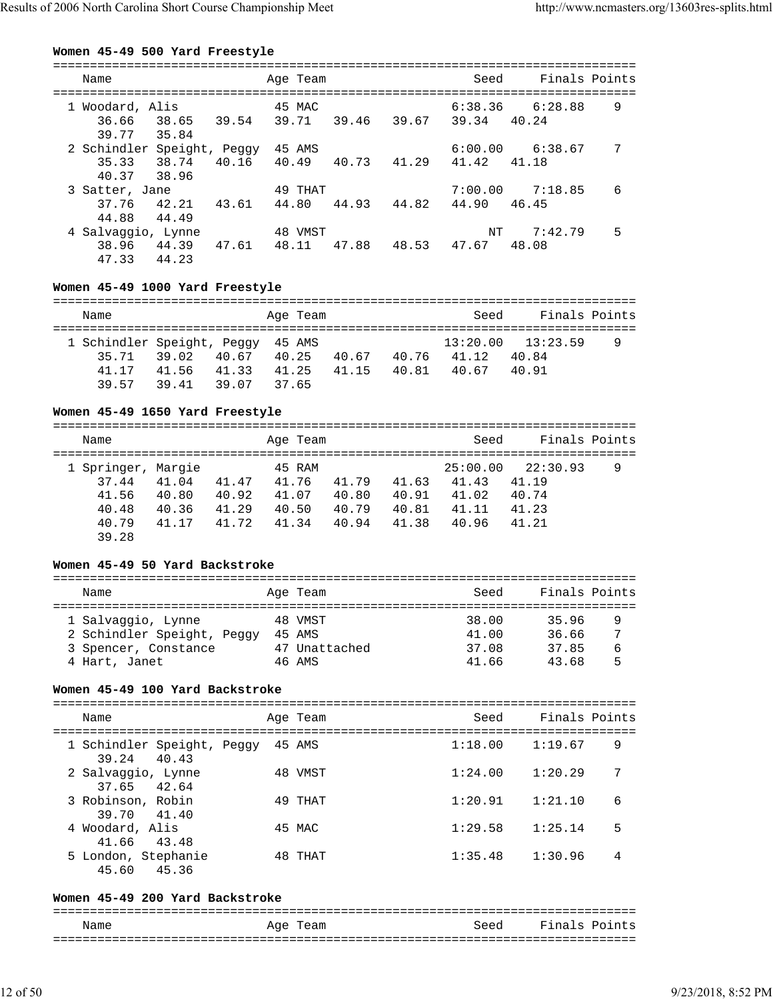#### **Women 45-49 500 Yard Freestyle**

| Name                    |                                               |       | Age Team         |       |             | Seed             | Finals Points    |   |
|-------------------------|-----------------------------------------------|-------|------------------|-------|-------------|------------------|------------------|---|
| 36.66                   | 1 Woodard, Alis<br>38.65                      | 39.54 | 45 MAC<br>39.71  |       | 39.46 39.67 | 6:38.36<br>39.34 | 6:28.88<br>40.24 | 9 |
| 39.77<br>35.33          | 35.84<br>2 Schindler Speight, Peggy<br>38.74  | 40.16 | 45 AMS<br>40.49  | 40.73 | 41.29       | 6:00.00<br>41.42 | 6:38.67<br>41.18 | 7 |
| 37.76                   | 40.37 38.96<br>3 Satter, Jane<br>42.21        | 43.61 | 49 THAT<br>44.80 | 44.93 | 44.82       | 7:00.00<br>44.90 | 7:18.85<br>46.45 | 6 |
| 44.88<br>38.96<br>47.33 | 44.49<br>4 Salvaggio, Lynne<br>44.39<br>44.23 | 47.61 | 48 VMST<br>48.11 | 47.88 | 48.53       | NT<br>47.67      | 7:42.79<br>48.08 | 5 |

# **Women 45-49 1000 Yard Freestyle**

| Name                              |       |       | Age Team |       |       | Seed  | Finals Points         |   |
|-----------------------------------|-------|-------|----------|-------|-------|-------|-----------------------|---|
| 1 Schindler Speight, Peggy 45 AMS |       |       |          |       |       |       | $13:20.00$ $13:23.59$ | 9 |
| 35.71                             | 39.02 | 40.67 | 40.25    | 40.67 | 40.76 | 41.12 | 40.84                 |   |
| 41 17                             | 41.56 | 41.33 | 41.25    | 41.15 | 40.81 | 40.67 | 40.91                 |   |
| 39 57                             | 39 41 | 39 07 | 37 65    |       |       |       |                       |   |

#### **Women 45-49 1650 Yard Freestyle**

| Name                        |                |                | Age Team        |                |                | Seed              | Finals Points     |   |
|-----------------------------|----------------|----------------|-----------------|----------------|----------------|-------------------|-------------------|---|
| 1 Springer, Margie<br>37.44 | 41.04          | 41.47          | 45 RAM<br>41.76 | 41.79          | 41.63          | 25:00.00<br>41.43 | 22:30.93<br>41.19 | 9 |
| 41.56<br>40.48              | 40.80<br>40.36 | 40.92<br>41.29 | 41.07<br>40.50  | 40.80<br>40.79 | 40.91<br>40.81 | 41.02<br>41.11    | 40.74<br>41.23    |   |
| 40.79<br>39.28              | 41.17          | 41.72          | 41.34           | 40.94          | 41.38          | 40.96             | 41.21             |   |

# **Women 45-49 50 Yard Backstroke**

| Name                                                                                      | Age Team                                     | Seed                             | Finals Points                    |             |
|-------------------------------------------------------------------------------------------|----------------------------------------------|----------------------------------|----------------------------------|-------------|
| 1 Salvaggio, Lynne<br>2 Schindler Speight, Peggy<br>3 Spencer, Constance<br>4 Hart, Janet | 48 VMST<br>45 AMS<br>47 Unattached<br>46 AMS | 38.00<br>41.00<br>37.08<br>41.66 | 35.96<br>36.66<br>37.85<br>43.68 | 9<br>6<br>5 |

# **Women 45-49 100 Yard Backstroke**

| Name                                      | Age Team | Seed    | Finals Points |   |
|-------------------------------------------|----------|---------|---------------|---|
| 1 Schindler Speight, Peggy<br>39.24 40.43 | 45 AMS   | 1:18.00 | 1:19.67       | 9 |
| 2 Salvaggio, Lynne<br>37.65 42.64         | 48 VMST  | 1:24.00 | 1:20.29       | 7 |
| 3 Robinson, Robin<br>39.70 41.40          | 49 THAT  | 1:20.91 | 1:21.10       | 6 |
| 4 Woodard, Alis<br>41.66 43.48            | 45 MAC   | 1:29.58 | 1:25.14       | 5 |
| 5 London, Stephanie<br>45.60<br>45.36     | 48 THAT  | 1:35.48 | 1:30.96       | 4 |

#### **Women 45-49 200 Yard Backstroke**

=============================================================================== Name Age Team Seed Finals Points

| wann | Can<br>ے سہ |  |
|------|-------------|--|
|      |             |  |
|      |             |  |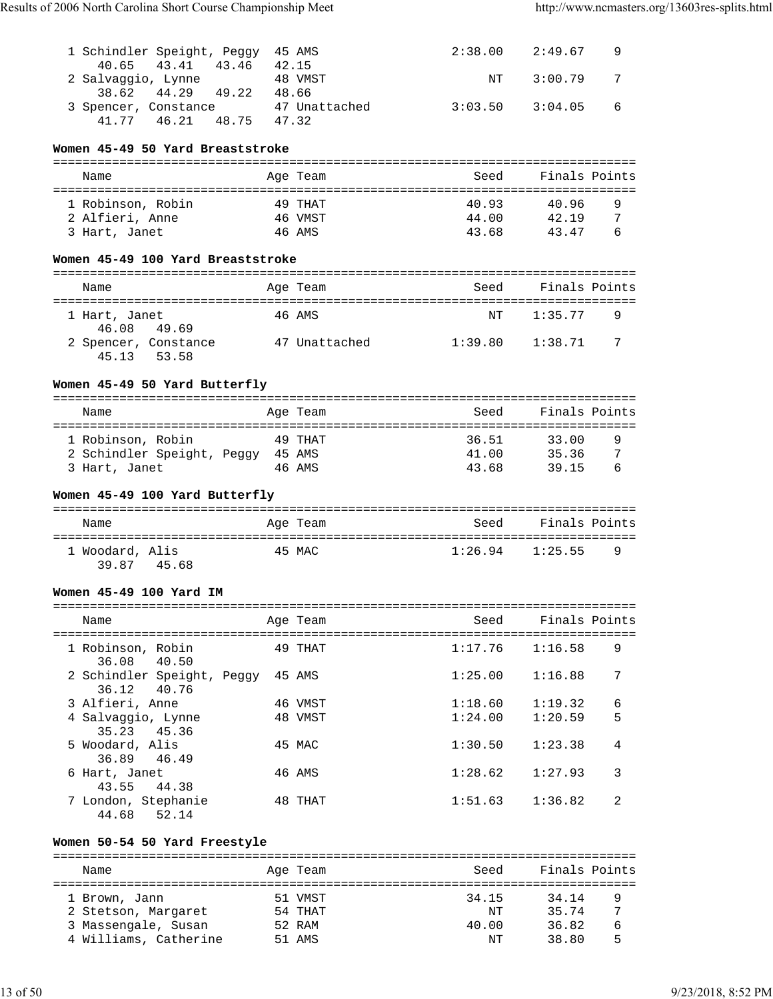| 1 Schindler Speight, Peggy 45 AMS |               |               | 2:38.00 2:49.67       |  |
|-----------------------------------|---------------|---------------|-----------------------|--|
| 40.65 43.41 43.46                 | 42.15         |               |                       |  |
| 2 Salvaggio, Lynne                | 48 VMST       | $\mathrm{NT}$ | $3:00.79$ 7           |  |
| 38.62 44.29 49.22                 | 48.66         |               |                       |  |
| 3 Spencer, Constance              | 47 Unattached |               | $3:03.50$ $3:04.05$ 6 |  |
| 46.21 48.75<br>41.77              | 47.32         |               |                       |  |

# **Women 45-49 50 Yard Breaststroke**

| Name              | Age Team | Seed  | Finals Points |   |
|-------------------|----------|-------|---------------|---|
|                   |          |       |               |   |
| 1 Robinson, Robin | 49 THAT  | 40.93 | 40.96         | 9 |
| 2 Alfieri, Anne   | 46 VMST  | 44.00 | 42 19         | 7 |
| 3 Hart, Janet     | 46 AMS   | 43.68 | 43 47         |   |

#### **Women 45-49 100 Yard Breaststroke**

| Name          |                      | Age Team      | Seed    | Finals Points |     |
|---------------|----------------------|---------------|---------|---------------|-----|
|               |                      |               |         |               |     |
| 1 Hart, Janet |                      | 46 AMS        | NT      | 1:35.77       | - 9 |
| 46.08 49.69   |                      |               |         |               |     |
|               | 2 Spencer, Constance | 47 Unattached | 1:39.80 | 1:38.71       | - 7 |
| 45.13 53.58   |                      |               |         |               |     |

# **Women 45-49 50 Yard Butterfly**

| Name                       | Age Team | Seed  | Finals Points |   |
|----------------------------|----------|-------|---------------|---|
|                            |          |       |               |   |
| 1 Robinson, Robin          | 49 THAT  | 36.51 | 33.00         | 9 |
| 2 Schindler Speight, Peggy | 45 AMS   | 41.00 | 35.36         |   |
| 3 Hart, Janet              | 46 AMS   | 43.68 | 39 15         | ь |

# **Women 45-49 100 Yard Butterfly**

| Name                              | Age Team | Finals Points<br>Seed      |  |
|-----------------------------------|----------|----------------------------|--|
| 1 Woodard, Alis<br>39 87<br>45.68 | 45 MAC   | $1:26.94$ $1:25.55$<br>- 9 |  |

#### **Women 45-49 100 Yard IM**

| Name                                         | Age Team | Seed    | Finals Points |  |
|----------------------------------------------|----------|---------|---------------|--|
| 1 Robinson, Robin<br>36.08 40.50             | 49 THAT  | 1:17.76 | 9<br>1:16.58  |  |
| 2 Schindler Speight, Peggy<br>36.12<br>40.76 | 45 AMS   | 1:25.00 | 7<br>1:16.88  |  |
| 3 Alfieri, Anne                              | 46 VMST  | 1:18.60 | 6<br>1:19.32  |  |
| 4 Salvaggio, Lynne<br>35.23 45.36            | 48 VMST  | 1:24.00 | 5<br>1:20.59  |  |
| 5 Woodard, Alis<br>36.89 46.49               | 45 MAC   | 1:30.50 | 4<br>1:23.38  |  |
| 6 Hart, Janet<br>44.38<br>43.55              | 46 AMS   | 1:28.62 | 3<br>1:27.93  |  |
| 7 London, Stephanie<br>44.68<br>52.14        | 48 THAT  | 1:51.63 | 2<br>1:36.82  |  |

# **Women 50-54 50 Yard Freestyle**

| Name                  | Age Team | Seed  | Finals Points |   |
|-----------------------|----------|-------|---------------|---|
| 1 Brown, Jann         | 51 VMST  | 34.15 | 34.14         | 9 |
| 2 Stetson, Margaret   | 54 THAT  | NΤ    | 35.74         | 7 |
| 3 Massengale, Susan   | 52 RAM   | 40.00 | 36.82         | 6 |
| 4 Williams, Catherine | 51 AMS   | NΤ    | 38.80         | 5 |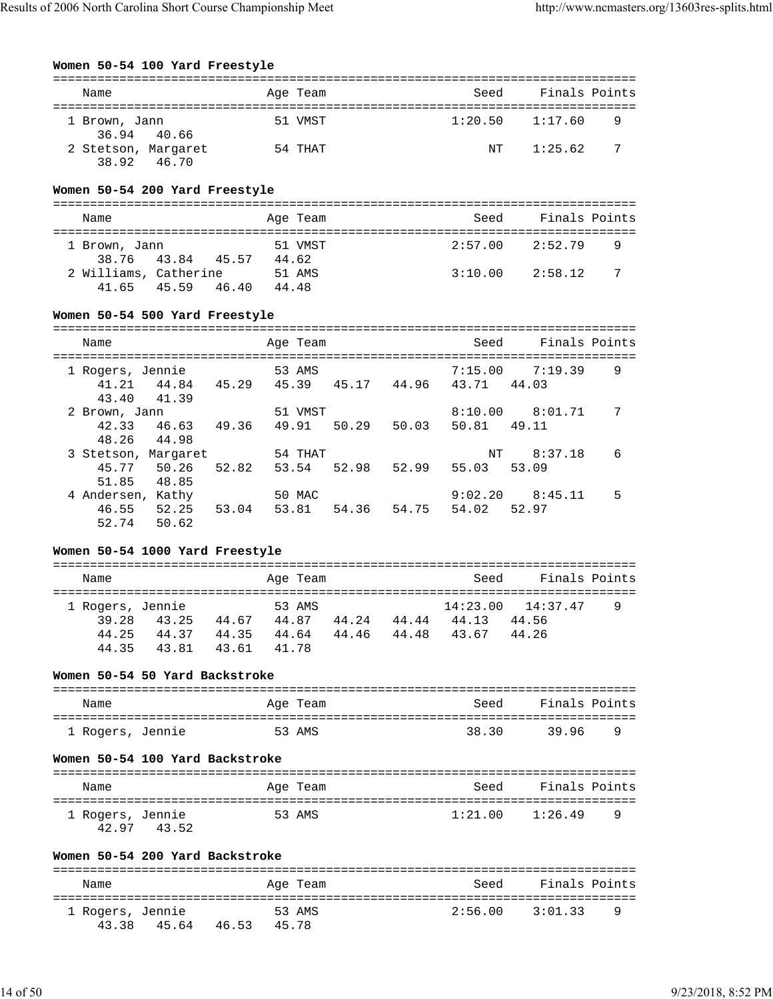| Women 50-54 100 Yard Freestyle                                                |                                           |                   |       |                  |       |                            |                        |                            |               |
|-------------------------------------------------------------------------------|-------------------------------------------|-------------------|-------|------------------|-------|----------------------------|------------------------|----------------------------|---------------|
| Name                                                                          |                                           |                   |       | Age Team         |       |                            | Seed                   |                            | Finals Points |
| 1 Brown, Jann<br>36.94                                                        | 40.66                                     |                   |       | 51 VMST          |       |                            | 1:20.50                | 1:17.60                    | 9             |
| 38.92                                                                         | 2 Stetson, Margaret<br>46.70              |                   |       | 54 THAT          |       |                            | ΝT                     | 1:25.62                    | 7             |
| Women 50-54 200 Yard Freestyle                                                |                                           |                   |       |                  |       |                            |                        |                            |               |
| Name                                                                          |                                           |                   |       | Age Team         |       |                            | Seed                   | Finals Points              |               |
| 1 Brown, Jann<br>38.76                                                        | 43.84 45.57                               |                   | 44.62 | 51 VMST          |       |                            | 2:57.00                | 2:52.79                    | 9             |
| 41.65                                                                         | 2 Williams, Catherine<br>45.59 46.40      |                   | 44.48 | 51 AMS           |       |                            | 3:10.00                | 2:58.12                    | 7             |
| Women 50-54 500 Yard Freestyle                                                |                                           |                   |       |                  |       |                            |                        |                            |               |
| Name                                                                          |                                           |                   |       | Age Team         |       |                            | Seed                   |                            | Finals Points |
| 1 Rogers, Jennie<br>41.21<br>43.40                                            | 44.84 45.29<br>41.39                      |                   |       | 53 AMS           |       | 45.39 45.17 44.96          | 7:15.00<br>43.71       | 7:19.39<br>44.03           | 9             |
| 2 Brown, Jann<br>42.33<br>48.26                                               | 46.63<br>44.98                            | 49.36             |       | 51 VMST<br>49.91 | 50.29 | 50.03                      | 8:10.00<br>50.81 49.11 | 8:01.71                    | 7             |
| 45.77<br>51.85                                                                | 3 Stetson, Margaret<br>50.26<br>48.85     | 52.82             |       | 54 THAT<br>53.54 | 52.98 | 52.99                      | ΝT<br>55.03            | 8:37.18<br>53.09           | 6             |
| 4 Andersen, Kathy<br>46.55<br>52.74                                           | 52.25<br>50.62                            | 53.04             |       | 50 MAC<br>53.81  | 54.36 | 54.75                      | 9:02.20<br>54.02       | 8:45.11<br>52.97           | 5             |
| Women 50-54 1000 Yard Freestyle                                               |                                           |                   |       |                  |       |                            |                        |                            |               |
| Name                                                                          |                                           |                   |       | Age Team         |       |                            | Seed                   |                            | Finals Points |
| 1 Rogers, Jennie<br>39.28<br>44.25<br>44.35<br>Women 50-54 50 Yard Backstroke | 43.25<br>44.37 44.35 44.64<br>43.81 43.61 | 44.67             | 41.78 | 53 AMS<br>44.87  | 44.46 | 44.24 44.44<br>44.48 43.67 | 14:23.00<br>44.13      | 14:37.47<br>44.56<br>44.26 | 9             |
| Name                                                                          |                                           |                   |       | Age Team         |       |                            | Seed                   |                            | Finals Points |
| 1 Rogers, Jennie                                                              |                                           |                   |       | 53 AMS           |       |                            | 38.30                  | 39.96                      | 9             |
| Women 50-54 100 Yard Backstroke                                               |                                           |                   |       |                  |       |                            |                        |                            |               |
| Name                                                                          |                                           |                   |       | Age Team         |       |                            |                        | Seed Finals Points         |               |
| 1 Rogers, Jennie                                                              | 42.97 43.52                               |                   |       | 53 AMS           |       |                            | 1:21.00                | 1:26.49                    | 9             |
| Women 50-54 200 Yard Backstroke                                               |                                           |                   |       |                  |       |                            |                        |                            |               |
| Name                                                                          |                                           |                   |       | Age Team         |       |                            | Seed                   | Finals Points              |               |
| l Rogers, Jennie<br>43.38                                                     |                                           | 45.64 46.53 45.78 |       | 53 AMS           |       |                            | 2:56.00                | 3:01.33                    | 9             |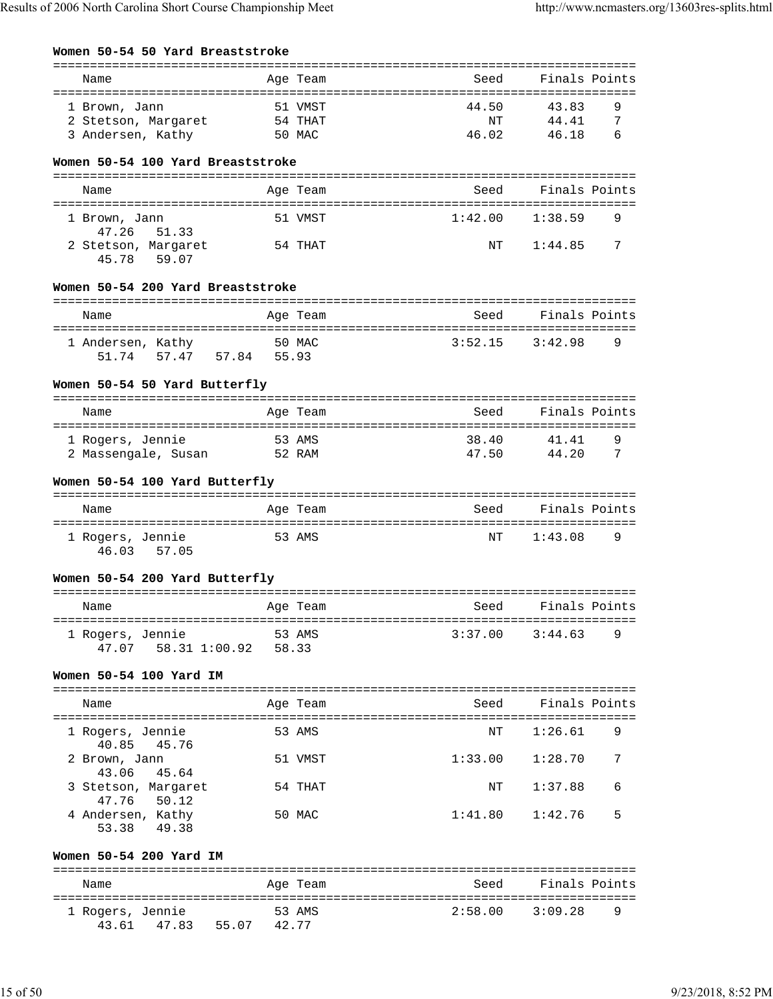| Women 50-54 50 Yard Breaststroke |
|----------------------------------|
|----------------------------------|

| Name                                  | Age Team | Seed    | Finals Points |
|---------------------------------------|----------|---------|---------------|
|                                       |          |         |               |
| 1 Brown, Jann                         | 51 VMST  | 44.50   | 43.83<br>9    |
| 54 THAT<br>2 Stetson, Margaret        |          | ΝT      | 44.41<br>7    |
| 3 Andersen, Kathy                     | 50 MAC   | 46.02   | 6<br>46.18    |
| Women 50-54 100 Yard Breaststroke     |          |         |               |
| Name                                  | Age Team | Seed    | Finals Points |
|                                       |          |         |               |
| 1 Brown, Jann<br>47.26<br>51.33       | 51 VMST  | 1:42.00 | 9<br>1:38.59  |
| 2 Stetson, Margaret<br>59.07<br>45.78 | 54 THAT  | ΝT      | 7<br>1:44.85  |
| Women 50-54 200 Yard Breaststroke     |          |         |               |
| Name                                  | Age Team | Seed    | Finals Points |
| 1 Andersen, Kathy                     | 50 MAC   | 3:52.15 | 3:42.98<br>9  |
| 51.74   57.47   57.84   55.93         |          |         |               |
|                                       |          |         |               |
| Women 50-54 50 Yard Butterfly         |          |         |               |
|                                       |          |         |               |
| Name                                  | Age Team | Seed    | Finals Points |
| 1 Rogers, Jennie                      | 53 AMS   | 38.40   | 9<br>41.41    |
| 2 Massengale, Susan                   | 52 RAM   | 47.50   | 44.20<br>7    |
|                                       |          |         |               |
| Women 50-54 100 Yard Butterfly        |          |         |               |
| Name                                  | Age Team | Seed    | Finals Points |
|                                       |          |         |               |
| 1 Rogers, Jennie<br>46.03<br>57.05    | 53 AMS   | ΝT      | 1:43.08<br>9  |
| Women 50-54 200 Yard Butterfly        |          |         |               |
| Name                                  | Age Team | Seed    | Finals Points |
| 1 Rogers, Jennie                      | 53 AMS   | 3:37.00 | 3:44.63<br>9  |
| 58.31 1:00.92 58.33<br>47.07          |          |         |               |
| Women 50-54 100 Yard IM               |          |         |               |
|                                       |          |         |               |
| Name                                  | Age Team | Seed    | Finals Points |
|                                       |          |         |               |
| 1 Rogers, Jennie<br>40.85<br>45.76    | 53 AMS   | NΤ      | 1:26.61<br>9  |
| 2 Brown, Jann<br>43.06<br>45.64       | 51 VMST  | 1:33.00 | 7<br>1:28.70  |
| 3 Stetson, Margaret<br>47.76<br>50.12 | 54 THAT  | ΝT      | 1:37.88<br>6  |
| 4 Andersen, Kathy                     | 50 MAC   | 1:41.80 | 5<br>1:42.76  |
| 49.38<br>53.38                        |          |         |               |
| Women 50-54 200 Yard IM               |          |         |               |
| Name                                  | Age Team | Seed    | Finals Points |
| 1 Rogers, Jennie                      | 53 AMS   | 2:58.00 | 3:09.28<br>9  |
| 43.61<br>47.83<br>55.07               | 42.77    |         |               |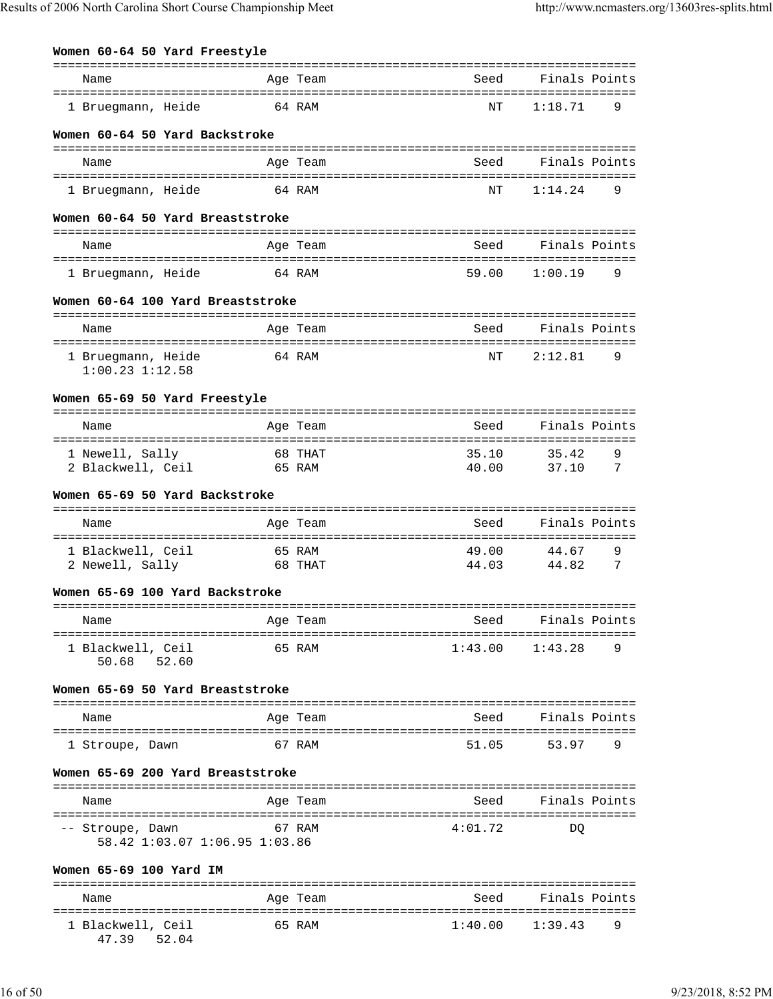| Women 60-64 50 Yard Freestyle                                              | =============            | -----------------------                 |                                      |
|----------------------------------------------------------------------------|--------------------------|-----------------------------------------|--------------------------------------|
| Name                                                                       | Age Team                 | Seed                                    | Finals Points                        |
| 1 Bruegmann, Heide                                                         | 64 RAM                   | NΤ                                      | 1:18.71<br>9                         |
| Women 60-64 50 Yard Backstroke                                             |                          |                                         |                                      |
| Name                                                                       | Age Team                 | Seed                                    | Finals Points                        |
| 1 Bruegmann, Heide                                                         | 64 RAM                   | NΤ                                      | 1:14.24<br>9                         |
| Women 60-64 50 Yard Breaststroke                                           |                          |                                         |                                      |
| Name                                                                       | Age Team                 | Seed                                    | Finals Points                        |
| 1 Bruegmann, Heide                                                         | 64 RAM                   | 59.00                                   | 1:00.19<br>9                         |
| Women 60-64 100 Yard Breaststroke                                          |                          |                                         |                                      |
| Name                                                                       | Age Team                 | Seed                                    | Finals Points                        |
| 1 Bruegmann, Heide<br>$1:00.23$ $1:12.58$                                  | 64 RAM                   | NΤ                                      | 2:12.81<br>9                         |
| Women 65-69 50 Yard Freestyle                                              |                          |                                         |                                      |
| Name                                                                       | Age Team                 | Seed                                    | Finals Points                        |
| 1 Newell, Sally<br>2 Blackwell, Ceil                                       | 68 THAT<br>65 RAM        | 35.10<br>40.00                          | 9<br>35.42<br>7<br>37.10             |
| Women 65-69 50 Yard Backstroke                                             |                          |                                         |                                      |
| Name                                                                       | Age Team                 | Seed                                    | Finals Points                        |
| 1 Blackwell, Ceil<br>2 Newell, Sally                                       | 65 RAM<br>68 THAT        | 49.00<br>44.03                          | 44.67<br>9<br>44.82<br>7             |
| Women 65-69 100 Yard Backstroke                                            |                          |                                         |                                      |
| ___________________________________<br>Name                                | Age Team                 | Seed                                    | -------------------<br>Finals Points |
| 1 Blackwell, Ceil<br>50.68<br>52.60                                        | 65 RAM                   | 1:43.00                                 | 1:43.28<br>9                         |
| Women 65-69 50 Yard Breaststroke                                           |                          |                                         |                                      |
| Name                                                                       | Age Team                 | Seed                                    | Finals Points                        |
| 1 Stroupe, Dawn                                                            | 67 RAM                   | 51.05                                   | 53.97<br>9                           |
| Women 65-69 200 Yard Breaststroke                                          |                          |                                         |                                      |
| Name                                                                       | Age Team                 | Seed                                    | Finals Points                        |
| =====================<br>-- Stroupe, Dawn<br>58.42 1:03.07 1:06.95 1:03.86 | ==============<br>67 RAM | ============================<br>4:01.72 | DQ                                   |
| Women 65-69 100 Yard IM                                                    |                          |                                         |                                      |
| Name                                                                       | Age Team                 | Seed                                    | Finals Points                        |
| 1 Blackwell, Ceil                                                          | 65 RAM                   | 1:40.00                                 | 1:39.43<br>9                         |

47.39 52.04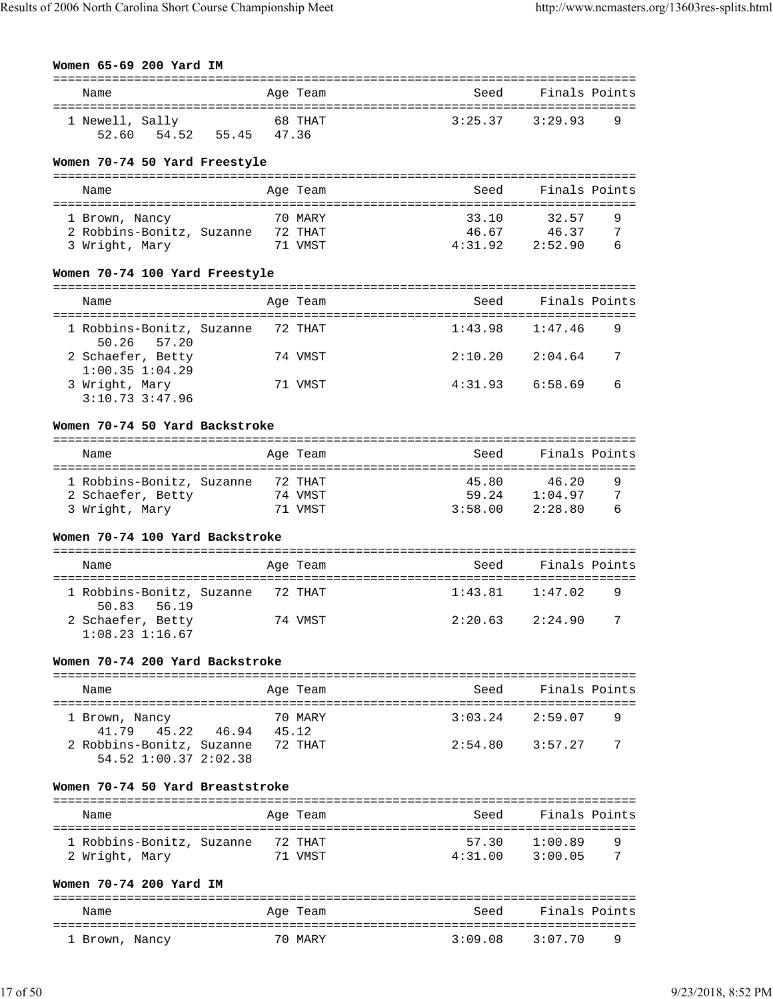| Women 65-69 200 Yard IM |  |  |
|-------------------------|--|--|

| Name                                                |                | Age Team | Seed                    | Finals Points                     |
|-----------------------------------------------------|----------------|----------|-------------------------|-----------------------------------|
| 1 Newell, Sally<br>54.52 55.45 47.36<br>52.60       |                | 68 THAT  | 3:25.37                 | 3:29.93<br>9                      |
| Women 70-74 50 Yard Freestyle                       |                |          |                         |                                   |
| Name                                                |                | Age Team | Seed                    | Finals Points                     |
|                                                     |                |          |                         |                                   |
| 1 Brown, Nancy                                      |                | 70 MARY  | 33.10                   | 32.57<br>9                        |
| 2 Robbins-Bonitz, Suzanne 72 THAT<br>3 Wright, Mary |                | 71 VMST  | 46.67<br>4:31.92        | 46.37<br>7<br>2:52.90<br>6        |
| Women 70-74 100 Yard Freestyle                      |                |          |                         |                                   |
|                                                     |                |          |                         |                                   |
| Name                                                |                | Age Team | Seed                    | Finals Points                     |
| 1 Robbins-Bonitz, Suzanne<br>50.26<br>57.20         |                | 72 THAT  | 1:43.98                 | 1:47.46<br>9                      |
| 2 Schaefer, Betty<br>$1:00.35$ $1:04.29$            |                | 74 VMST  | 2:10.20                 | 7<br>2:04.64                      |
| 3 Wright, Mary<br>$3:10.73$ $3:47.96$               |                | 71 VMST  | 4:31.93                 | 6:58.69<br>6                      |
| Women 70-74 50 Yard Backstroke                      |                |          |                         |                                   |
| Name                                                |                | Age Team | Seed                    | Finals Points                     |
| 1 Robbins-Bonitz, Suzanne                           |                | 72 THAT  | 45.80                   | 9<br>46.20                        |
| 2 Schaefer, Betty                                   |                | 74 VMST  |                         | 7<br>59.24 1:04.97                |
| 3 Wright, Mary                                      |                | 71 VMST  | 3:58.00                 | 2:28.80<br>6                      |
| Women 70-74 100 Yard Backstroke                     |                |          |                         |                                   |
| Name                                                |                | Age Team | Seed                    | Finals Points                     |
| 1 Robbins-Bonitz, Suzanne 72 THAT<br>50.83<br>56.19 |                |          | 1:43.81                 | 1:47.02<br>9                      |
| 2 Schaefer, Betty<br>$1:08.23$ $1:16.67$            |                | 74 VMST  | 2:20.63                 | 2:24.90<br>7                      |
| Women 70-74 200 Yard Backstroke                     |                |          |                         |                                   |
|                                                     |                |          | --------------------    |                                   |
| Name<br>================================            |                | Age Team | Seed<br>--------------- | Finals Points<br>---------------- |
| 1 Brown, Nancy                                      |                | 70 MARY  | 3:03.24                 | 2:59.07<br>9                      |
| 45.22<br>41.79                                      | 46.94<br>45.12 |          |                         |                                   |
| 2 Robbins-Bonitz, Suzanne<br>54.52 1:00.37 2:02.38  |                | 72 THAT  | 2:54.80                 | 3:57.27<br>7                      |
| Women 70-74 50 Yard Breaststroke                    |                |          |                         |                                   |
|                                                     |                |          |                         |                                   |
| Name                                                |                | Age Team | Seed                    | Finals Points                     |
| 1 Robbins-Bonitz, Suzanne                           |                | 72 THAT  | 57.30                   | 1:00.89<br>9                      |
| 2 Wright, Mary                                      |                | 71 VMST  | 4:31.00                 | 3:00.05<br>7                      |
| Women 70-74 200 Yard IM                             |                |          |                         |                                   |
| Name<br>----------------------                      |                | Age Team | Seed                    | Finals Points                     |
| 1 Brown, Nancy                                      |                | 70 MARY  | 3:09.08                 | 3:07.70<br>9                      |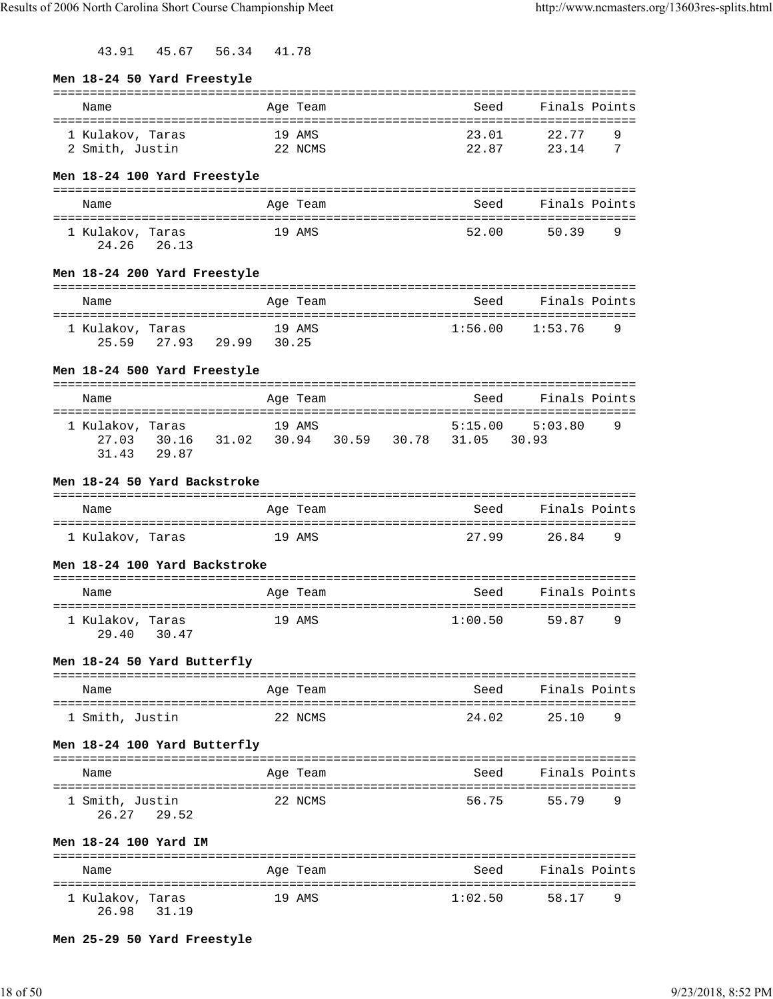43.91 45.67 56.34 41.78

| Men 18-24 50 Yard Freestyle                                                           |            |                            |                                   |         |                                       |   |
|---------------------------------------------------------------------------------------|------------|----------------------------|-----------------------------------|---------|---------------------------------------|---|
| Name                                                                                  |            | Age Team                   |                                   | Seed    | Finals Points                         |   |
| 1 Kulakov, Taras                                                                      | 19 AMS     |                            |                                   | 23.01   | 22.77                                 | 9 |
| 2 Smith, Justin<br>22 NCMS                                                            |            |                            |                                   | 22.87   | 23.14                                 | 7 |
| Men 18-24 100 Yard Freestyle                                                          |            |                            |                                   |         |                                       |   |
|                                                                                       |            |                            |                                   |         |                                       |   |
| Name                                                                                  |            | Age Team                   |                                   | Seed    | Finals Points                         |   |
| 1 Kulakov, Taras<br>24.26 26.13                                                       | 19 AMS     |                            |                                   | 52.00   | 50.39                                 | 9 |
| Men 18-24 200 Yard Freestyle                                                          |            |                            |                                   |         |                                       |   |
| Name                                                                                  |            | Age Team                   |                                   | Seed    | Finals Points                         |   |
|                                                                                       |            |                            |                                   |         |                                       |   |
| 1 Kulakov, Taras<br>25.59 27.93 29.99 30.25                                           |            | 19 AMS                     |                                   | 1:56.00 | 1:53.76                               | 9 |
| Men 18-24 500 Yard Freestyle                                                          |            |                            |                                   |         |                                       |   |
|                                                                                       |            |                            |                                   |         |                                       |   |
| Name                                                                                  |            | Age Team                   |                                   | Seed    | Finals Points                         |   |
| 1 Kulakov, Taras<br>27.03 30.16 31.02 30.94 30.59 30.78 31.05 30.93<br>29.87<br>31.43 |            | 19 AMS                     |                                   | 5:15.00 | 5:03.80                               | 9 |
| Men 18-24 50 Yard Backstroke                                                          |            |                            |                                   |         |                                       |   |
| Name                                                                                  |            | Age Team                   |                                   | Seed    | Finals Points                         |   |
| 1 Kulakov, Taras                                                                      | 19 AMS     |                            |                                   | 27.99   | 26.84                                 | 9 |
| Men 18-24 100 Yard Backstroke                                                         |            |                            |                                   |         |                                       |   |
| Name                                                                                  |            | Age Team                   |                                   |         | Seed Finals Points                    |   |
| 1 Kulakov, Taras<br>29.40 30.47                                                       |            | 19 AMS                     |                                   | 1:00.50 | 59.87                                 | 9 |
| Men 18-24 50 Yard Butterfly                                                           |            |                            |                                   |         |                                       |   |
| Name                                                                                  |            | Age Team                   |                                   | Seed    | Finals Points                         |   |
| =====================<br>1 Smith, Justin                                              | ---------- | 22 NCMS                    | . _ _ _ _ _ _ _ _ _ _ _ _ _ _ _ _ | 24.02   | -------<br>25.10                      | 9 |
| Men 18-24 100 Yard Butterfly                                                          |            |                            |                                   |         |                                       |   |
| Name                                                                                  |            | Age Team                   |                                   | Seed    | Finals Points                         |   |
| 1 Smith, Justin<br>26.27<br>29.52                                                     |            | 22 NCMS                    |                                   | 56.75   | 55.79                                 | 9 |
| Men 18-24 100 Yard IM                                                                 |            |                            |                                   |         | -------------------------------       |   |
| Name                                                                                  |            | Age Team                   |                                   | Seed    | Finals Points                         |   |
| ================<br>1 Kulakov, Taras<br>26.98<br>31.19                                |            | ================<br>19 AMS |                                   | 1:02.50 | ============================<br>58.17 | 9 |

# **Men 25-29 50 Yard Freestyle**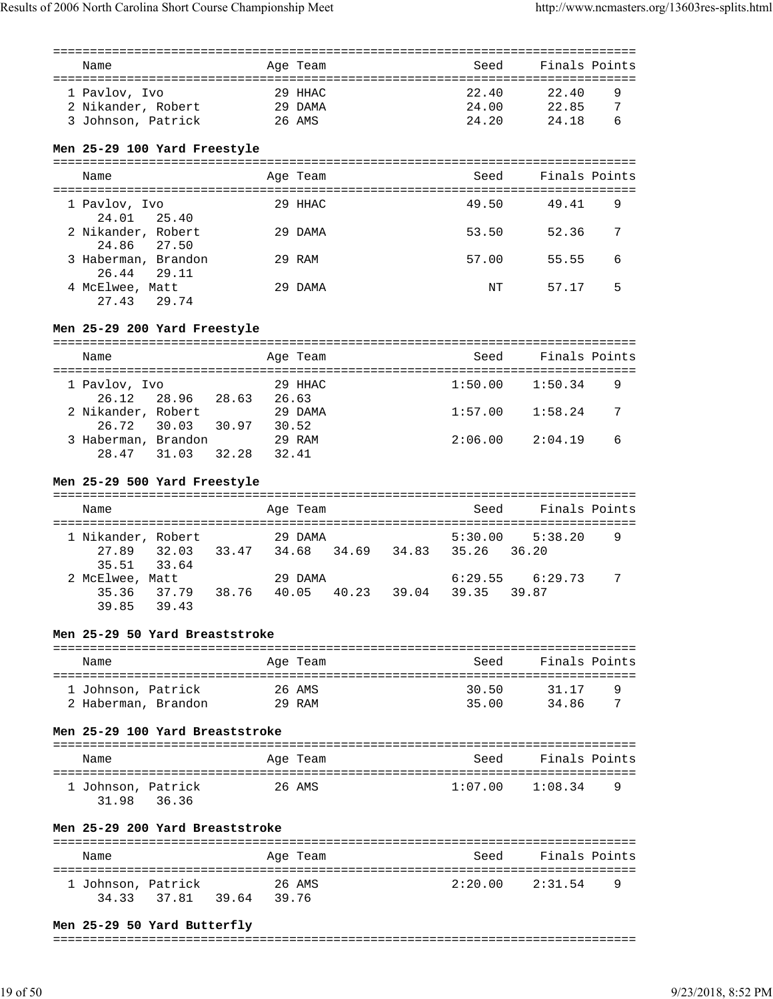| Name                                                      |       |                | Age Team                       | Seed                    |                         | Finals Points |
|-----------------------------------------------------------|-------|----------------|--------------------------------|-------------------------|-------------------------|---------------|
| 1 Pavlov, Ivo<br>2 Nikander, Robert<br>3 Johnson, Patrick |       |                | $29$ HHAC<br>29 DAMA<br>26 AMS | 22.40<br>24.00<br>24.20 | 22.40<br>22.85<br>24.18 | 9<br>7<br>6   |
| Men 25-29 100 Yard Freestyle                              |       |                |                                |                         |                         |               |
| Name                                                      |       |                | Age Team                       | Seed                    |                         | Finals Points |
| 1 Pavlov, Ivo<br>24.01 25.40                              |       |                | 29 HHAC                        | 49.50                   | 49.41                   | 9             |
| 2 Nikander, Robert<br>24.86                               | 27.50 |                | 29 DAMA                        | 53.50                   | 52.36                   | 7             |
| 3 Haberman, Brandon<br>26.44                              | 29.11 |                | 29 RAM                         | 57.00                   | 55.55                   | 6             |
| 4 McElwee, Matt<br>27.43                                  | 29.74 |                | 29 DAMA                        | NΤ                      | 57.17                   | 5             |
| Men 25-29 200 Yard Freestyle                              |       |                | -----------                    |                         |                         |               |
| Name                                                      |       |                | Age Team                       | Seed                    |                         | Finals Points |
| 1 Pavlov, Ivo<br>26.12                                    | 28.96 | 28.63          | 29 HHAC<br>26.63               | 1:50.00                 | 1:50.34                 | 9             |
| 2 Nikander, Robert<br>26.72                               | 30.03 | 30.97<br>30.52 | 29 DAMA                        | 1:57.00                 | 1:58.24                 | 7             |
| 3 Haberman, Brandon<br>28.47                              | 31.03 | 32.28<br>32.41 | 29 RAM                         | 2:06.00                 | 2:04.19                 | 6             |
| Men 25-29 500 Yard Freestyle                              |       | -------------  |                                |                         |                         |               |
| Name                                                      |       |                | Age Team                       | Seed                    |                         | Finals Points |

| 1 Nikander, Robert |             |       | 29 DAMA     |       |       | 5:30.00 | 5:38.20             | 9 |
|--------------------|-------------|-------|-------------|-------|-------|---------|---------------------|---|
|                    | 27.89 32.03 | 33.47 | 34.68 34.69 |       | 34.83 | 35.26   | 36.20               |   |
|                    | 35.51 33.64 |       |             |       |       |         |                     |   |
| 2 McElwee, Matt    |             |       | 29 DAMA     |       |       |         | $6:29.55$ $6:29.73$ |   |
|                    | 35.36 37.79 | 38.76 | 40.05       | 40.23 | 39.04 | 39.35   | 39.87               |   |
| 39.85              | 39.43       |       |             |       |       |         |                     |   |

# **Men 25-29 50 Yard Breaststroke**

| Name                | Age Team | Seed  | Finals Points |
|---------------------|----------|-------|---------------|
| 1 Johnson, Patrick  | 26 AMS   | 30.50 | 31.17<br>q    |
| 2 Haberman, Brandon | $29$ RAM | 35.00 | 34.86<br>7    |

# **Men 25-29 100 Yard Breaststroke**

| Name                                 | Age Team | Seed    | Finals Points |
|--------------------------------------|----------|---------|---------------|
| 1 Johnson, Patrick<br>31.98<br>36.36 | 26 AMS   | 1:07.00 | 1:08.34<br>-9 |

# **Men 25-29 200 Yard Breaststroke**

| Name                              | Age Team                 | Finals Points<br>Seed       |  |
|-----------------------------------|--------------------------|-----------------------------|--|
| 1 Johnson, Patrick<br>34.33 37.81 | 26 AMS<br>39.64<br>39.76 | 2:20.00 2:31.54<br><b>Q</b> |  |

# **Men 25-29 50 Yard Butterfly**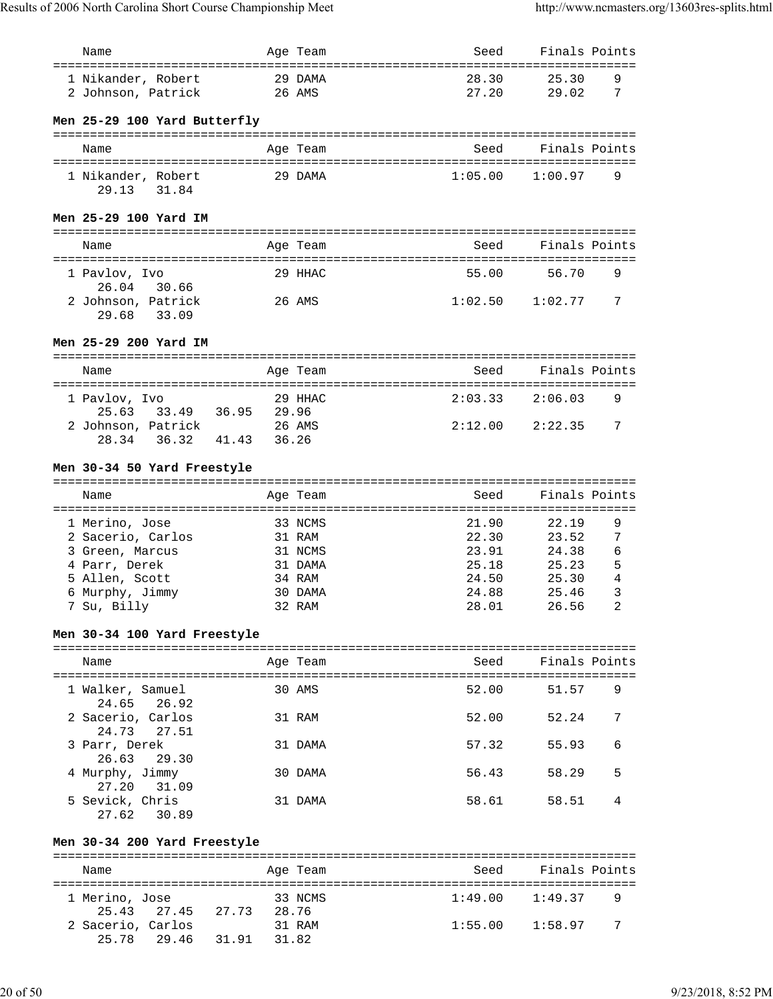| Name                                                         |        | Age Team          | Seed                | Finals Points            |  |
|--------------------------------------------------------------|--------|-------------------|---------------------|--------------------------|--|
| ======================================<br>1 Nikander, Robert |        | 29 DAMA           | 28.30               | 25.30<br>9               |  |
| 2 Johnson, Patrick                                           | 26 AMS |                   | 27.20               | 29.02<br>7               |  |
|                                                              |        |                   |                     |                          |  |
| Men 25-29 100 Yard Butterfly                                 |        |                   |                     |                          |  |
| Name                                                         |        | Age Team          | Seed                | Finals Points            |  |
|                                                              |        |                   |                     |                          |  |
| 1 Nikander, Robert                                           |        | 29 DAMA           | 1:05.00             | 1:00.97<br>9             |  |
| 31.84<br>29.13                                               |        |                   |                     |                          |  |
| Men 25-29 100 Yard IM                                        |        |                   |                     |                          |  |
|                                                              |        |                   |                     |                          |  |
| Name                                                         |        | Age Team          | Seed                | Finals Points            |  |
|                                                              |        |                   |                     |                          |  |
| 1 Pavlov, Ivo<br>26.04<br>30.66                              |        | 29 HHAC           | 55.00               | 56.70<br>9               |  |
| 2 Johnson, Patrick                                           |        | 26 AMS            | $1:02.50$ $1:02.77$ | 7                        |  |
| 29.68<br>33.09                                               |        |                   |                     |                          |  |
| Men 25-29 200 Yard IM                                        |        |                   |                     |                          |  |
|                                                              |        |                   |                     |                          |  |
| Name                                                         |        | Age Team          | Seed                | Finals Points            |  |
|                                                              |        |                   |                     |                          |  |
| 1 Pavlov, Ivo<br>25.63<br>33.49 36.95 29.96                  |        | 29 HHAC           | 2:03.33             | 2:06.03<br>9             |  |
| 2 Johnson, Patrick                                           |        | 26 AMS            | 2:12.00             | 2:22.35<br>7             |  |
| 36.32<br>41.43<br>28.34                                      | 36.26  |                   |                     |                          |  |
|                                                              |        |                   |                     |                          |  |
| Men 30-34 50 Yard Freestyle                                  |        |                   |                     |                          |  |
| Name                                                         |        | Age Team          | Seed                | Finals Points            |  |
|                                                              |        |                   |                     |                          |  |
|                                                              |        |                   |                     |                          |  |
| 1 Merino, Jose<br>2 Sacerio, Carlos                          |        | 33 NCMS<br>31 RAM | 21.90<br>22.30      | 22.19<br>9<br>23.52<br>7 |  |
| 3 Green, Marcus                                              |        | 31 NCMS           | 23.91               | 6<br>24.38               |  |
| 4 Parr, Derek                                                |        | 31 DAMA           | 25.18               | 5<br>25.23               |  |
| 5 Allen, Scott                                               |        | 34 RAM            | 24.50               | 4<br>25.30               |  |
| 6 Murphy, Jimmy                                              |        | 30 DAMA           | 24.88               | 3<br>25.46<br>2          |  |
| 7 Su, Billy                                                  |        | 32 RAM            | 28.01               | 26.56                    |  |
| Men 30-34 100 Yard Freestyle                                 |        |                   |                     |                          |  |
| Name                                                         |        | Age Team          | Seed                | Finals Points            |  |
|                                                              |        |                   |                     |                          |  |
| 1 Walker, Samuel                                             |        | 30 AMS            | 52.00               | 9<br>51.57               |  |
| 24.65<br>26.92                                               |        |                   |                     |                          |  |
| 2 Sacerio, Carlos<br>24.73<br>27.51                          |        | 31 RAM            | 52.00               | 7<br>52.24               |  |
| 3 Parr, Derek                                                |        | 31 DAMA           | 57.32               | 55.93<br>6               |  |
| 26.63<br>29.30                                               |        |                   |                     |                          |  |
| 4 Murphy, Jimmy                                              |        | 30 DAMA           | 56.43               | 58.29<br>5               |  |
| 27.20<br>31.09<br>5 Sevick, Chris                            |        | 31 DAMA           | 58.61               | 58.51<br>4               |  |
| 27.62<br>30.89                                               |        |                   |                     |                          |  |
|                                                              |        |                   |                     |                          |  |
| Men 30-34 200 Yard Freestyle                                 |        |                   |                     |                          |  |
| Name                                                         |        | Age Team          | Seed                | Finals Points            |  |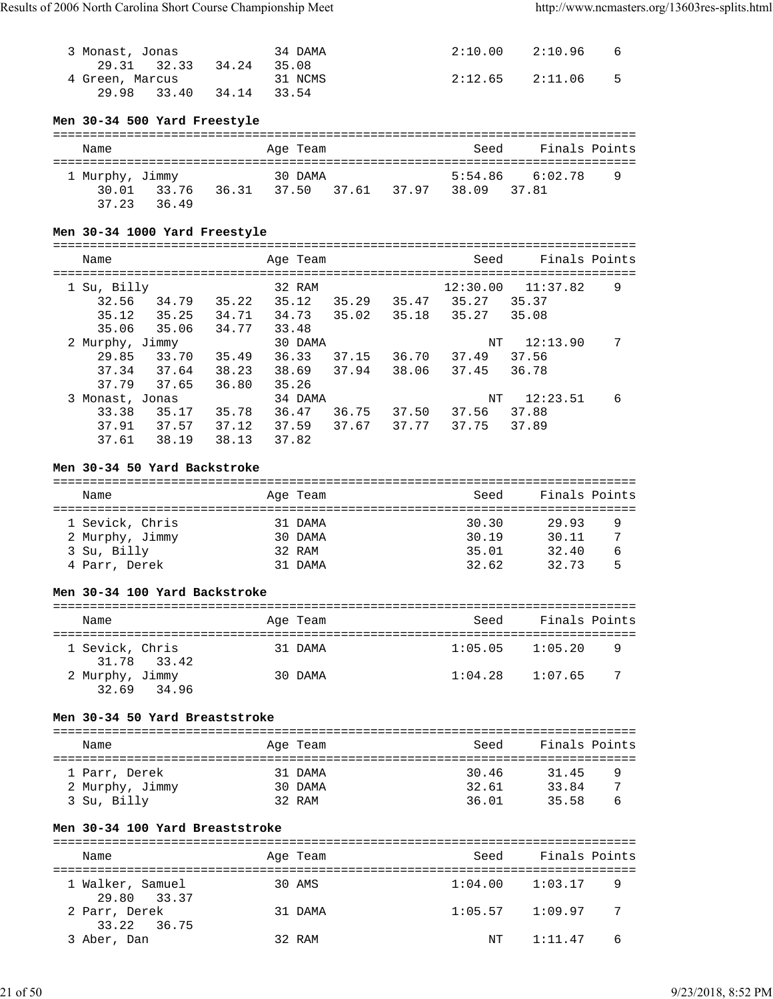| 3 Monast, Jonas |                         | 34 DAMA | 2:10.00 2:10.96     | - 6 |
|-----------------|-------------------------|---------|---------------------|-----|
|                 | 29.31 32.33 34.24 35.08 |         |                     |     |
| 4 Green, Marcus |                         | 31 NCMS | $2:12.65$ $2:11.06$ | 5   |
|                 | 29.98 33.40 34.14 33.54 |         |                     |     |

# **Men 30-34 500 Yard Freestyle**

| Name            |             |       | Age Team |             | Seed        | Finals Points       |   |
|-----------------|-------------|-------|----------|-------------|-------------|---------------------|---|
|                 |             |       |          |             |             |                     |   |
| 1 Murphy, Jimmy |             |       | 30 DAMA  |             |             | $5:54.86$ $6:02.78$ | 9 |
|                 | 30.01 33.76 | 36.31 | 37.50    | 37.61 37.97 | 38.09 37.81 |                     |   |
| 37.23           | 36.49       |       |          |             |             |                     |   |

# **Men 30-34 1000 Yard Freestyle**

| Name                                       |                         |                         | Age Team                           |                |                | Seed                       | Finals Points              |   |
|--------------------------------------------|-------------------------|-------------------------|------------------------------------|----------------|----------------|----------------------------|----------------------------|---|
| 1 Su, Billy<br>32.56<br>35.12              | 34.79<br>35.25          | 35.22<br>34.71          | 32 RAM<br>35.12<br>34.73           | 35.29<br>35.02 | 35.47<br>35.18 | 12:30.00<br>35.27<br>35.27 | 11:37.82<br>35.37<br>35.08 | 9 |
| 35.06<br>2 Murphy, Jimmy                   | 35.06                   | 34.77                   | 33.48<br>30 DAMA                   |                |                | NΤ                         | 12:13.90                   | 7 |
| 29.85<br>37.34<br>37.79                    | 33.70<br>37.64<br>37.65 | 35.49<br>38.23<br>36.80 | 36.33<br>38.69<br>35.26            | 37.15<br>37.94 | 36.70<br>38.06 | 37.49<br>37.45             | 37.56<br>36.78             |   |
| 3 Monast, Jonas<br>33.38<br>37.91<br>37.61 | 35.17<br>37.57<br>38.19 | 35.78<br>37.12<br>38.13 | 34 DAMA<br>36.47<br>37.59<br>37.82 | 36.75<br>37.67 | 37.50<br>37.77 | NΤ<br>37.56<br>37.75       | 12:23.51<br>37.88<br>37.89 | 6 |

# **Men 30-34 50 Yard Backstroke**

| Name            | Age Team | Seed  | Finals Points |   |
|-----------------|----------|-------|---------------|---|
|                 |          |       |               |   |
| 1 Sevick, Chris | 31 DAMA  | 30.30 | 29.93         | 9 |
| 2 Murphy, Jimmy | 30 DAMA  | 30.19 | 30.11         | 7 |
| 3 Su, Billy     | 32 RAM   | 35.01 | 32.40         | 6 |
| 4 Parr, Derek   | 31 DAMA  | 32.62 | 32.73         | 5 |

#### **Men 30-34 100 Yard Backstroke**

| Name |                                |  | Age Team | Seed    | Finals Points |    |  |  |
|------|--------------------------------|--|----------|---------|---------------|----|--|--|
|      | 1 Sevick, Chris<br>31.78 33.42 |  | 31 DAMA  | 1:05.05 | 1:05.20       | 9  |  |  |
|      | 2 Murphy, Jimmy<br>32.69 34.96 |  | 30 DAMA  | 1:04.28 | 1:07.65       | -7 |  |  |

# **Men 30-34 50 Yard Breaststroke**

| Name            | Age Team | Seed  | Finals Points |   |
|-----------------|----------|-------|---------------|---|
| 1 Parr, Derek   | 31 DAMA  | 30.46 | 31.45         | 9 |
| 2 Murphy, Jimmy | 30 DAMA  | 32.61 | 33.84         | ⇁ |
| 3 Su, Billy     | 32 RAM   | 36.01 | 35.58         | b |

# **Men 30-34 100 Yard Breaststroke**

| Name                            | Age Team | Seed    | Finals Points |  |  |  |  |
|---------------------------------|----------|---------|---------------|--|--|--|--|
| 1 Walker, Samuel<br>29.80 33.37 | 30 AMS   | 1:04.00 | 1:03.17<br>9  |  |  |  |  |
| 2 Parr, Derek<br>33.22 36.75    | 31 DAMA  | 1:05.57 | -7<br>1:09.97 |  |  |  |  |
| 3 Aber, Dan                     | 32 RAM   | NT      | 1:11.47<br>6  |  |  |  |  |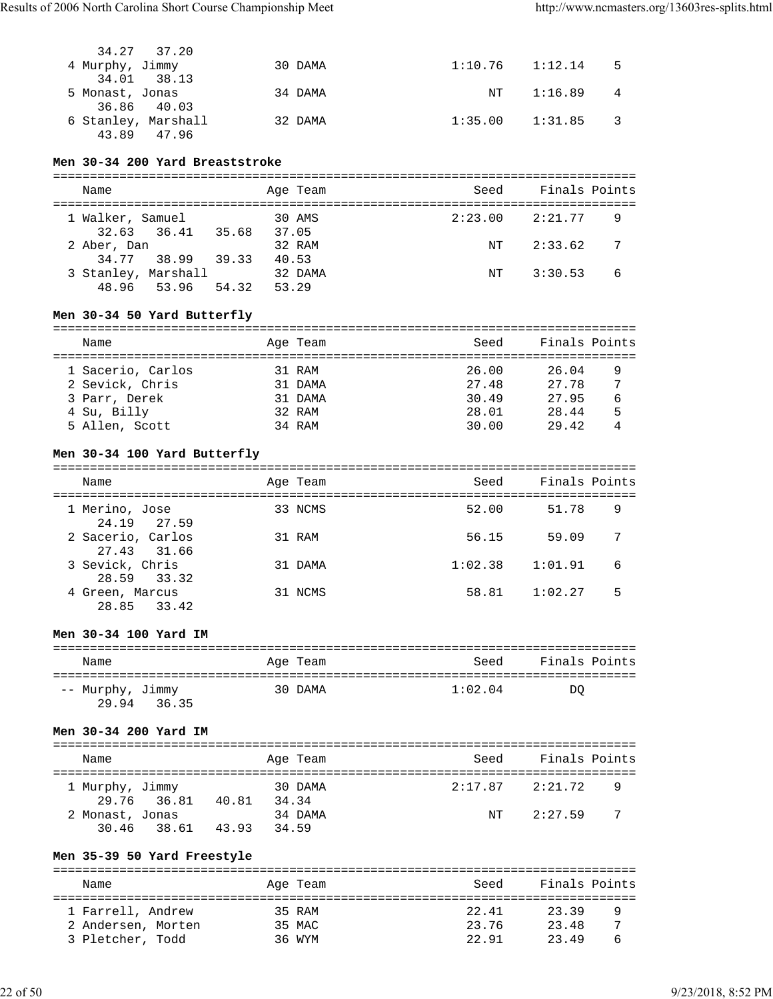| 34.27 37.20         |         |                     |                       |             |
|---------------------|---------|---------------------|-----------------------|-------------|
| 4 Murphy, Jimmy     | 30 DAMA | $1:10.76$ $1:12.14$ |                       | $5^{\circ}$ |
| 34.01 38.13         |         |                     |                       |             |
| 5 Monast, Jonas     | 34 DAMA | NT                  | $1:16.89$ 4           |             |
| 36.86 40.03         |         |                     |                       |             |
| 6 Stanley, Marshall | 32 DAMA |                     | $1:35.00$ $1:31.85$ 3 |             |
| 43.89 47.96         |         |                     |                       |             |

#### **Men 30-34 200 Yard Breaststroke**

| Name                |       | Age Team | Seed    | Finals Points             |
|---------------------|-------|----------|---------|---------------------------|
| 1 Walker, Samuel    |       | 30 AMS   | 2:23.00 | 2:21.77<br>-9             |
| 32.63 36.41         | 35.68 | 37.05    |         |                           |
| 2 Aber, Dan         |       | 32 RAM   | NT      | 2:33.62<br>$\overline{7}$ |
| 34.77 38.99         | 39.33 | 40.53    |         |                           |
| 3 Stanley, Marshall |       | 32 DAMA  | NT      | - 6<br>3:30.53            |
| 48.96 53.96         | 54.32 | 53.29    |         |                           |

# **Men 30-34 50 Yard Butterfly**

| Name              | Age Team | Seed  | Finals Points |  |  |  |  |  |
|-------------------|----------|-------|---------------|--|--|--|--|--|
|                   |          |       |               |  |  |  |  |  |
| 1 Sacerio, Carlos | 31 RAM   | 26.00 | 26.04<br>9    |  |  |  |  |  |
| 2 Sevick, Chris   | 31 DAMA  | 27.48 | 27.78<br>7    |  |  |  |  |  |
| 3 Parr, Derek     | 31 DAMA  | 30.49 | 27.95<br>6    |  |  |  |  |  |
| 4 Su, Billy       | 32 RAM   | 28.01 | 5<br>28.44    |  |  |  |  |  |
| 5 Allen, Scott    | 34 RAM   | 30.00 | 29.42         |  |  |  |  |  |

# **Men 30-34 100 Yard Butterfly**

| Name                             | Age Team | Seed    | Finals Points |  |
|----------------------------------|----------|---------|---------------|--|
| 1 Merino, Jose<br>24.19 27.59    | 33 NCMS  | 52.00   | 9<br>51.78    |  |
| 2 Sacerio, Carlos<br>27.43 31.66 | 31 RAM   | 56.15   | 7<br>59.09    |  |
| 3 Sevick, Chris<br>28.59 33.32   | 31 DAMA  | 1:02.38 | 1:01.91<br>6  |  |
| 4 Green, Marcus<br>28.85 33.42   | 31 NCMS  | 58.81   | 5<br>1:02.27  |  |

#### **Men 30-34 100 Yard IM**

| Name                               | Age Team | Seed    | Finals Points |
|------------------------------------|----------|---------|---------------|
| -- Murphy, Jimmy<br>29.94<br>36.35 | 30 DAMA  | 1:02.04 | DO            |

# **Men 30-34 200 Yard IM**

| Name                     |             |       | Age Team         | Seed    | Finals Points |    |  |  |
|--------------------------|-------------|-------|------------------|---------|---------------|----|--|--|
| 1 Murphy, Jimmy          | 29.76 36.81 | 40.81 | 30 DAMA<br>34.34 | 2:17.87 | 2:21.72       | 9  |  |  |
| 2 Monast, Jonas<br>30.46 | 38.61       | 43.93 | 34 DAMA<br>34.59 | NT      | 2:27.59       | -7 |  |  |

# **Men 35-39 50 Yard Freestyle**

| Name               | Age Team | Seed  | Finals Points |  |
|--------------------|----------|-------|---------------|--|
|                    |          |       |               |  |
| 1 Farrell, Andrew  | 35 RAM   | 22.41 | 23.39<br>q    |  |
| 2 Andersen, Morten | 35 MAC   | 23.76 | 23.48<br>7    |  |
| 3 Pletcher, Todd   | 36 WYM   | 22.91 | 2349<br>6     |  |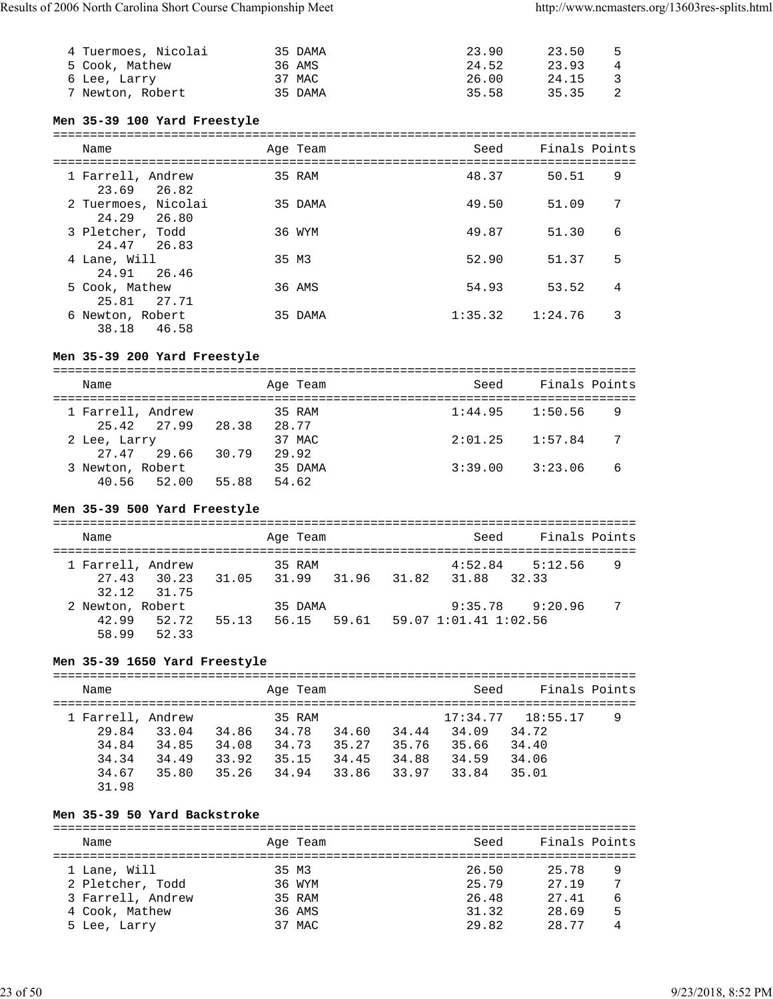| 4 Tuermoes, Nicolai | 35 DAMA | 23.90 | 23.50 | - 5 |
|---------------------|---------|-------|-------|-----|
| 5 Cook, Mathew      | 36 AMS  | 24.52 | 23.93 | 4   |
| 6 Lee, Larry        | 37 MAC  | 26.00 | 24.15 | 3   |
| 7 Newton, Robert    | 35 DAMA | 35.58 | 35.35 | 2   |

# **Men 35-39 100 Yard Freestyle**

| Name                                  | Age Team | Seed    | Finals Points |   |
|---------------------------------------|----------|---------|---------------|---|
| 1 Farrell, Andrew<br>23.69<br>26.82   | 35 RAM   | 48.37   | 50.51         | 9 |
| 2 Tuermoes, Nicolai<br>24.29<br>26.80 | 35 DAMA  | 49.50   | 51.09         | 7 |
| 3 Pletcher, Todd<br>24.47 26.83       | 36 WYM   | 49.87   | 51.30         | 6 |
| 4 Lane, Will<br>24.91 26.46           | 35 M3    | 52.90   | 51.37         | 5 |
| 5 Cook, Mathew<br>27.71<br>25.81      | 36 AMS   | 54.93   | 53.52         | 4 |
| 6 Newton, Robert<br>46.58<br>38.18    | 35 DAMA  | 1:35.32 | 1:24.76       | 3 |

# **Men 35-39 200 Yard Freestyle**

| Name                             |       | Age Team         | Seed    | Finals Points  |
|----------------------------------|-------|------------------|---------|----------------|
| 1 Farrell, Andrew<br>25.42 27.99 | 28.38 | 35 RAM<br>28.77  | 1:44.95 | 1:50.56<br>-9  |
| 2 Lee, Larry<br>27.47 29.66      | 30.79 | 37 MAC<br>29.92  | 2:01.25 | 1:57.84<br>7   |
| 3 Newton, Robert<br>40.56 52.00  | 55.88 | 35 DAMA<br>54.62 | 3:39.00 | 3:23.06<br>- 6 |

# **Men 35-39 500 Yard Freestyle**

| Name                               |                            |             | Age Team         |       |             | Seed                   | Finals Points       |   |
|------------------------------------|----------------------------|-------------|------------------|-------|-------------|------------------------|---------------------|---|
| 1 Farrell, Andrew                  | 27.43 30.23<br>32.12 31.75 | 31.05 31.99 | 35 RAM           |       | 31.96 31.82 | 4:52.84<br>31.88 32.33 | 5:12.56             | 9 |
| 2 Newton, Robert<br>42.99<br>58.99 | 52.72<br>52.33             | 55.13       | 35 DAMA<br>56.15 | 59.61 |             | 59.07 1:01.41 1:02.56  | $9:35.78$ $9:20.96$ | 7 |

# **Men 35-39 1650 Yard Freestyle**

| Name              |       |       | Age Team |       |       | Seed     | Finals Points |   |
|-------------------|-------|-------|----------|-------|-------|----------|---------------|---|
| 1 Farrell, Andrew |       |       | 35 RAM   |       |       | 17:34.77 | 18:55.17      | 9 |
| 29.84             | 33.04 | 34.86 | 34.78    | 34.60 | 34.44 | 34.09    | 34.72         |   |
| 34.84             | 34.85 | 34.08 | 34.73    | 35.27 | 35.76 | 35.66    | 34.40         |   |
| 34.34             | 34.49 | 33.92 | 35.15    | 34.45 | 34.88 | 34.59    | 34.06         |   |
| 34.67             | 35.80 | 35.26 | 34.94    | 33.86 | 33.97 | 33.84    | 35.01         |   |
| 31.98             |       |       |          |       |       |          |               |   |

# **Men 35-39 50 Yard Backstroke**

| Name              | Age Team | Seed  | Finals Points |   |
|-------------------|----------|-------|---------------|---|
|                   |          |       |               |   |
| 1 Lane, Will      | 35 M3    | 26.50 | 25.78         | 9 |
| 2 Pletcher, Todd  | 36 WYM   | 25.79 | 27.19         | 7 |
| 3 Farrell, Andrew | 35 RAM   | 26.48 | 27.41         | 6 |
| 4 Cook, Mathew    | 36 AMS   | 31.32 | 28.69         | 5 |
| 5 Lee, Larry      | 37 MAC   | 29.82 | 28.77         |   |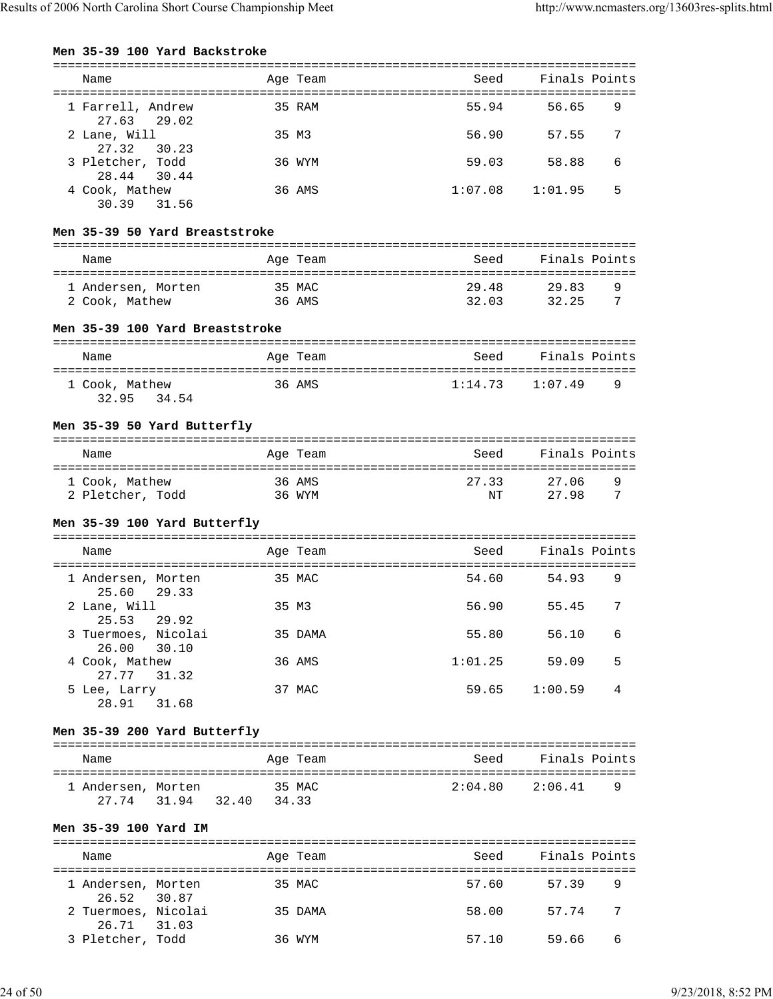|  |  |  | Men 35-39 100 Yard Backstroke |
|--|--|--|-------------------------------|
|--|--|--|-------------------------------|

| Name                                  |                  | Age Team | Seed           | Finals Points            |
|---------------------------------------|------------------|----------|----------------|--------------------------|
| 1 Farrell, Andrew<br>27.63<br>29.02   |                  | 35 RAM   | 55.94          | 56.65<br>9               |
| 2 Lane, Will<br>27.32<br>30.23        |                  | 35 M3    | 56.90          | 57.55<br>7               |
| 3 Pletcher, Todd<br>28.44<br>30.44    |                  | 36 WYM   | 59.03          | 58.88<br>6               |
| 4 Cook, Mathew<br>30.39<br>31.56      |                  | 36 AMS   | 1:07.08        | 5<br>1:01.95             |
| Men 35-39 50 Yard Breaststroke        |                  |          |                |                          |
| Name                                  |                  | Age Team | Seed           | Finals Points            |
|                                       |                  |          |                |                          |
| 1 Andersen, Morten<br>2 Cook, Mathew  | 35 MAC<br>36 AMS |          | 29.48<br>32.03 | 29.83<br>9<br>7<br>32.25 |
| Men 35-39 100 Yard Breaststroke       |                  |          |                |                          |
| Name                                  |                  | Age Team | Seed           | Finals Points            |
| 1 Cook, Mathew<br>32.95<br>34.54      |                  | 36 AMS   | 1:14.73        | 1:07.49<br>9             |
| Men 35-39 50 Yard Butterfly           |                  |          |                |                          |
| Name                                  |                  | Age Team | Seed           | Finals Points            |
| 1 Cook, Mathew<br>2 Pletcher, Todd    | 36 AMS           | 36 WYM   | 27.33<br>NT    | 9<br>27.06<br>27.98<br>7 |
| Men 35-39 100 Yard Butterfly          |                  |          |                |                          |
| Name                                  |                  | Age Team | Seed           | Finals Points            |
| 1 Andersen, Morten<br>25.60<br>29.33  |                  | 35 MAC   | 54.60          | 54.93<br>9               |
| 2 Lane, Will<br>25.53 29.92           | 35 M3            |          | 56.90          | 55.45<br>7               |
| 3 Tuermoes, Nicolai<br>26.00<br>30.10 |                  | 35 DAMA  | 55.80          | 56.10<br>6               |
| 4 Cook, Mathew<br>27.77 31.32         |                  | 36 AMS   | 1:01.25        | 59.09<br>5               |
| 5 Lee, Larry<br>28.91<br>31.68        |                  | 37 MAC   | 59.65          | 1:00.59<br>4             |
| Men 35-39 200 Yard Butterfly          |                  |          |                |                          |
| Name                                  |                  | Age Team | Seed           | Finals Points            |
| 1 Andersen, Morten                    | 35 MAC           |          | 2:04.80        | 2:06.41<br>9             |
| 27.74 31.94 32.40 34.33               |                  |          |                |                          |
| Men 35-39 100 Yard IM                 |                  |          |                |                          |
| Name                                  |                  | Age Team | Seed           | Finals Points            |
| 1 Andersen, Morten<br>26.52<br>30.87  | 35 MAC           |          | 57.60          | 57.39<br>9               |
| 2 Tuermoes, Nicolai<br>26.71 31.03    | 35 DAMA          |          | 58.00          | 57.74<br>7               |

3 Pletcher, Todd 36 WYM 57.10 59.66 6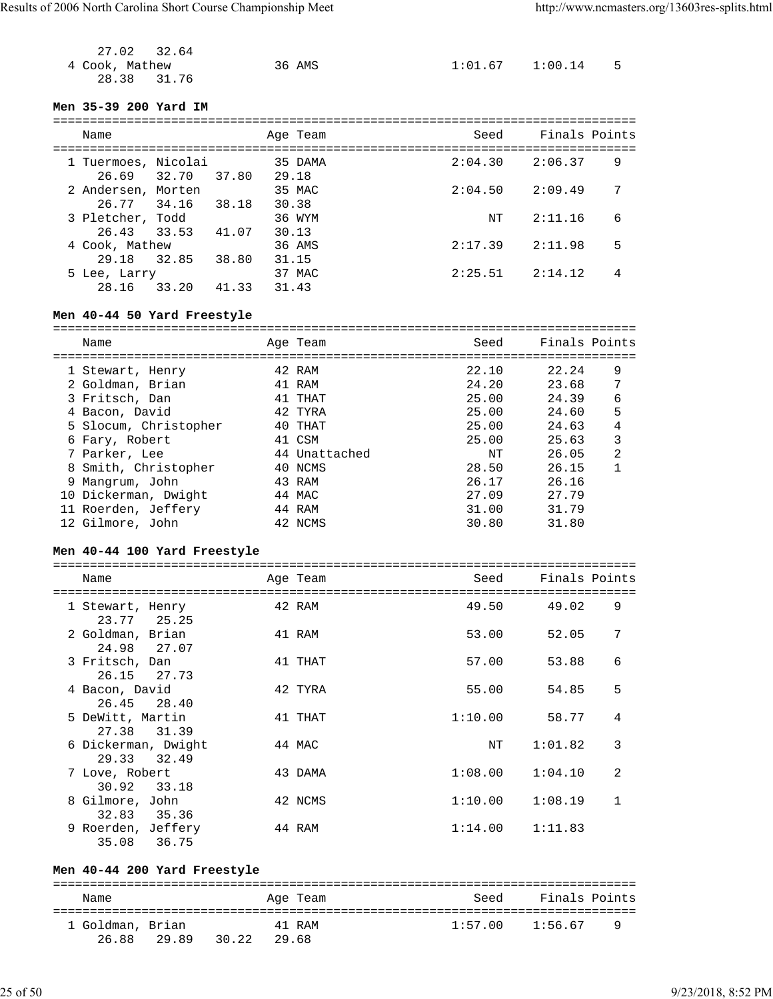| 27.02<br>32.64                       |       |               |         |                     |                |
|--------------------------------------|-------|---------------|---------|---------------------|----------------|
| 4 Cook, Mathew                       |       | 36 AMS        |         | $1:01.67$ $1:00.14$ | 5              |
| 28.38<br>31.76                       |       |               |         |                     |                |
|                                      |       |               |         |                     |                |
| Men 35-39 200 Yard IM                |       |               |         |                     |                |
|                                      |       |               |         |                     |                |
| Name                                 |       | Age Team      | Seed    | Finals Points       |                |
|                                      |       |               |         |                     |                |
| 1 Tuermoes, Nicolai                  |       | 35 DAMA       | 2:04.30 | 2:06.37             | 9              |
| 32.70<br>26.69                       | 37.80 | 29.18         |         |                     |                |
| 2 Andersen, Morten                   |       | 35 MAC        | 2:04.50 | 2:09.49             | 7              |
| 26.77<br>34.16                       | 38.18 | 30.38         |         |                     |                |
| 3 Pletcher, Todd                     |       | 36 WYM        | NT      | 2:11.16             | 6              |
| 26.43<br>33.53                       | 41.07 | 30.13         |         |                     |                |
| 4 Cook, Mathew                       |       | 36 AMS        | 2:17.39 | 2:11.98             | 5              |
| 29.18<br>32.85                       | 38.80 | 31.15         |         |                     |                |
| 5 Lee, Larry                         |       | 37 MAC        | 2:25.51 | 2:14.12             | 4              |
| 33.20<br>28.16                       | 41.33 | 31.43         |         |                     |                |
|                                      |       |               |         |                     |                |
| Men 40-44 50 Yard Freestyle          |       |               |         |                     |                |
|                                      |       |               |         |                     |                |
| Name                                 |       | Age Team      | Seed    | Finals Points       |                |
|                                      |       | 42 RAM        | 22.10   | 22.24               | 9              |
| 1 Stewart, Henry<br>2 Goldman, Brian |       | 41 RAM        | 24.20   | 23.68               | 7              |
| 3 Fritsch, Dan                       |       | 41 THAT       | 25.00   | 24.39               | 6              |
| 4 Bacon, David                       |       |               |         |                     |                |
|                                      |       |               |         |                     |                |
|                                      |       | 42 TYRA       | 25.00   | 24.60               | 5              |
| 5 Slocum, Christopher                |       | 40 THAT       | 25.00   | 24.63               | 4              |
| 6 Fary, Robert                       |       | 41 CSM        | 25.00   | 25.63               | 3              |
| 7 Parker, Lee                        |       | 44 Unattached | NΤ      | 26.05               | $\overline{2}$ |
| 8 Smith, Christopher                 |       | 40 NCMS       | 28.50   | 26.15               | $\mathbf{1}$   |
| 9 Mangrum, John                      |       | 43 RAM        | 26.17   | 26.16               |                |
| 10 Dickerman, Dwight                 |       | 44 MAC        | 27.09   | 27.79               |                |
| 11 Roerden, Jeffery                  |       | 44 RAM        | 31.00   | 31.79               |                |
| 12 Gilmore, John                     |       | 42 NCMS       | 30.80   | 31.80               |                |
| Men 40-44 100 Yard Freestyle         |       |               |         |                     |                |
|                                      |       |               |         |                     |                |
| Name                                 |       | Age Team      | Seed    | Finals Points       |                |
|                                      |       |               |         |                     |                |

| 1 Stewart, Henry<br>23.77 25.25      | 42 RAM  | 49.50   | 49.02   | 9              |
|--------------------------------------|---------|---------|---------|----------------|
| 2 Goldman, Brian<br>24.98 27.07      | 41 RAM  | 53.00   | 52.05   | 7              |
| 3 Fritsch, Dan<br>26.15 27.73        | 41 THAT | 57.00   | 53.88   | 6              |
| 4 Bacon, David<br>26.45 28.40        | 42 TYRA | 55.00   | 54.85   | 5              |
| 5 DeWitt, Martin<br>27.38 31.39      | 41 THAT | 1:10.00 | 58.77   | 4              |
| 6 Dickerman, Dwight<br>29.33 32.49   | 44 MAC  | NΤ      | 1:01.82 | 3              |
| 7 Love, Robert<br>30.92<br>33.18     | 43 DAMA | 1:08.00 | 1:04.10 | $\mathfrak{D}$ |
| 8 Gilmore, John<br>35.36<br>32.83    | 42 NCMS | 1:10.00 | 1:08.19 | 1              |
| 9 Roerden, Jeffery<br>36.75<br>35.08 | 44 RAM  | 1:14.00 | 1:11.83 |                |

# **Men 40-44 200 Yard Freestyle**

| Name             |             |       | Age Team | Seed | Finals Points             |
|------------------|-------------|-------|----------|------|---------------------------|
| 1 Goldman, Brian |             |       | 41 RAM   |      | $1:57.00$ $1:56.67$<br>-9 |
|                  | 26.88 29.89 | 30.22 | 29.68    |      |                           |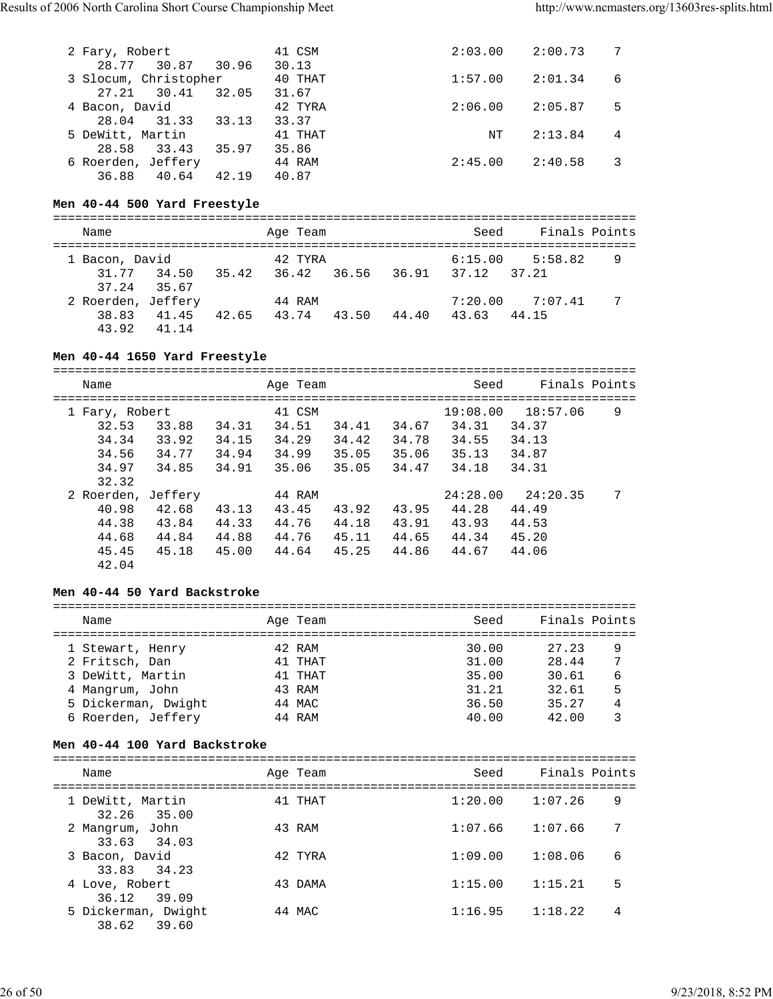| 2 Fary, Robert        |       | 41 CSM  | 2:03.00 | 2:00.73 | 7  |
|-----------------------|-------|---------|---------|---------|----|
| 28.77 30.87 30.96     |       | 30.13   |         |         |    |
| 3 Slocum, Christopher |       | 40 THAT | 1:57.00 | 2:01.34 | 6  |
| 30.41<br>27.21        | 32.05 | 31.67   |         |         |    |
| 4 Bacon, David        |       | 42 TYRA | 2:06.00 | 2:05.87 | -5 |
| 28.04 31.33           | 33.13 | 33.37   |         |         |    |
| 5 DeWitt, Martin      |       | 41 THAT | NΤ      | 2:13.84 | 4  |
| 33.43<br>28.58        | 35.97 | 35.86   |         |         |    |
| 6 Roerden, Jeffery    |       | 44 RAM  | 2:45.00 | 2:40.58 |    |
| 36.88<br>40.64        | 42.19 | 40.87   |         |         |    |

#### **Men 40-44 500 Yard Freestyle**

| Name                             |       | Age Team |       |       | Seed        | Finals Points |   |  |  |
|----------------------------------|-------|----------|-------|-------|-------------|---------------|---|--|--|
| 1 Bacon, David                   |       | 42 TYRA  |       |       | 6:15.00     | 5:58.82       | 9 |  |  |
| 31.77 34.50<br>37.24 35.67       | 35.42 | 36.42    | 36.56 | 36.91 | 37.12 37.21 |               |   |  |  |
| 2 Roerden, Jeffery               |       | 44 RAM   |       |       | 7:20.00     | 7:07.41       | 7 |  |  |
| 38.83<br>41.45<br>43.92<br>41.14 | 42.65 | 43.74    | 43.50 | 44.40 | 43.63       | 44.15         |   |  |  |

#### **Men 40-44 1650 Yard Freestyle**

=============================================================================== Name and Age Team Seed Finals Points =============================================================================== 1 Fary, Robert 41 CSM 19:08.00 18:57.06 9 32.53 33.88 34.31 34.51 34.41 34.67 34.31 34.37 34.34 33.92 34.15 34.29 34.42 34.78 34.55 34.13 34.56 34.77 34.94 34.99 35.05 35.06 35.13 34.87 34.97 34.85 34.91 35.06 35.05 34.47 34.18 34.31 32.32 2 Roerden, Jeffery 44 RAM 24:28.00 24:20.35 7 40.98 42.68 43.13 43.45 43.92 43.95 44.28 44.49 44.38 43.84 44.33 44.76 44.18 43.91 43.93 44.53 44.68 44.84 44.88 44.76 45.11 44.65 44.34 45.20 45.45 45.18 45.00 44.64 45.25 44.86 44.67 44.06 42.04

#### **Men 40-44 50 Yard Backstroke**

| Name                | Age Team | Seed  | Finals Points |   |
|---------------------|----------|-------|---------------|---|
| 1 Stewart, Henry    | 42 RAM   | 30.00 | 27.23         | 9 |
| 2 Fritsch, Dan      | 41 THAT  | 31.00 | 28.44         | 7 |
| 3 DeWitt, Martin    | 41 THAT  | 35.00 | 30.61         | 6 |
| 4 Mangrum, John     | 43 RAM   | 31.21 | 32.61         | 5 |
| 5 Dickerman, Dwight | 44 MAC   | 36.50 | 35.27         |   |
| 6 Roerden, Jeffery  | 44 RAM   | 40.00 | 42.00         |   |

#### **Men 40-44 100 Yard Backstroke**

| Name                               | Age Team | Finals Points<br>Seed   |  |
|------------------------------------|----------|-------------------------|--|
| 1 DeWitt, Martin<br>32.26 35.00    | 41 THAT  | 1:07.26<br>9<br>1:20.00 |  |
| 2 Mangrum, John<br>33.63 34.03     | 43 RAM   | 7<br>1:07.66<br>1:07.66 |  |
| 3 Bacon, David<br>33.83 34.23      | 42 TYRA  | 6<br>1:09.00<br>1:08.06 |  |
| 4 Love, Robert<br>36.12 39.09      | 43 DAMA  | 5<br>1:15.00<br>1:15.21 |  |
| 5 Dickerman, Dwight<br>38.62 39.60 | 44 MAC   | 1:18.22<br>1:16.95<br>4 |  |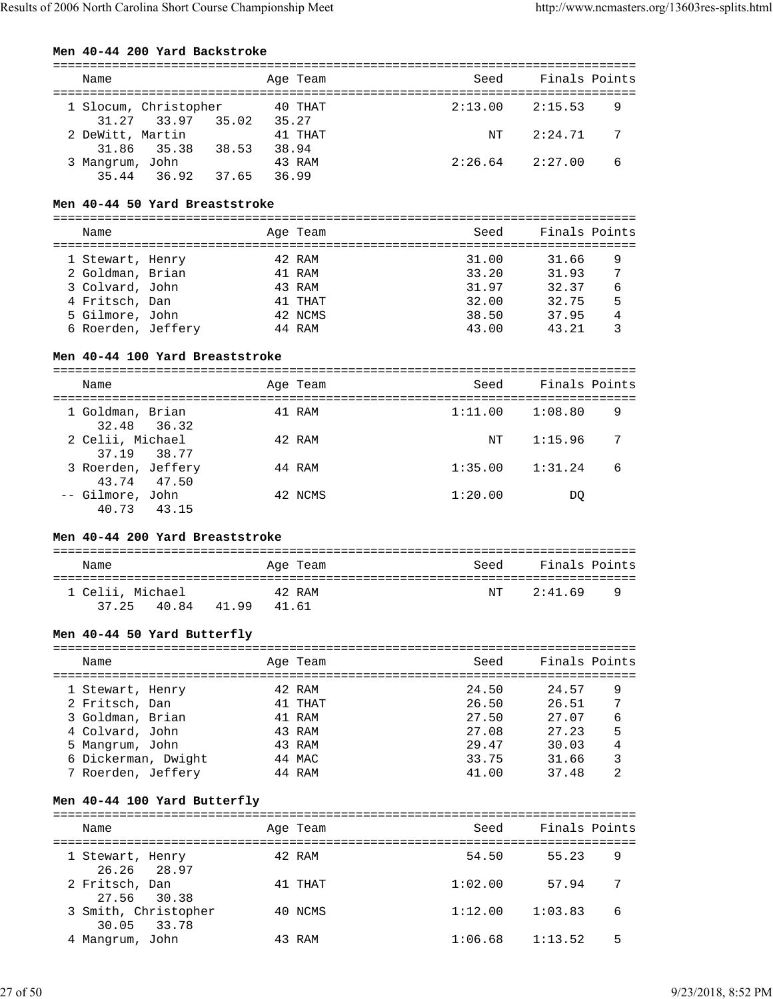#### **Men 40-44 200 Yard Backstroke**

| Name             |                       |       |       | Age Team | Seed    |         | Finals Points  |  |  |
|------------------|-----------------------|-------|-------|----------|---------|---------|----------------|--|--|
|                  | 1 Slocum, Christopher |       |       | 40 THAT  | 2:13.00 | 2:15.53 | 9              |  |  |
|                  | 31.27 33.97 35.02     |       | 35.27 | 41 THAT  | NT      | 2:24.71 | $\overline{7}$ |  |  |
| 2 DeWitt, Martin | 31.86 35.38           | 38.53 | 38.94 |          |         |         |                |  |  |
| 3 Mangrum, John  |                       |       |       | 43 RAM   | 2:26.64 | 2:27.00 | 6              |  |  |
|                  | 35.44 36.92           | 37.65 |       | 36.99    |         |         |                |  |  |

#### **Men 40-44 50 Yard Breaststroke**

===============================================================================

| Name               |  | Age Team | Seed  | Finals Points |   |
|--------------------|--|----------|-------|---------------|---|
| 1 Stewart, Henry   |  | 42 RAM   | 31.00 | 31.66         | 9 |
| 2 Goldman, Brian   |  | 41 RAM   | 33.20 | 31.93         | 7 |
| 3 Colvard, John    |  | 43 RAM   | 31.97 | 32.37         | 6 |
| 4 Fritsch, Dan     |  | 41 THAT  | 32.00 | 32.75         | 5 |
| 5 Gilmore, John    |  | 42 NCMS  | 38.50 | 37.95         | 4 |
| 6 Roerden, Jeffery |  | 44 RAM   | 43.00 | 43.21         |   |

#### **Men 40-44 100 Yard Breaststroke**

=============================================================================== Name **Age Team** Age Team Seed Finals Points =============================================================================== 1 Goldman, Brian 41 RAM 1:11.00 1:08.80 9 32.48 36.32<br>2 Celii, Michael 42 RAM NT 1:15.96 7 37.19 38.77<br>3 Roerden, Jeffery 44 RAM 1:35.00 1:31.24 6 43.74 47.50 -- Gilmore, John 42 NCMS 1:20.00 DQ 40.73 43.15

#### **Men 40-44 200 Yard Breaststroke**

| Name             |       | Age Team | Seed | Finals Points |     |
|------------------|-------|----------|------|---------------|-----|
| 1 Celii, Michael |       | 42 RAM   | NT   | 2:41.69       | ∣ Q |
| 37.25 40.84      | 41.99 | 41 61    |      |               |     |

#### **Men 40-44 50 Yard Butterfly**

| Name                | Age Team | Seed  | Finals Points |   |
|---------------------|----------|-------|---------------|---|
| 1 Stewart, Henry    | 42 RAM   | 24.50 | 24.57         | 9 |
| 2 Fritsch, Dan      | 41 THAT  | 26.50 | 26.51         | 7 |
| 3 Goldman, Brian    | 41 RAM   | 27.50 | 27.07         | 6 |
| 4 Colvard, John     | 43 RAM   | 27.08 | 27.23         | 5 |
| 5 Mangrum, John     | 43 RAM   | 29.47 | 30.03         | 4 |
| 6 Dickerman, Dwight | 44 MAC   | 33.75 | 31.66         | 3 |
| 7 Roerden, Jeffery  | 44 RAM   | 41.00 | 37.48         | 2 |

#### **Men 40-44 100 Yard Butterfly**

| Name                                | Age Team | Seed    | Finals Points |   |
|-------------------------------------|----------|---------|---------------|---|
| 1 Stewart, Henry<br>26.26 28.97     | 42 RAM   | 54.50   | 55.23         | 9 |
| 2 Fritsch, Dan<br>27.56 30.38       | 41 THAT  | 1:02.00 | 57.94         | 7 |
| 3 Smith, Christopher<br>30.05 33.78 | 40 NCMS  | 1:12.00 | 1:03.83       | 6 |
| Mangrum, John                       | 43 RAM   | 1:06.68 | 1:13.52       | 5 |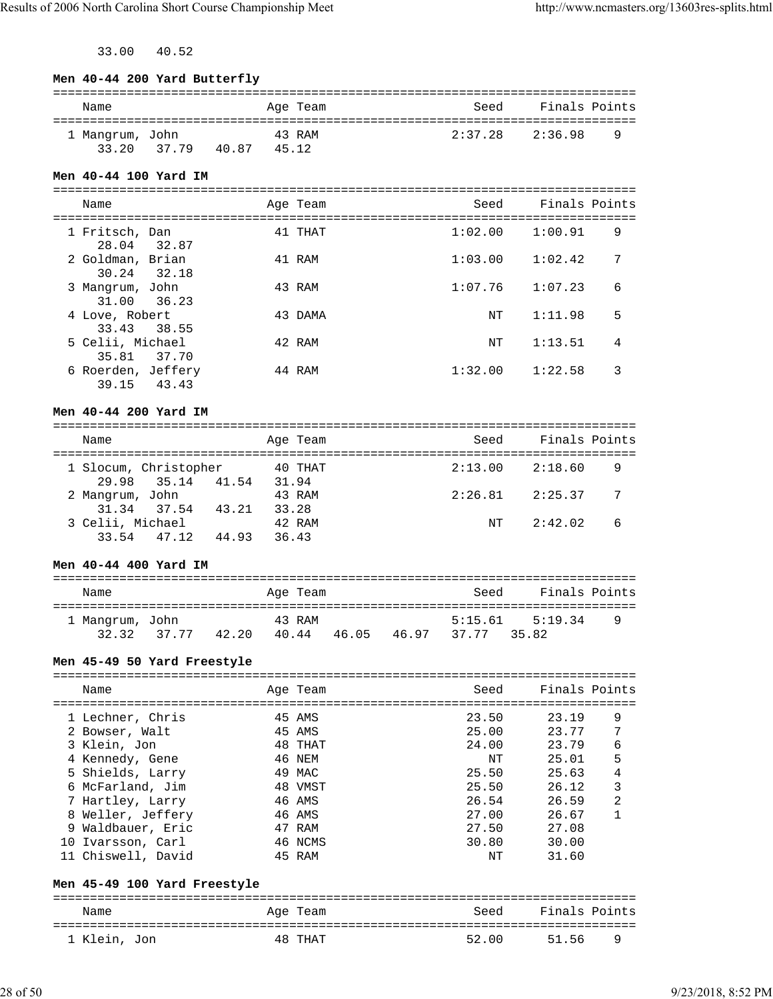33.00 40.52

| Seed Finals Points<br>Age Team<br>Name<br>43 RAM<br>$2:37.28$ $2:36.98$<br>9<br>1 Mangrum, John<br>33.20 37.79 40.87 45.12<br>Men 40-44 100 Yard IM<br>Seed Finals Points<br>Age Team<br>Name<br>41 THAT<br>1:02.00<br>9<br>1 Fritsch, Dan<br>1:00.91<br>28.04 32.87<br>2 Goldman, Brian<br>7<br>41 RAM<br>1:03.00<br>1:02.42<br>30.24 32.18<br>3 Mangrum, John<br>1:07.76<br>1:07.23<br>6<br>43 RAM<br>31.00<br>36.23<br>4 Love, Robert<br>43 DAMA<br>1:11.98<br>5<br>NΤ<br>33.43<br>38.55<br>5 Celii, Michael<br>42 RAM<br>4<br>ΝT<br>1:13.51<br>35.81 37.70<br>6 Roerden, Jeffery<br>1:32.00<br>44 RAM<br>1:22.58<br>3<br>39.15 43.43<br>Men 40-44 200 Yard IM<br>Seed<br>Finals Points<br>Age Team<br>Name<br>40 THAT<br>9<br>1 Slocum, Christopher<br>$2:13.00$ $2:18.60$<br>35.14 41.54 31.94<br>29.98<br>2:26.81<br>2:25.37<br>7<br>2 Mangrum, John<br>43 RAM<br>37.54 43.21 33.28<br>31.34<br>3 Celii, Michael<br>42 RAM<br>2:42.02<br>6<br>NT<br>47.12 44.93 36.43<br>33.54<br>Men 40-44 400 Yard IM<br>Finals Points<br>Age Team<br>Seed<br>Name<br>43 RAM<br>5:15.61<br>9<br>1 Mangrum, John<br>5:19.34<br>32.32 37.77 42.20 40.44 46.05 46.97 37.77 35.82<br>Men 45-49 50 Yard Freestyle<br>Seed<br>Finals Points<br>Name<br>Age Team<br>23.50<br>9<br>1 Lechner, Chris<br>45 AMS<br>23.19<br>2 Bowser, Walt<br>25.00<br>45 AMS<br>23.77<br>7<br>23.79<br>3 Klein, Jon<br>48 THAT<br>24.00<br>6<br>5<br>4 Kennedy, Gene<br>46 NEM<br>25.01<br>ΝT<br>4<br>49 MAC<br>25.50<br>5 Shields, Larry<br>25.63<br>3<br>25.50<br>6 McFarland, Jim<br>48 VMST<br>26.12<br>2<br>7 Hartley, Larry<br>46 AMS<br>26.54<br>26.59<br>8 Weller, Jeffery<br>46 AMS<br>27.00<br>26.67<br>1<br>9 Waldbauer, Eric<br>47 RAM<br>27.50<br>27.08<br>10 Ivarsson, Carl<br>46 NCMS<br>30.80<br>30.00<br>11 Chiswell, David<br>45 RAM<br>NΤ<br>31.60<br>Men 45-49 100 Yard Freestyle<br>Finals Points<br>Seed<br>Name<br>Age Team | Men 40-44 200 Yard Butterfly |  |  |  |  |
|-------------------------------------------------------------------------------------------------------------------------------------------------------------------------------------------------------------------------------------------------------------------------------------------------------------------------------------------------------------------------------------------------------------------------------------------------------------------------------------------------------------------------------------------------------------------------------------------------------------------------------------------------------------------------------------------------------------------------------------------------------------------------------------------------------------------------------------------------------------------------------------------------------------------------------------------------------------------------------------------------------------------------------------------------------------------------------------------------------------------------------------------------------------------------------------------------------------------------------------------------------------------------------------------------------------------------------------------------------------------------------------------------------------------------------------------------------------------------------------------------------------------------------------------------------------------------------------------------------------------------------------------------------------------------------------------------------------------------------------------------------------------------------------------------------------------------------------------------------------------------------------------------------------------|------------------------------|--|--|--|--|
|                                                                                                                                                                                                                                                                                                                                                                                                                                                                                                                                                                                                                                                                                                                                                                                                                                                                                                                                                                                                                                                                                                                                                                                                                                                                                                                                                                                                                                                                                                                                                                                                                                                                                                                                                                                                                                                                                                                   |                              |  |  |  |  |
|                                                                                                                                                                                                                                                                                                                                                                                                                                                                                                                                                                                                                                                                                                                                                                                                                                                                                                                                                                                                                                                                                                                                                                                                                                                                                                                                                                                                                                                                                                                                                                                                                                                                                                                                                                                                                                                                                                                   |                              |  |  |  |  |
|                                                                                                                                                                                                                                                                                                                                                                                                                                                                                                                                                                                                                                                                                                                                                                                                                                                                                                                                                                                                                                                                                                                                                                                                                                                                                                                                                                                                                                                                                                                                                                                                                                                                                                                                                                                                                                                                                                                   |                              |  |  |  |  |
|                                                                                                                                                                                                                                                                                                                                                                                                                                                                                                                                                                                                                                                                                                                                                                                                                                                                                                                                                                                                                                                                                                                                                                                                                                                                                                                                                                                                                                                                                                                                                                                                                                                                                                                                                                                                                                                                                                                   |                              |  |  |  |  |
|                                                                                                                                                                                                                                                                                                                                                                                                                                                                                                                                                                                                                                                                                                                                                                                                                                                                                                                                                                                                                                                                                                                                                                                                                                                                                                                                                                                                                                                                                                                                                                                                                                                                                                                                                                                                                                                                                                                   |                              |  |  |  |  |
|                                                                                                                                                                                                                                                                                                                                                                                                                                                                                                                                                                                                                                                                                                                                                                                                                                                                                                                                                                                                                                                                                                                                                                                                                                                                                                                                                                                                                                                                                                                                                                                                                                                                                                                                                                                                                                                                                                                   |                              |  |  |  |  |
|                                                                                                                                                                                                                                                                                                                                                                                                                                                                                                                                                                                                                                                                                                                                                                                                                                                                                                                                                                                                                                                                                                                                                                                                                                                                                                                                                                                                                                                                                                                                                                                                                                                                                                                                                                                                                                                                                                                   |                              |  |  |  |  |
|                                                                                                                                                                                                                                                                                                                                                                                                                                                                                                                                                                                                                                                                                                                                                                                                                                                                                                                                                                                                                                                                                                                                                                                                                                                                                                                                                                                                                                                                                                                                                                                                                                                                                                                                                                                                                                                                                                                   |                              |  |  |  |  |
|                                                                                                                                                                                                                                                                                                                                                                                                                                                                                                                                                                                                                                                                                                                                                                                                                                                                                                                                                                                                                                                                                                                                                                                                                                                                                                                                                                                                                                                                                                                                                                                                                                                                                                                                                                                                                                                                                                                   |                              |  |  |  |  |
|                                                                                                                                                                                                                                                                                                                                                                                                                                                                                                                                                                                                                                                                                                                                                                                                                                                                                                                                                                                                                                                                                                                                                                                                                                                                                                                                                                                                                                                                                                                                                                                                                                                                                                                                                                                                                                                                                                                   |                              |  |  |  |  |
|                                                                                                                                                                                                                                                                                                                                                                                                                                                                                                                                                                                                                                                                                                                                                                                                                                                                                                                                                                                                                                                                                                                                                                                                                                                                                                                                                                                                                                                                                                                                                                                                                                                                                                                                                                                                                                                                                                                   |                              |  |  |  |  |
|                                                                                                                                                                                                                                                                                                                                                                                                                                                                                                                                                                                                                                                                                                                                                                                                                                                                                                                                                                                                                                                                                                                                                                                                                                                                                                                                                                                                                                                                                                                                                                                                                                                                                                                                                                                                                                                                                                                   |                              |  |  |  |  |
|                                                                                                                                                                                                                                                                                                                                                                                                                                                                                                                                                                                                                                                                                                                                                                                                                                                                                                                                                                                                                                                                                                                                                                                                                                                                                                                                                                                                                                                                                                                                                                                                                                                                                                                                                                                                                                                                                                                   |                              |  |  |  |  |
|                                                                                                                                                                                                                                                                                                                                                                                                                                                                                                                                                                                                                                                                                                                                                                                                                                                                                                                                                                                                                                                                                                                                                                                                                                                                                                                                                                                                                                                                                                                                                                                                                                                                                                                                                                                                                                                                                                                   |                              |  |  |  |  |
|                                                                                                                                                                                                                                                                                                                                                                                                                                                                                                                                                                                                                                                                                                                                                                                                                                                                                                                                                                                                                                                                                                                                                                                                                                                                                                                                                                                                                                                                                                                                                                                                                                                                                                                                                                                                                                                                                                                   |                              |  |  |  |  |
|                                                                                                                                                                                                                                                                                                                                                                                                                                                                                                                                                                                                                                                                                                                                                                                                                                                                                                                                                                                                                                                                                                                                                                                                                                                                                                                                                                                                                                                                                                                                                                                                                                                                                                                                                                                                                                                                                                                   |                              |  |  |  |  |
|                                                                                                                                                                                                                                                                                                                                                                                                                                                                                                                                                                                                                                                                                                                                                                                                                                                                                                                                                                                                                                                                                                                                                                                                                                                                                                                                                                                                                                                                                                                                                                                                                                                                                                                                                                                                                                                                                                                   |                              |  |  |  |  |
|                                                                                                                                                                                                                                                                                                                                                                                                                                                                                                                                                                                                                                                                                                                                                                                                                                                                                                                                                                                                                                                                                                                                                                                                                                                                                                                                                                                                                                                                                                                                                                                                                                                                                                                                                                                                                                                                                                                   |                              |  |  |  |  |
|                                                                                                                                                                                                                                                                                                                                                                                                                                                                                                                                                                                                                                                                                                                                                                                                                                                                                                                                                                                                                                                                                                                                                                                                                                                                                                                                                                                                                                                                                                                                                                                                                                                                                                                                                                                                                                                                                                                   |                              |  |  |  |  |
|                                                                                                                                                                                                                                                                                                                                                                                                                                                                                                                                                                                                                                                                                                                                                                                                                                                                                                                                                                                                                                                                                                                                                                                                                                                                                                                                                                                                                                                                                                                                                                                                                                                                                                                                                                                                                                                                                                                   |                              |  |  |  |  |
|                                                                                                                                                                                                                                                                                                                                                                                                                                                                                                                                                                                                                                                                                                                                                                                                                                                                                                                                                                                                                                                                                                                                                                                                                                                                                                                                                                                                                                                                                                                                                                                                                                                                                                                                                                                                                                                                                                                   |                              |  |  |  |  |
|                                                                                                                                                                                                                                                                                                                                                                                                                                                                                                                                                                                                                                                                                                                                                                                                                                                                                                                                                                                                                                                                                                                                                                                                                                                                                                                                                                                                                                                                                                                                                                                                                                                                                                                                                                                                                                                                                                                   |                              |  |  |  |  |
|                                                                                                                                                                                                                                                                                                                                                                                                                                                                                                                                                                                                                                                                                                                                                                                                                                                                                                                                                                                                                                                                                                                                                                                                                                                                                                                                                                                                                                                                                                                                                                                                                                                                                                                                                                                                                                                                                                                   |                              |  |  |  |  |
|                                                                                                                                                                                                                                                                                                                                                                                                                                                                                                                                                                                                                                                                                                                                                                                                                                                                                                                                                                                                                                                                                                                                                                                                                                                                                                                                                                                                                                                                                                                                                                                                                                                                                                                                                                                                                                                                                                                   |                              |  |  |  |  |
|                                                                                                                                                                                                                                                                                                                                                                                                                                                                                                                                                                                                                                                                                                                                                                                                                                                                                                                                                                                                                                                                                                                                                                                                                                                                                                                                                                                                                                                                                                                                                                                                                                                                                                                                                                                                                                                                                                                   |                              |  |  |  |  |
|                                                                                                                                                                                                                                                                                                                                                                                                                                                                                                                                                                                                                                                                                                                                                                                                                                                                                                                                                                                                                                                                                                                                                                                                                                                                                                                                                                                                                                                                                                                                                                                                                                                                                                                                                                                                                                                                                                                   |                              |  |  |  |  |
|                                                                                                                                                                                                                                                                                                                                                                                                                                                                                                                                                                                                                                                                                                                                                                                                                                                                                                                                                                                                                                                                                                                                                                                                                                                                                                                                                                                                                                                                                                                                                                                                                                                                                                                                                                                                                                                                                                                   |                              |  |  |  |  |
|                                                                                                                                                                                                                                                                                                                                                                                                                                                                                                                                                                                                                                                                                                                                                                                                                                                                                                                                                                                                                                                                                                                                                                                                                                                                                                                                                                                                                                                                                                                                                                                                                                                                                                                                                                                                                                                                                                                   |                              |  |  |  |  |
|                                                                                                                                                                                                                                                                                                                                                                                                                                                                                                                                                                                                                                                                                                                                                                                                                                                                                                                                                                                                                                                                                                                                                                                                                                                                                                                                                                                                                                                                                                                                                                                                                                                                                                                                                                                                                                                                                                                   |                              |  |  |  |  |
|                                                                                                                                                                                                                                                                                                                                                                                                                                                                                                                                                                                                                                                                                                                                                                                                                                                                                                                                                                                                                                                                                                                                                                                                                                                                                                                                                                                                                                                                                                                                                                                                                                                                                                                                                                                                                                                                                                                   |                              |  |  |  |  |
|                                                                                                                                                                                                                                                                                                                                                                                                                                                                                                                                                                                                                                                                                                                                                                                                                                                                                                                                                                                                                                                                                                                                                                                                                                                                                                                                                                                                                                                                                                                                                                                                                                                                                                                                                                                                                                                                                                                   |                              |  |  |  |  |
|                                                                                                                                                                                                                                                                                                                                                                                                                                                                                                                                                                                                                                                                                                                                                                                                                                                                                                                                                                                                                                                                                                                                                                                                                                                                                                                                                                                                                                                                                                                                                                                                                                                                                                                                                                                                                                                                                                                   |                              |  |  |  |  |
|                                                                                                                                                                                                                                                                                                                                                                                                                                                                                                                                                                                                                                                                                                                                                                                                                                                                                                                                                                                                                                                                                                                                                                                                                                                                                                                                                                                                                                                                                                                                                                                                                                                                                                                                                                                                                                                                                                                   |                              |  |  |  |  |
|                                                                                                                                                                                                                                                                                                                                                                                                                                                                                                                                                                                                                                                                                                                                                                                                                                                                                                                                                                                                                                                                                                                                                                                                                                                                                                                                                                                                                                                                                                                                                                                                                                                                                                                                                                                                                                                                                                                   |                              |  |  |  |  |
|                                                                                                                                                                                                                                                                                                                                                                                                                                                                                                                                                                                                                                                                                                                                                                                                                                                                                                                                                                                                                                                                                                                                                                                                                                                                                                                                                                                                                                                                                                                                                                                                                                                                                                                                                                                                                                                                                                                   |                              |  |  |  |  |
|                                                                                                                                                                                                                                                                                                                                                                                                                                                                                                                                                                                                                                                                                                                                                                                                                                                                                                                                                                                                                                                                                                                                                                                                                                                                                                                                                                                                                                                                                                                                                                                                                                                                                                                                                                                                                                                                                                                   |                              |  |  |  |  |
|                                                                                                                                                                                                                                                                                                                                                                                                                                                                                                                                                                                                                                                                                                                                                                                                                                                                                                                                                                                                                                                                                                                                                                                                                                                                                                                                                                                                                                                                                                                                                                                                                                                                                                                                                                                                                                                                                                                   |                              |  |  |  |  |
|                                                                                                                                                                                                                                                                                                                                                                                                                                                                                                                                                                                                                                                                                                                                                                                                                                                                                                                                                                                                                                                                                                                                                                                                                                                                                                                                                                                                                                                                                                                                                                                                                                                                                                                                                                                                                                                                                                                   |                              |  |  |  |  |
|                                                                                                                                                                                                                                                                                                                                                                                                                                                                                                                                                                                                                                                                                                                                                                                                                                                                                                                                                                                                                                                                                                                                                                                                                                                                                                                                                                                                                                                                                                                                                                                                                                                                                                                                                                                                                                                                                                                   |                              |  |  |  |  |
|                                                                                                                                                                                                                                                                                                                                                                                                                                                                                                                                                                                                                                                                                                                                                                                                                                                                                                                                                                                                                                                                                                                                                                                                                                                                                                                                                                                                                                                                                                                                                                                                                                                                                                                                                                                                                                                                                                                   |                              |  |  |  |  |
|                                                                                                                                                                                                                                                                                                                                                                                                                                                                                                                                                                                                                                                                                                                                                                                                                                                                                                                                                                                                                                                                                                                                                                                                                                                                                                                                                                                                                                                                                                                                                                                                                                                                                                                                                                                                                                                                                                                   |                              |  |  |  |  |
|                                                                                                                                                                                                                                                                                                                                                                                                                                                                                                                                                                                                                                                                                                                                                                                                                                                                                                                                                                                                                                                                                                                                                                                                                                                                                                                                                                                                                                                                                                                                                                                                                                                                                                                                                                                                                                                                                                                   |                              |  |  |  |  |
|                                                                                                                                                                                                                                                                                                                                                                                                                                                                                                                                                                                                                                                                                                                                                                                                                                                                                                                                                                                                                                                                                                                                                                                                                                                                                                                                                                                                                                                                                                                                                                                                                                                                                                                                                                                                                                                                                                                   |                              |  |  |  |  |
| 52.00<br>51.56<br>9<br>1 Klein, Jon<br>48 THAT                                                                                                                                                                                                                                                                                                                                                                                                                                                                                                                                                                                                                                                                                                                                                                                                                                                                                                                                                                                                                                                                                                                                                                                                                                                                                                                                                                                                                                                                                                                                                                                                                                                                                                                                                                                                                                                                    |                              |  |  |  |  |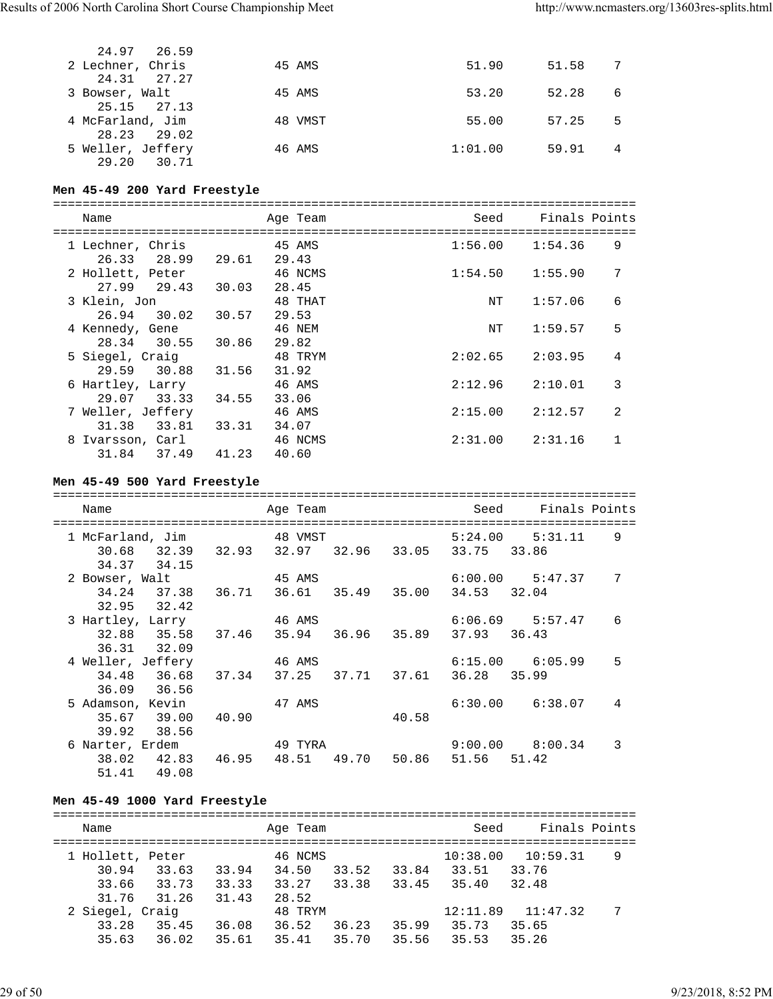| 24.97 26.59                      |         |         |       |   |
|----------------------------------|---------|---------|-------|---|
| 2 Lechner, Chris<br>24.31 27.27  | 45 AMS  | 51.90   | 51.58 |   |
| 3 Bowser, Walt<br>25.15 27.13    | 45 AMS  | 53.20   | 52.28 | 6 |
| 4 McFarland, Jim                 | 48 VMST | 55.00   | 57.25 | 5 |
| 28.23 29.02<br>5 Weller, Jeffery | 46 AMS  | 1:01.00 | 59.91 | 4 |
| 29.20<br>30.71                   |         |         |       |   |

# **Men 45-49 200 Yard Freestyle**

|   | Name                                |       | Age Team         | Seed    | Finals Points |                |
|---|-------------------------------------|-------|------------------|---------|---------------|----------------|
|   | 1 Lechner, Chris<br>28.99<br>26.33  | 29.61 | 45 AMS<br>29.43  | 1:56.00 | 1:54.36       | 9              |
|   | 2 Hollett, Peter<br>29.43<br>27.99  | 30.03 | 46 NCMS<br>28.45 | 1:54.50 | 1:55.90       | 7              |
|   | 3 Klein, Jon<br>30.02<br>26.94      | 30.57 | 48 THAT<br>29.53 | ΝT      | 1:57.06       | 6              |
|   | 4 Kennedy, Gene<br>30.55<br>28.34   | 30.86 | 46 NEM<br>29.82  | ΝT      | 1:59.57       | 5              |
|   | 5 Siegel, Craig<br>30.88<br>29.59   | 31.56 | 48 TRYM<br>31.92 | 2:02.65 | 2:03.95       | 4              |
|   | 6 Hartley, Larry<br>29.07<br>33.33  | 34.55 | 46 AMS<br>33.06  | 2:12.96 | 2:10.01       | 3              |
|   | 7 Weller, Jeffery<br>33.81<br>31.38 | 33.31 | 46 AMS<br>34.07  | 2:15.00 | 2:12.57       | $\mathfrak{D}$ |
| 8 | Ivarsson, Carl<br>31.84<br>37.49    | 41.23 | 46 NCMS<br>40.60 | 2:31.00 | 2:31.16       |                |

# **Men 45-49 500 Yard Freestyle**

| Name              |                          |       | Age Team<br>-----------------------       |  |                   | -------------------------------- | Seed Finals Points  |   |
|-------------------|--------------------------|-------|-------------------------------------------|--|-------------------|----------------------------------|---------------------|---|
|                   | 1 McFarland, Jim         |       | 48 VMST                                   |  |                   |                                  | $5:24.00$ $5:31.11$ | 9 |
|                   | 30.68 32.39 32.93        |       |                                           |  |                   | 32.97 32.96 33.05 33.75          | 33.86               |   |
|                   | 34.37 34.15              |       |                                           |  |                   |                                  |                     |   |
| 2 Bowser, Walt    |                          |       | 45 AMS                                    |  |                   |                                  | $6:00.00$ $5:47.37$ | 7 |
|                   |                          |       | 34.24 37.38 36.71 36.61 35.49 35.00       |  |                   | 34.53                            | 32.04               |   |
|                   | 32.95 32.42              |       |                                           |  |                   |                                  |                     |   |
|                   | 3 Hartley, Larry 546 AMS |       |                                           |  |                   |                                  | $6:06.69$ $5:57.47$ | 6 |
|                   | 32.88 35.58              |       | 37.46 35.94 36.96 35.89 37.93 36.43       |  |                   |                                  |                     |   |
|                   | 36.31 32.09              |       |                                           |  |                   |                                  |                     |   |
| 4 Weller, Jeffery |                          |       | 46 AMS                                    |  |                   |                                  | $6:15.00$ $6:05.99$ | 5 |
|                   |                          |       | 34.48 36.68 37.34 37.25 37.71 37.61 36.28 |  |                   |                                  | 35.99               |   |
|                   | 36.09 36.56              |       |                                           |  |                   |                                  |                     |   |
|                   | 5 Adamson, Kevin         |       | 47 AMS                                    |  |                   |                                  | $6:30.00$ $6:38.07$ | 4 |
|                   | 35.67 39.00              | 40.90 |                                           |  | 40.58             |                                  |                     |   |
|                   | 39.92 38.56              |       |                                           |  |                   |                                  |                     |   |
|                   | 6 Narter, Erdem 19 TYRA  |       |                                           |  |                   |                                  | $9:00.00$ $8:00.34$ | 3 |
|                   | 38.02 42.83              | 46.95 |                                           |  | 48.51 49.70 50.86 | 51.56 51.42                      |                     |   |
|                   | 51.41 49.08              |       |                                           |  |                   |                                  |                     |   |

# **Men 45-49 1000 Yard Freestyle**

| Name             |       |       | Age Team |       |       | Seed     | Finals Points |   |
|------------------|-------|-------|----------|-------|-------|----------|---------------|---|
| 1 Hollett, Peter |       |       | 46 NCMS  |       |       | 10:38.00 | 10:59.31      | 9 |
| 30.94            | 33.63 | 33.94 | 34.50    | 33.52 | 33.84 | 33.51    | 33.76         |   |
| 33.66            | 33.73 | 33.33 | 33.27    | 33.38 | 33.45 | 35.40    | 32.48         |   |
| 31.76            | 31.26 | 31.43 | 28.52    |       |       |          |               |   |
| 2 Siegel, Craig  |       |       | 48 TRYM  |       |       | 12:11.89 | 11:47.32      | 7 |
| 33.28            | 35.45 | 36.08 | 36.52    | 36.23 | 35.99 | 35.73    | 35.65         |   |
| 35.63            | 36.02 | 35.61 | 35.41    | 35.70 | 35.56 | 35.53    | 35.26         |   |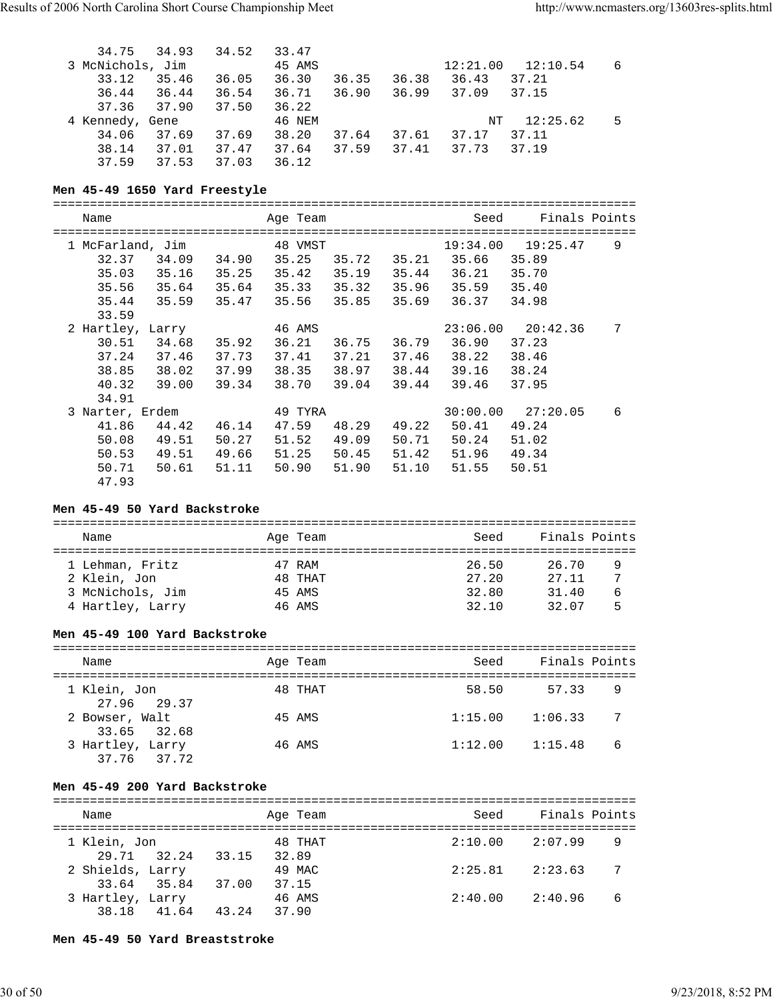| 34.75           | 34.93            | 34.52 | 33.47  |       |       |          |          |   |
|-----------------|------------------|-------|--------|-------|-------|----------|----------|---|
|                 | 3 McNichols, Jim |       | 45 AMS |       |       | 12:21.00 | 12:10.54 | 6 |
| 33.12           | 35.46            | 36.05 | 36.30  | 36.35 | 36.38 | 36.43    | 37.21    |   |
| 36.44           | 36.44            | 36.54 | 36.71  | 36.90 | 36.99 | 37.09    | 37.15    |   |
| 37.36           | 37.90            | 37.50 | 36.22  |       |       |          |          |   |
| 4 Kennedy, Gene |                  |       | 46 NEM |       |       | NT       | 12:25.62 | 5 |
| 34.06           | 37.69            | 37.69 | 38.20  | 37.64 | 37.61 | 37.17    | 37.11    |   |
| 38.14           | 37.01            | 37.47 | 37.64  | 37.59 | 37.41 | 37.73    | 37.19    |   |
| 37.59           | 37.53            | 37.03 | 36.12  |       |       |          |          |   |

#### **Men 45-49 1650 Yard Freestyle**

===============================================================================

| Name               | Age Team       |       |       | Seed     | Finals Points         |   |
|--------------------|----------------|-------|-------|----------|-----------------------|---|
| 1 McFarland, Jim   | 48 VMST        |       |       |          | $19:34.00$ $19:25.47$ | 9 |
| 32.37<br>34.09     | 34.90<br>35.25 | 35.72 | 35.21 | 35.66    | 35.89                 |   |
| 35.03<br>35.16     | 35.25<br>35.42 | 35.19 | 35.44 | 36.21    | 35.70                 |   |
| 35.64<br>35.56     | 35.64<br>35.33 | 35.32 | 35.96 | 35.59    | 35.40                 |   |
| 35.59<br>35.44     | 35.56<br>35.47 | 35.85 | 35.69 | 36.37    | 34.98                 |   |
| 33.59              |                |       |       |          |                       |   |
| 2 Hartley, Larry   | 46 AMS         |       |       | 23:06.00 | 20:42.36              | 7 |
| 30.51<br>34.68     | 35.92<br>36.21 | 36.75 | 36.79 | 36.90    | 37.23                 |   |
| 37.24<br>37.46     | 37.73<br>37.41 | 37.21 | 37.46 | 38.22    | 38.46                 |   |
| 38.85<br>38.02     | 37.99<br>38.35 | 38.97 | 38.44 | 39.16    | 38.24                 |   |
| 40.32<br>39.00     | 39.34<br>38.70 | 39.04 | 39.44 | 39.46    | 37.95                 |   |
| 34.91              |                |       |       |          |                       |   |
| Narter, Erdem<br>3 | 49 TYRA        |       |       | 30:00.00 | 27:20.05              | 6 |
| 41.86<br>44.42     | 47.59<br>46.14 | 48.29 | 49.22 | 50.41    | 49.24                 |   |
| 50.08<br>49.51     | 50.27<br>51.52 | 49.09 | 50.71 | 50.24    | 51.02                 |   |
| 50.53<br>49.51     | 49.66<br>51.25 | 50.45 | 51.42 | 51.96    | 49.34                 |   |
| 50.71<br>50.61     | 50.90<br>51.11 | 51.90 | 51.10 | 51.55    | 50.51                 |   |
| 47.93              |                |       |       |          |                       |   |

#### **Men 45-49 50 Yard Backstroke**

| Name             |  | Age Team | Seed  | Finals Points |   |  |  |
|------------------|--|----------|-------|---------------|---|--|--|
|                  |  |          |       |               |   |  |  |
| 1 Lehman, Fritz  |  | 47 RAM   | 26.50 | 26.70         | 9 |  |  |
| 2 Klein, Jon     |  | 48 THAT  | 27.20 | 27.11         |   |  |  |
| 3 McNichols, Jim |  | 45 AMS   | 32.80 | 31.40         | 6 |  |  |
| 4 Hartley, Larry |  | 46 AMS   | 32.10 | 32.07         |   |  |  |

#### **Men 45-49 100 Yard Backstroke**

| Name                            | Age Team | Seed    | Finals Points             |
|---------------------------------|----------|---------|---------------------------|
| 1 Klein, Jon<br>27.96 29.37     | 48 THAT  | 58.50   | 57.33<br>9                |
| 2 Bowser, Walt<br>33.65 32.68   | 45 AMS   | 1:15.00 | $\overline{7}$<br>1:06.33 |
| 3 Hartley, Larry<br>37.76 37.72 | 46 AMS   | 1:12.00 | 6<br>1:15.48              |

#### **Men 45-49 200 Yard Backstroke**

| Name             |             |       | Age Team        | Seed    | Finals Points |
|------------------|-------------|-------|-----------------|---------|---------------|
| 1 Klein, Jon     |             |       | 48 THAT         | 2:10.00 | 2:07.99<br>9  |
|                  | 29.71 32.24 | 33.15 | 32.89           |         | -7            |
| 2 Shields, Larry | 33.64 35.84 | 37.00 | 49 MAC<br>37.15 | 2:25.81 | 2:23.63       |
| 3 Hartley, Larry | 38.18 41.64 | 43.24 | 46 AMS<br>37.90 | 2:40.00 | 6<br>2:40.96  |

**Men 45-49 50 Yard Breaststroke**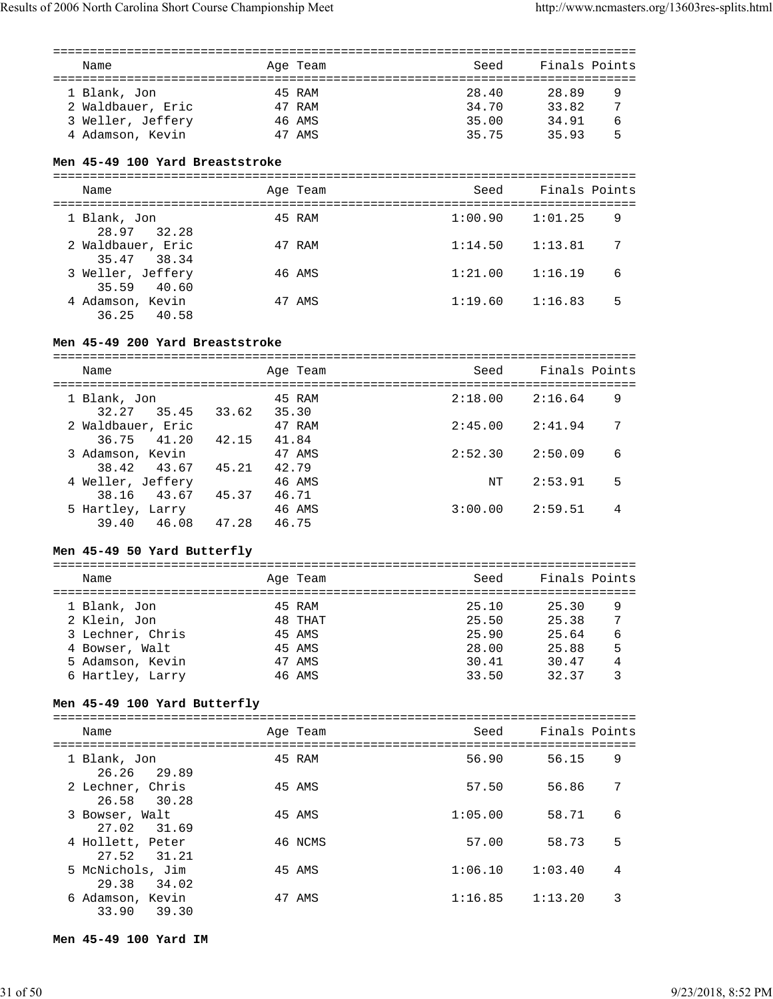| Name              | Age Team | Seed  | Finals Points |   |
|-------------------|----------|-------|---------------|---|
| 1 Blank, Jon      | 45 RAM   | 28.40 | 28.89         | 9 |
| 2 Waldbauer, Eric | 47 RAM   | 34.70 | 33.82         | 7 |
| 3 Weller, Jeffery | 46 AMS   | 35.00 | 34.91         | 6 |
| 4 Adamson, Kevin  | 47 AMS   | 35.75 | 35 93         | 5 |

#### **Men 45-49 100 Yard Breaststroke**

| Name                                | Age Team | Seed    | Finals Points |   |
|-------------------------------------|----------|---------|---------------|---|
| 1 Blank, Jon<br>28.97 32.28         | 45 RAM   | 1:00.90 | 1:01.25       | 9 |
| 2 Waldbauer, Eric<br>35.47 38.34    | 47 RAM   | 1:14.50 | 1:13.81       | 7 |
| 3 Weller, Jeffery<br>40.60<br>35.59 | 46 AMS   | 1:21.00 | 1:16.19       | 6 |
| 4 Adamson, Kevin<br>36.25 40.58     | 47 AMS   | 1:19.60 | 1:16.83       | 5 |

#### **Men 45-49 200 Yard Breaststroke**

===============================================================================

| Name                               |       | Age Team        | Seed    | Finals Points |   |
|------------------------------------|-------|-----------------|---------|---------------|---|
| 1 Blank, Jon<br>32.27<br>35.45     | 33.62 | 45 RAM<br>35.30 | 2:18.00 | 2:16.64       | 9 |
| 2 Waldbauer, Eric                  |       | 47 RAM          | 2:45.00 | 2:41.94       | 7 |
| 41.20<br>36.75<br>3 Adamson, Kevin | 42.15 | 41.84<br>47 AMS | 2:52:30 | 2:50.09       | 6 |
| 38.42 43.67<br>4 Weller, Jeffery   | 45.21 | 42.79<br>46 AMS | NT      | 2:53.91       | 5 |
| 43.67<br>38.16<br>5 Hartley, Larry | 45.37 | 46.71<br>46 AMS | 3:00.00 | 2:59.51       | 4 |
| 39.40<br>46.08                     | 47.28 | 46.75           |         |               |   |

#### **Men 45-49 50 Yard Butterfly**

#### =============================================================================== Name Team Age Team Seed Finals Points =============================================================================== 1 Blank, Jon 45 RAM 25.10 25.30 9 2 Klein, Jon 48 THAT 25.50 25.38 7 3 Lechner, Chris 45 AMS 25.90 25.64 6 4 Bowser, Walt 45 AMS 28.00 25.88 5 5 Adamson, Kevin 47 AMS 30.41 30.47 4 6 Hartley, Larry 46 AMS 33.50 32.37 3

#### **Men 45-49 100 Yard Butterfly**

| Name                               | Age Team | Seed    | Finals Points |   |
|------------------------------------|----------|---------|---------------|---|
| 1 Blank, Jon<br>26.26 29.89        | 45 RAM   | 56.90   | 56.15         | 9 |
| 2 Lechner, Chris<br>26.58 30.28    | 45 AMS   | 57.50   | 56.86         | 7 |
| 3 Bowser, Walt<br>27.02 31.69      | 45 AMS   | 1:05.00 | 58.71         | 6 |
| 4 Hollett, Peter<br>27.52 31.21    | 46 NCMS  | 57.00   | 58.73         | 5 |
| 5 McNichols, Jim<br>29.38<br>34.02 | 45 AMS   | 1:06.10 | 1:03.40       | 4 |
| 6 Adamson, Kevin<br>39.30<br>33.90 | 47 AMS   | 1:16.85 | 1:13.20       | 3 |

**Men 45-49 100 Yard IM**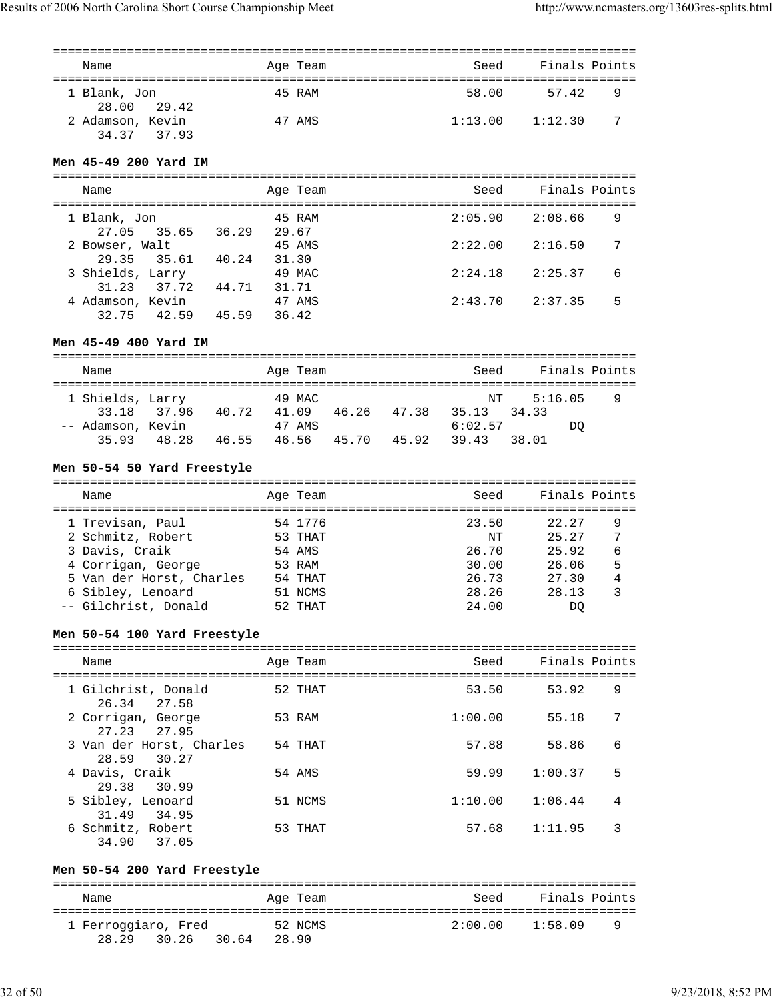| Name                            | Age Team | Seed    | Finals Points |
|---------------------------------|----------|---------|---------------|
| 1 Blank, Jon<br>28.00 29.42     | 45 RAM   | 58.00   | 57.42<br>9    |
| 2 Adamson, Kevin<br>34.37 37.93 | 47 AMS   | 1:13.00 | -7<br>1:12.30 |

#### **Men 45-49 200 Yard IM**

| Name                               | Age Team                 | Seed    | Finals Points |
|------------------------------------|--------------------------|---------|---------------|
| 1 Blank, Jon                       | 45 RAM                   | 2:05.90 | 9<br>2:08.66  |
| 27.05 35.65<br>2 Bowser, Walt      | 36.29<br>29.67<br>45 AMS | 2:22.00 | 2:16.50<br>7  |
| 29.35 35.61<br>3 Shields, Larry    | 31.30<br>40.24<br>49 MAC | 2:24.18 | 6<br>2:25.37  |
| 37.72<br>31.23<br>4 Adamson, Kevin | 44.71<br>31.71<br>47 AMS | 2:43.70 | 5<br>2:37.35  |
| 42.59<br>32.75                     | 45.59<br>36.42           |         |               |

# **Men 45-49 400 Yard IM**

| Name              |             |       | Age Team |       |       | Seed    | Finals Points |   |
|-------------------|-------------|-------|----------|-------|-------|---------|---------------|---|
| 1 Shields, Larry  |             |       | 49 MAC   |       |       | NT      | 5:16.05       | 9 |
|                   | 33.18 37.96 | 40.72 | 41.09    | 46.26 | 47.38 | 35.13   | 3433          |   |
| -- Adamson, Kevin |             |       | 47 AMS   |       |       | 6:02.57 | DO            |   |
| 35.93             | 48.28       | 46.55 | 46.56    | 45.70 | 45.92 | 39.43   | 38 N 1        |   |

# **Men 50-54 50 Yard Freestyle**

| Name                     | Age Team | Seed  | Finals Points |   |
|--------------------------|----------|-------|---------------|---|
| 1 Trevisan, Paul         | 54 1776  | 23.50 | 22.27         | 9 |
| 2 Schmitz, Robert        | 53 THAT  | NT    | 25.27         | 7 |
| 3 Davis, Craik           | 54 AMS   | 26.70 | 25.92         | 6 |
| 4 Corrigan, George       | 53 RAM   | 30.00 | 26.06         | 5 |
| 5 Van der Horst, Charles | 54 THAT  | 26.73 | 27.30         | 4 |
| 6 Sibley, Lenoard        | 51 NCMS  | 28.26 | 28.13         | 3 |
| -- Gilchrist, Donald     | 52 THAT  | 24.00 | DO            |   |

# **Men 50-54 100 Yard Freestyle**

| Name                                       | Age Team | Seed    | Finals Points |  |
|--------------------------------------------|----------|---------|---------------|--|
| 1 Gilchrist, Donald<br>26.34 27.58         | 52 THAT  | 53.50   | 9<br>53.92    |  |
| 2 Corrigan, George<br>27.23 27.95          | 53 RAM   | 1:00.00 | 7<br>55.18    |  |
| 3 Van der Horst, Charles<br>30.27<br>28.59 | 54 THAT  | 57.88   | 6<br>58.86    |  |
| 4 Davis, Craik<br>29.38 30.99              | 54 AMS   | 59.99   | 5<br>1:00.37  |  |
| 5 Sibley, Lenoard<br>31.49<br>34.95        | 51 NCMS  | 1:10.00 | 4<br>1:06.44  |  |
| 6 Schmitz, Robert<br>34.90<br>37.05        | 53 THAT  | 57.68   | 3<br>1:11.95  |  |

# **Men 50-54 200 Yard Freestyle**

| Name                |                | Age Team | Seed    | Finals Points |  |  |  |
|---------------------|----------------|----------|---------|---------------|--|--|--|
| 1 Ferroggiaro, Fred |                | 52 NCMS  | 2:00.00 | 1:58.09<br>q  |  |  |  |
| 28.29<br>30.26      | 30.64<br>28.90 |          |         |               |  |  |  |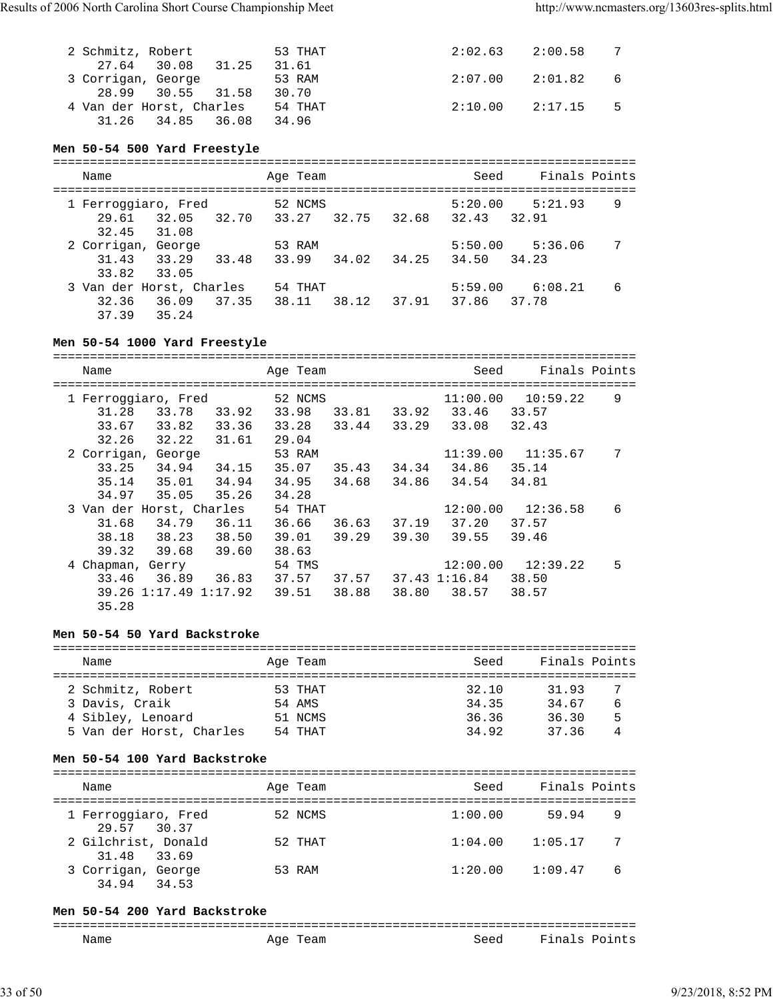| 2 Schmitz, Robert        | 53 THAT |                     | $2:02.63$ $2:00.58$   |      |
|--------------------------|---------|---------------------|-----------------------|------|
| 27.64 30.08 31.25        | 31.61   |                     |                       |      |
| 3 Corrigan, George       | 53 RAM  |                     | $2:07.00$ $2:01.82$ 6 |      |
| 28.99 30.55 31.58        | 30.70   |                     |                       |      |
| 4 Van der Horst, Charles | 54 THAT | $2:10.00$ $2:17.15$ |                       | $-5$ |
| 31.26 34.85 36.08        | 34.96   |                     |                       |      |

#### **Men 50-54 500 Yard Freestyle**

| Name                         |                |       | Age Team         |       |       | Seed             | Finals Points    |   |
|------------------------------|----------------|-------|------------------|-------|-------|------------------|------------------|---|
| 1 Ferroggiaro, Fred<br>29.61 | 32.05          | 32.70 | 52 NCMS<br>33.27 | 32.75 | 32.68 | 5:20.00<br>32.43 | 5:21.93<br>32.91 | 9 |
| 32.45                        | 31.08          |       |                  |       |       |                  |                  |   |
| 2 Corrigan, George           |                |       | 53 RAM           |       |       | 5:50.00          | 5:36.06          |   |
| 31.43<br>33.82               | 33.29<br>33.05 | 33.48 | 33.99            | 34.02 | 34.25 | 34.50            | 34.23            |   |
| 3 Van der Horst, Charles     |                |       | 54 THAT          |       |       | 5:59.00          | 6:08.21          | 6 |
| 32.36<br>37.39               | 36.09<br>35.24 | 37.35 | 38.11            | 38.12 | 37.91 | 37.86            | 37.78            |   |

**Men 50-54 1000 Yard Freestyle** =============================================================================== Name and Age Team Seed Finals Points =============================================================================== 1 Ferroggiaro, Fred 52 NCMS 11:00.00 10:59.22 9 31.28 33.78 33.92 33.98 33.81 33.92 33.46 33.57 33.67 33.82 33.36 33.28 33.44 33.29 33.08 32.43 32.26 32.22 31.61 29.04 2 Corrigan, George 53 RAM 11:39.00 11:35.67 7 33.25 34.94 34.15 35.07 35.43 34.34 34.86 35.14 35.14 35.01 34.94 34.95 34.68 34.86 34.54 34.81 34.97 35.05 35.26 34.28 3 Van der Horst, Charles 54 THAT 12:00.00 12:36.58 6 31.68 34.79 36.11 36.66 36.63 37.19 37.20 37.57 38.18 38.23 38.50 39.01 39.29 39.30 39.55 39.46 39.32 39.68 39.60 38.63<br>4 Chapman, Gerry 54 TMS 54 TMS 12:00.00 12:39.22 5 33.46 36.89 36.83 37.57 37.57 37.43 1:16.84 38.50 39.26 1:17.49 1:17.92 39.51 38.88 38.80 38.57 38.57 35.28

#### **Men 50-54 50 Yard Backstroke**

| Name                     | Age Team | Seed  | Finals Points |   |
|--------------------------|----------|-------|---------------|---|
| 2 Schmitz, Robert        | 53 THAT  | 32.10 | 31.93         |   |
| 3 Davis, Craik           | 54 AMS   | 34.35 | 34.67         | 6 |
| 4 Sibley, Lenoard        | 51 NCMS  | 36.36 | 36.30         | 5 |
| 5 Van der Horst, Charles | 54 THAT  | 34.92 | 3736          |   |

#### **Men 50-54 100 Yard Backstroke**

| Name                               | Age Team | Seed    | Finals Points |   |
|------------------------------------|----------|---------|---------------|---|
|                                    |          |         |               |   |
| 1 Ferroggiaro, Fred<br>29.57 30.37 | 52 NCMS  | 1:00.00 | 59.94         | 9 |
| 2 Gilchrist, Donald<br>31.48 33.69 | 52 THAT  | 1:04.00 | 1:05.17       | 7 |
| 3 Corrigan, George<br>34.94 34.53  | 53 RAM   | 1:20.00 | 1:09.47       | 6 |

#### **Men 50-54 200 Yard Backstroke**

| ---- |                   |      |                           |
|------|-------------------|------|---------------------------|
| Name | ില<br>Team<br>age | Seed | سا¤ Tina<br>∵ints<br>് റ- |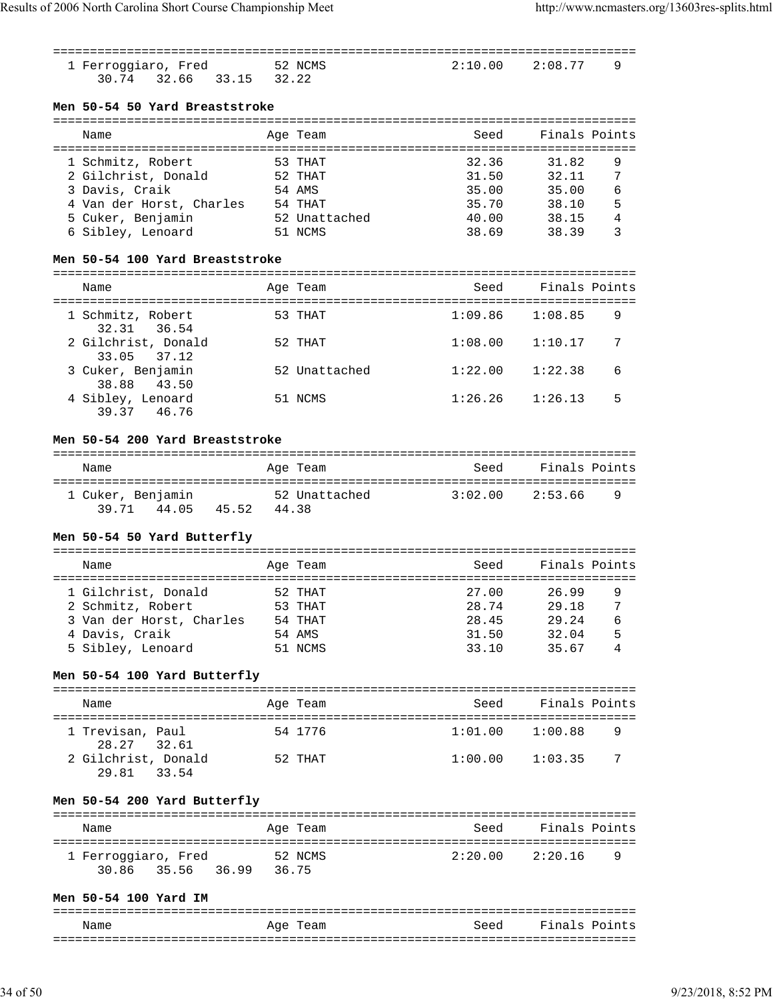|                                                           |       |                       | ========================= |                    |                |
|-----------------------------------------------------------|-------|-----------------------|---------------------------|--------------------|----------------|
| 1 Ferroggiaro, Fred<br>30.74 32.66 33.15                  | 32.22 | 52 NCMS               | 2:10.00                   | 2:08.77            | 9              |
| Men 50-54 50 Yard Breaststroke                            |       |                       |                           |                    |                |
|                                                           |       |                       |                           |                    |                |
| Name                                                      |       | Age Team              | Seed                      | Finals Points      |                |
| 1 Schmitz, Robert                                         |       | 53 THAT               | 32.36                     | 31.82              | 9              |
| 52 THAT<br>2 Gilchrist, Donald                            |       |                       | 31.50                     | 32.11              | 7              |
| 3 Davis, Craik                                            |       | 54 AMS                | 35.00                     | 35.00              | 6              |
|                                                           |       |                       | 35.70                     | 38.10              | 5              |
| 4 Van der Horst, Charles 54 THAT<br>5 Cuker, Benjamin     |       | 52 Unattached         | 40.00                     | 38.15              | $\overline{4}$ |
|                                                           |       |                       |                           |                    | 3              |
| 6 Sibley, Lenoard                                         |       | 51 NCMS               | 38.69                     | 38.39              |                |
| Men 50-54 100 Yard Breaststroke                           |       |                       |                           |                    |                |
| Name                                                      |       | Age Team              | Seed                      | Finals Points      |                |
|                                                           |       |                       |                           |                    |                |
| 1 Schmitz, Robert<br>32.31 36.54                          |       | 53 THAT               | 1:09.86                   | 1:08.85            | 9              |
| 2 Gilchrist, Donald<br>33.05<br>37.12                     |       | 52 THAT               | 1:08.00                   | 1:10.17            | 7              |
| 3 Cuker, Benjamin<br>38.88<br>43.50                       |       | 52 Unattached         | 1:22.00                   | 1:22.38            | 6              |
| 4 Sibley, Lenoard<br>39.37 46.76                          |       | 51 NCMS               | 1:26.26                   | 1:26.13            | 5              |
| Men 50-54 200 Yard Breaststroke                           |       |                       |                           |                    |                |
| Name                                                      |       | Age Team              | Seed                      | Finals Points      |                |
|                                                           |       |                       |                           |                    |                |
| 1 Cuker, Benjamin<br>39.71 44.05 45.52 44.38              |       | 52 Unattached 3:02.00 |                           | 2:53.66            | 9              |
| Men 50-54 50 Yard Butterfly                               |       |                       |                           |                    |                |
|                                                           |       |                       |                           | Finals Points      |                |
| Name                                                      |       | Age Team              | Seed                      |                    |                |
| 1 Gilchrist, Donald                                       |       | 52 THAT               | 27.00                     | 26.99              | 9              |
| 2 Schmitz, Robert                                         |       | 53 THAT               |                           | 28.74 29.18 7      |                |
| 3 Van der Horst, Charles                                  |       |                       | 28.45                     | 29.24              | 6              |
| 4 Davis, Craik                                            |       | 54 THAT<br>54 AMS     | 31.50                     | 32.04              | 5              |
| 5 Sibley, Lenoard                                         |       | 51 NCMS               | 33.10                     | 35.67              | 4              |
|                                                           |       |                       |                           |                    |                |
| Men 50-54 100 Yard Butterfly                              |       |                       |                           |                    |                |
| Name                                                      |       | Age Team              | Seed                      | Finals Points      |                |
| 1 Trevisan, Paul                                          |       | 54 1776               | 1:01.00                   | 1:00.88            | 9              |
| 28.27 32.61<br>2 Gilchrist, Donald                        |       | 52 THAT               | 1:00.00                   | 1:03.35            | 7              |
| 29.81 33.54                                               |       |                       |                           |                    |                |
| Men 50-54 200 Yard Butterfly                              |       |                       |                           |                    |                |
| Name                                                      |       | Age Team              |                           | Seed Finals Points |                |
|                                                           |       |                       |                           |                    |                |
| 52 NCMS<br>1 Ferroggiaro, Fred<br>30.86 35.56 36.99 36.75 |       |                       | 2:20.00 2:20.16           |                    | 9              |
| Men 50-54 100 Yard IM                                     |       |                       |                           |                    |                |
|                                                           |       |                       |                           |                    |                |
| Name                                                      |       | Age Team              |                           | Seed Finals Points |                |

| Name | $\overline{\phantom{0}}$<br>54<br>$\sim$<br>- | −−<br>$\sim$<br>- ---- |
|------|-----------------------------------------------|------------------------|
| ___  |                                               |                        |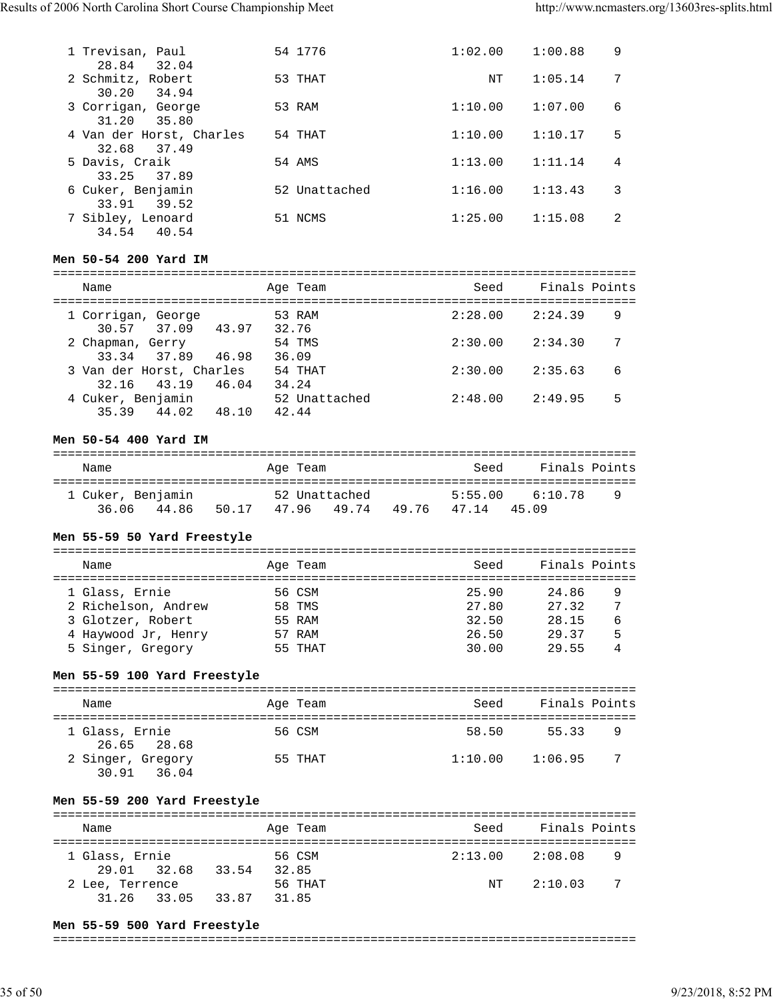| 1 Trevisan, Paul         | 54 1776       | 1:02.00 | 1:00.88 | 9 |
|--------------------------|---------------|---------|---------|---|
| 28.84<br>32.04           |               |         |         |   |
| 2 Schmitz, Robert        | 53 THAT       | NΤ      | 1:05.14 | 7 |
| 30.20<br>34.94           |               |         |         |   |
| 3 Corrigan, George       | 53 RAM        | 1:10.00 | 1:07.00 | 6 |
| 31.20<br>35.80           |               |         |         |   |
| 4 Van der Horst, Charles | 54 THAT       | 1:10.00 | 1:10.17 | 5 |
| 32.68<br>37.49           |               |         |         |   |
| 5 Davis, Craik           | 54 AMS        | 1:13.00 | 1:11.14 | 4 |
| 33.25 37.89              |               |         |         |   |
| 6 Cuker, Benjamin        | 52 Unattached | 1:16.00 | 1:13.43 | 3 |
| 33.91<br>39.52           |               |         |         |   |
| 7 Sibley, Lenoard        | 51 NCMS       | 1:25.00 | 1:15.08 | 2 |
| 40.54<br>34.54           |               |         |         |   |

# **Men 50-54 200 Yard IM**

| Name                                    |       | Age Team               | Seed    | Finals Points |
|-----------------------------------------|-------|------------------------|---------|---------------|
| 1 Corrigan, George<br>30.57 37.09       | 43.97 | 53 RAM<br>32.76        | 2:28.00 | 9<br>2:24.39  |
| 2 Chapman, Gerry<br>33.34 37.89         | 46.98 | 54 TMS<br>36.09        | 2:30.00 | 2:34.30<br>7  |
| 3 Van der Horst, Charles<br>32.16 43.19 | 46.04 | 54 THAT<br>34.24       | 2:30.00 | 6<br>2:35.63  |
| 4 Cuker, Benjamin<br>35.39 44.02        | 48.10 | 52 Unattached<br>42.44 | 2:48.00 | 5<br>2:49.95  |

# **Men 50-54 400 Yard IM**

| Name                       |       |       | Age Team |                        |      | Seed             | Finals Points    |   |
|----------------------------|-------|-------|----------|------------------------|------|------------------|------------------|---|
| 1 Cuker, Benjamin<br>36.06 | 44.86 | 50.17 | 4796     | 52 Unattached<br>49.74 | 4976 | 5:55.00<br>47 14 | 6:10.78<br>45.09 | 9 |

# **Men 55-59 50 Yard Freestyle**

| Name                |  | Age Team | Seed  | Finals Points |   |  |  |  |  |
|---------------------|--|----------|-------|---------------|---|--|--|--|--|
|                     |  |          |       |               |   |  |  |  |  |
| 1 Glass, Ernie      |  | 56 CSM   | 25.90 | 24.86         | 9 |  |  |  |  |
| 2 Richelson, Andrew |  | 58 TMS   | 27.80 | 27.32         | 7 |  |  |  |  |
| 3 Glotzer, Robert   |  | 55 RAM   | 32.50 | 28.15         | 6 |  |  |  |  |
| 4 Haywood Jr, Henry |  | 57 RAM   | 26.50 | 29.37         | 5 |  |  |  |  |
| 5 Singer, Gregory   |  | 55 THAT  | 30.00 | 29.55         | 4 |  |  |  |  |

#### **Men 55-59 100 Yard Freestyle**

| Name                             | Age Team | Seed    | Finals Points |  |  |  |  |  |  |
|----------------------------------|----------|---------|---------------|--|--|--|--|--|--|
| 1 Glass, Ernie<br>26.65 28.68    | 56 CSM   | 58.50   | 55.33<br>9    |  |  |  |  |  |  |
| 2 Singer, Gregory<br>30.91 36.04 | 55 THAT  | 1:10.00 | 7<br>1:06.95  |  |  |  |  |  |  |

# **Men 55-59 200 Yard Freestyle**

| Name            |       | Seed<br>Age Team | Finals Points |  |  |  |  |  |  |
|-----------------|-------|------------------|---------------|--|--|--|--|--|--|
| 1 Glass, Ernie  | 33.54 | 2:13.00          | 2:08.08       |  |  |  |  |  |  |
| 29.01 32.68     | 32.85 | 56 CSM           | 9             |  |  |  |  |  |  |
| 2 Lee, Terrence | 33.87 | 56 THAT          | - 7           |  |  |  |  |  |  |
| 31.26 33.05     | 31.85 | NT               | 2:10.03       |  |  |  |  |  |  |

#### **Men 55-59 500 Yard Freestyle**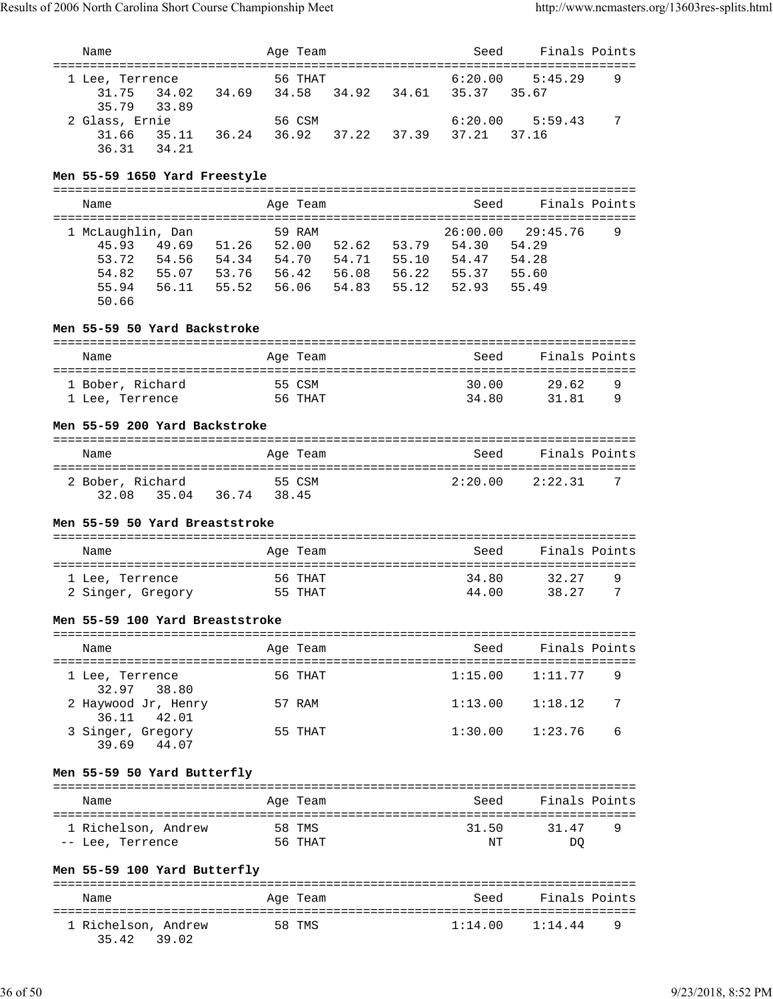| Name                                                                                                                             |                                  | Age Team          |                |                                                    | Seed                                | Finals Points                                | ============ |
|----------------------------------------------------------------------------------------------------------------------------------|----------------------------------|-------------------|----------------|----------------------------------------------------|-------------------------------------|----------------------------------------------|--------------|
| 1 Lee, Terrence<br>34.02<br>31.75<br>34.69<br>35.79<br>33.89                                                                     | 34.58                            | 56 THAT           |                | 34.92 34.61 35.37                                  | 6:20.00                             | 5:45.29<br>35.67                             | 9            |
| 2 Glass, Ernie<br>35.11<br>36.24<br>31.66<br>34.21<br>36.31                                                                      |                                  | 56 CSM<br>36.92   | 37.22          | 37.39                                              | 6:20.00<br>37.21                    | 5:59.43<br>37.16                             | 7            |
| Men 55-59 1650 Yard Freestyle                                                                                                    |                                  |                   |                |                                                    |                                     |                                              |              |
| Name                                                                                                                             |                                  | Age Team          |                |                                                    | Seed                                | Finals Points                                |              |
| 1 McLaughlin, Dan<br>49.69<br>45.93<br>51.26<br>53.72<br>54.56 54.34<br>54.82<br>55.07 53.76<br>55.94<br>56.11<br>55.52<br>50.66 | 52.00<br>54.70<br>56.42<br>56.06 | 59 RAM            | 52.62<br>54.71 | 53.79 54.30<br>55.10<br>56.08 56.22<br>54.83 55.12 | 26:00.00<br>54.47<br>55.37<br>52.93 | 29:45.76<br>54.29<br>54.28<br>55.60<br>55.49 | 9            |
| Men 55-59 50 Yard Backstroke                                                                                                     |                                  |                   |                |                                                    |                                     |                                              |              |
| Name                                                                                                                             |                                  | Age Team          |                |                                                    | Seed                                | Finals Points                                |              |
| 1 Bober, Richard<br>1 Lee, Terrence                                                                                              |                                  | 55 CSM<br>56 THAT |                |                                                    | 30.00<br>34.80                      | 29.62<br>31.81                               | 9<br>9       |
| Men 55-59 200 Yard Backstroke                                                                                                    |                                  |                   |                |                                                    |                                     |                                              |              |
| Name                                                                                                                             |                                  | Age Team          |                |                                                    | Seed                                | Finals Points                                |              |
| 2 Bober, Richard<br>35.04 36.74 38.45<br>32.08<br>Men 55-59 50 Yard Breaststroke                                                 |                                  | 55 CSM            |                |                                                    | 2:20.00                             | 2:22.31                                      | 7            |
|                                                                                                                                  |                                  |                   |                |                                                    |                                     |                                              |              |
| Name                                                                                                                             |                                  | Age Team          |                |                                                    | Seed                                | Finals Points                                |              |
| 1 Lee, Terrence<br>2 Singer, Gregory                                                                                             | 56 ТНАТ                          | 55 THAT           |                |                                                    | 34.80<br>44.00                      | 32.27<br>38.27                               | 9<br>7       |
| Men 55-59 100 Yard Breaststroke                                                                                                  |                                  |                   |                |                                                    |                                     |                                              |              |
| Name                                                                                                                             |                                  | Age Team          |                |                                                    | Seed                                | Finals Points                                |              |
| l Lee, Terrence<br>32.97<br>38.80                                                                                                |                                  | 56 THAT           |                |                                                    | 1:15.00                             | 1:11.77                                      | 9            |
| 2 Haywood Jr, Henry<br>36.11<br>42.01                                                                                            |                                  | 57 RAM            |                |                                                    | 1:13.00                             | 1:18.12                                      | 7            |
| 3 Singer, Gregory<br>39.69 44.07                                                                                                 |                                  | 55 THAT           |                |                                                    | 1:30.00                             | 1:23.76                                      | 6            |
| Men 55-59 50 Yard Butterfly                                                                                                      |                                  |                   |                |                                                    |                                     |                                              |              |
| Name                                                                                                                             |                                  | Age Team          |                |                                                    | Seed                                | Finals Points                                |              |
| 1 Richelson, Andrew<br>-- Lee, Terrence                                                                                          |                                  | 58 TMS<br>56 THAT |                |                                                    | 31.50<br>NΤ                         | 31.47<br>DO                                  | 9            |
| Men 55-59 100 Yard Butterfly                                                                                                     |                                  |                   |                |                                                    |                                     |                                              |              |
| Name                                                                                                                             |                                  | Age Team          |                |                                                    | Seed                                | Finals Points                                |              |
| 1 Richelson, Andrew<br>35.42<br>39.02                                                                                            |                                  | 58 TMS            |                |                                                    | 1:14.00                             | 1:14.44                                      | 9            |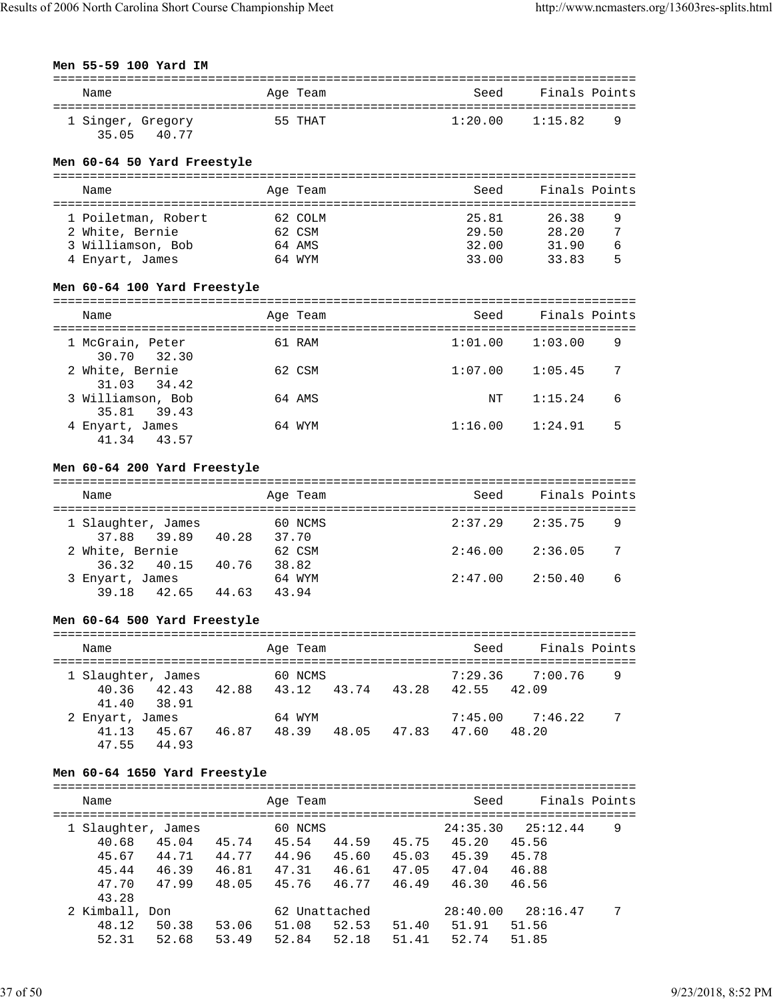# **Men 55-59 100 Yard IM**

| Name                       |       | Age Team | Seed    | Finals Points |   |
|----------------------------|-------|----------|---------|---------------|---|
| 1 Singer, Gregory<br>35 05 | 40.77 | 55 THAT  | 1:20.00 | 1:15.82       | 9 |

#### **Men 60-64 50 Yard Freestyle**

| Name                |  | Age Team | Seed  | Finals Points |   |  |  |  |  |
|---------------------|--|----------|-------|---------------|---|--|--|--|--|
|                     |  |          |       |               |   |  |  |  |  |
| 1 Poiletman, Robert |  | 62 COLM  | 25.81 | 26.38         | 9 |  |  |  |  |
| 2 White, Bernie     |  | 62 CSM   | 29.50 | 28.20         |   |  |  |  |  |
| 3 Williamson, Bob   |  | 64 AMS   | 32.00 | 31.90         | 6 |  |  |  |  |
| 4 Enyart, James     |  | 64 WYM   | 33.00 | 33.83         | 5 |  |  |  |  |

# **Men 60-64 100 Yard Freestyle**

| Name                             | Age Team | Seed    | Finals Points |
|----------------------------------|----------|---------|---------------|
| 1 McGrain, Peter<br>30.70 32.30  | 61 RAM   | 1:01.00 | 9<br>1:03.00  |
| 2 White, Bernie<br>31.03 34.42   | 62 CSM   | 1:07.00 | 1:05.45<br>7  |
| 3 Williamson, Bob<br>35.81 39.43 | 64 AMS   | NΤ      | 6<br>1:15.24  |
| 4 Enyart, James<br>41.34 43.57   | 64 WYM   | 1:16.00 | 5<br>1:24.91  |

# **Men 60-64 200 Yard Freestyle**

| Name                              |       | Age Team         | Seed    | Finals Points |
|-----------------------------------|-------|------------------|---------|---------------|
| 1 Slaughter, James<br>37.88 39.89 | 40.28 | 60 NCMS<br>37.70 | 2:37.29 | 2:35.75<br>9  |
| 2 White, Bernie<br>36.32 40.15    | 40.76 | 62 CSM<br>38.82  | 2:46.00 | 2:36.05<br>-7 |
| 3 Enyart, James<br>39.18 42.65    | 44.63 | 64 WYM<br>43.94  | 2:47.00 | 2:50.40<br>6  |

# **Men 60-64 500 Yard Freestyle**

| Name                             | Age Team       | Seed                          | Finals Points |
|----------------------------------|----------------|-------------------------------|---------------|
| 1 Slaughter, James               | 60 NCMS        | 7:29.36                       | 7:00.76<br>9  |
| 40.36 42.43<br>41.40 38.91       | 42.88<br>43.12 | 43.74<br>43.28<br>42.55 42.09 |               |
| 2 Enyart, James                  | 64 WYM         | 7:45.00                       | -7<br>7:46.22 |
| 41.13<br>45.67<br>44.93<br>47.55 | 48.39<br>46.87 | 47.83<br>48.05<br>47.60       | 48.20         |

# **Men 60-64 1650 Yard Freestyle**

| Name               |       |       | Age Team      |       |       | Seed     | Finals Points |   |
|--------------------|-------|-------|---------------|-------|-------|----------|---------------|---|
| 1 Slaughter, James |       |       | 60 NCMS       |       |       | 24:35.30 | 25:12.44      | 9 |
| 40.68              | 45.04 | 45.74 | 45.54         | 44.59 | 45.75 | 45.20    | 45.56         |   |
| 45.67              | 44.71 | 44.77 | 44.96         | 45.60 | 45.03 | 45.39    | 45.78         |   |
| 45.44              | 46.39 | 46.81 | 47.31         | 46.61 | 47.05 | 47.04    | 46.88         |   |
| 47.70              | 47.99 | 48.05 | 45.76         | 46.77 | 46.49 | 46.30    | 46.56         |   |
| 43.28              |       |       |               |       |       |          |               |   |
| 2 Kimball, Don     |       |       | 62 Unattached |       |       | 28:40.00 | 28:16.47      | 7 |
| 48.12              | 50.38 | 53.06 | 51.08         | 52.53 | 51.40 | 51.91    | 51.56         |   |
| 52.31              | 52.68 | 53.49 | 52.84         | 52.18 | 51.41 | 52.74    | 51.85         |   |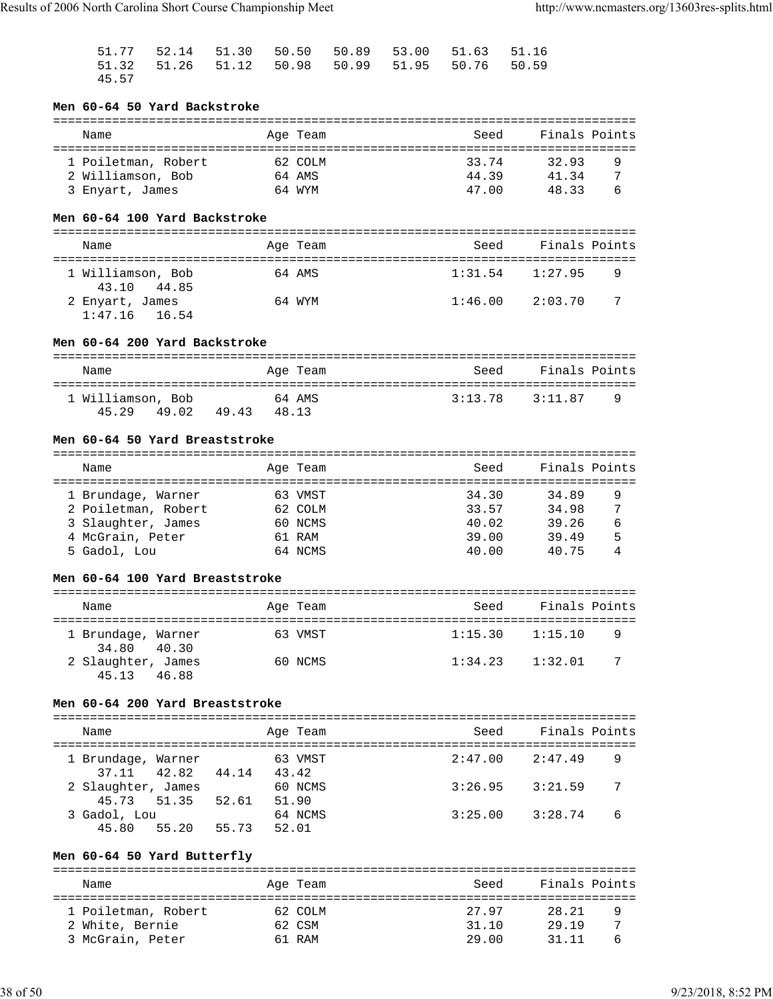|       |  |  | 51.77 52.14 51.30 50.50 50.89 53.00 51.63 51.16 |  |
|-------|--|--|-------------------------------------------------|--|
|       |  |  | 51.32 51.26 51.12 50.98 50.99 51.95 50.76 50.59 |  |
| 45.57 |  |  |                                                 |  |

# **Men 60-64 50 Yard Backstroke**

| Name                                     | Age Team          | Seed           | Finals Points            |
|------------------------------------------|-------------------|----------------|--------------------------|
| 1 Poiletman, Robert<br>2 Williamson, Bob | 62 COLM<br>64 AMS | 33.74<br>44.39 | 32.93<br>9<br>7<br>41 34 |
| 3 Enyart, James                          | 64 WYM            | 47.00          | 4833<br>6                |

#### **Men 60-64 100 Yard Backstroke**

| Name                               | Age Team | Seed    | Finals Points  |  |  |  |  |  |  |  |
|------------------------------------|----------|---------|----------------|--|--|--|--|--|--|--|
| 1 Williamson, Bob<br>43.10 44.85   | 64 AMS   | 1:31.54 | 1:27.95<br>- 9 |  |  |  |  |  |  |  |
| 2 Enyart, James<br>$1:47.16$ 16.54 | 64 WYM   | 1:46.00 | - 7<br>2:03.70 |  |  |  |  |  |  |  |

#### **Men 60-64 200 Yard Backstroke**

| Name                                |      | Age Team        | Seed    | Finals Points |   |  |  |  |  |  |
|-------------------------------------|------|-----------------|---------|---------------|---|--|--|--|--|--|
| 1 Williamson, Bob<br>45 29<br>49.02 | 4943 | 64 AMS<br>48.13 | 3:13.78 | 3:11.87       | q |  |  |  |  |  |

#### **Men 60-64 50 Yard Breaststroke**

| Name                | Age Team | Seed  | Finals Points |   |
|---------------------|----------|-------|---------------|---|
|                     |          |       |               |   |
| 1 Brundage, Warner  | 63 VMST  | 34.30 | 34.89         | 9 |
| 2 Poiletman, Robert | 62 COLM  | 33.57 | 34.98         | 7 |
| 3 Slaughter, James  | 60 NCMS  | 40.02 | 39.26         | 6 |
| 4 McGrain, Peter    | 61 RAM   | 39.00 | 39.49         | 5 |
| 5 Gadol, Lou        | 64 NCMS  | 40.00 | 40.75         |   |

#### **Men 60-64 100 Yard Breaststroke**

| Name                              |       | Age Team | Seed    | Finals Points |    |
|-----------------------------------|-------|----------|---------|---------------|----|
| 1 Brundage, Warner<br>34.80 40.30 |       | 63 VMST  | 1:15.30 | 1:15.10       | 9  |
| 2 Slaughter, James<br>45.13       | 46.88 | 60 NCMS  | 1:34.23 | 1:32.01       | -7 |

#### **Men 60-64 200 Yard Breaststroke**

| Name                              |       |       | Age Team         | Seed    | Finals Points |    |
|-----------------------------------|-------|-------|------------------|---------|---------------|----|
| 1 Brundage, Warner<br>37.11 42.82 |       | 44.14 | 63 VMST<br>43.42 | 2:47.00 | 2:47.49       | 9  |
| 2 Slaughter, James<br>45.73 51.35 |       | 52.61 | 60 NCMS<br>51.90 | 3:26.95 | 3:21.59       | -7 |
| 3 Gadol, Lou<br>45.80             | 55.20 | 55.73 | 64 NCMS<br>52.01 | 3:25.00 | 3:28.74       | 6  |

# **Men 60-64 50 Yard Butterfly**

| Name                                   | Age Team          | Seed           | Finals Points  |  |
|----------------------------------------|-------------------|----------------|----------------|--|
| 1 Poiletman, Robert<br>2 White, Bernie | 62 COLM<br>62 CSM | 27 97<br>31.10 | 28.21<br>29.19 |  |
| 3 McGrain, Peter                       | 61 RAM            | 29.00          | 31 11          |  |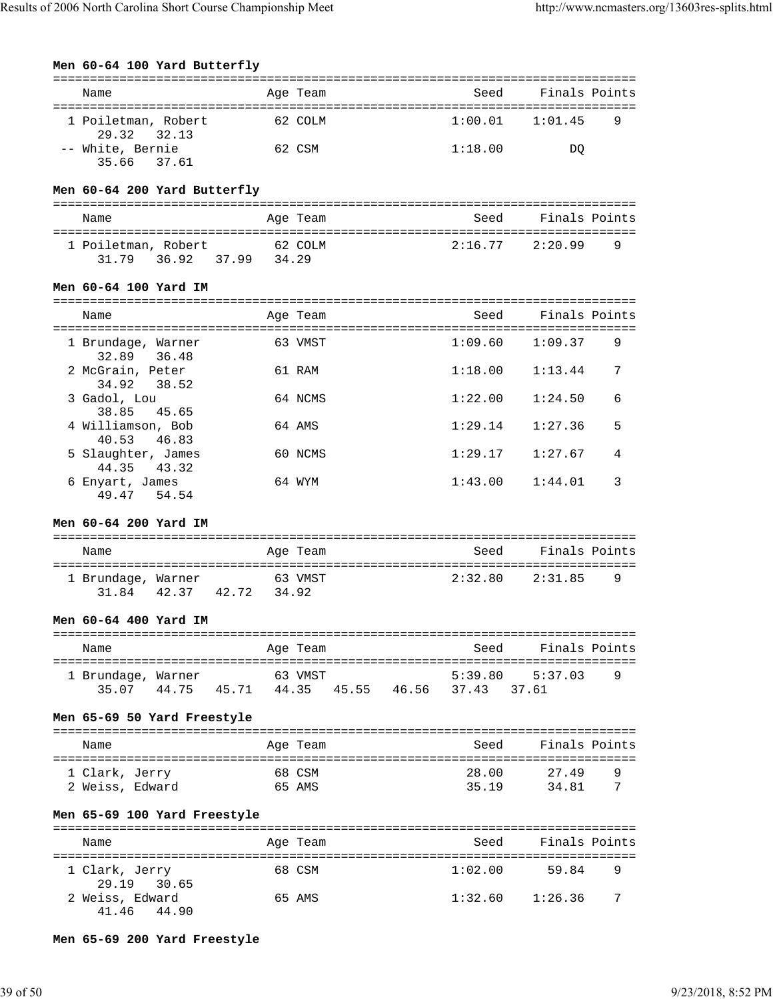| Men 60-64 100 Yard Butterfly                                       |                        |                  |  |         |                                                   |        |
|--------------------------------------------------------------------|------------------------|------------------|--|---------|---------------------------------------------------|--------|
| Name                                                               |                        | Age Team         |  | Seed    | Finals Points                                     |        |
| 1 Poiletman, Robert<br>29.32<br>32.13                              |                        | 62 COLM          |  | 1:00.01 | 1:01.45                                           | 9      |
| -- White, Bernie<br>35.66<br>37.61                                 |                        | 62 CSM           |  | 1:18.00 | DO                                                |        |
| Men 60-64 200 Yard Butterfly                                       |                        |                  |  |         |                                                   |        |
| Name                                                               |                        | Age Team         |  | Seed    | Finals Points                                     |        |
|                                                                    |                        |                  |  |         |                                                   |        |
| 1 Poiletman, Robert<br>36.92<br>31.79                              | 62 COLM<br>37.99 34.29 |                  |  |         | $2:16.77$ $2:20.99$                               | 9      |
| Men 60-64 100 Yard IM                                              |                        |                  |  |         |                                                   |        |
| Name                                                               |                        | Age Team         |  | Seed    | Finals Points                                     |        |
| 1 Brundage, Warner<br>32.89<br>36.48                               |                        | 63 VMST          |  | 1:09.60 | 1:09.37                                           | 9      |
| 2 McGrain, Peter<br>34.92<br>38.52                                 |                        | 61 RAM           |  | 1:18.00 | 1:13.44                                           | 7      |
| 3 Gadol, Lou<br>38.85<br>45.65                                     |                        | 64 NCMS          |  | 1:22.00 | 1:24.50                                           | 6      |
| 4 Williamson, Bob<br>40.53<br>46.83                                |                        | 64 AMS           |  | 1:29.14 | 1:27.36                                           | 5      |
| 5 Slaughter, James<br>44.35<br>43.32                               |                        | 60 NCMS          |  | 1:29.17 | 1:27.67                                           | 4      |
| 6 Enyart, James<br>49.47<br>54.54                                  |                        | 64 WYM           |  | 1:43.00 | 1:44.01                                           | 3      |
| Men 60-64 200 Yard IM                                              |                        |                  |  |         |                                                   |        |
| Name                                                               |                        | Age Team         |  | Seed    | Finals Points                                     |        |
| 1 Brundage, Warner<br>31.84                                        | 42.37 42.72 34.92      | 63 VMST          |  | 2:32.80 | 2:31.85                                           | 9      |
| Men 60-64 400 Yard IM                                              |                        |                  |  |         |                                                   |        |
| Name                                                               |                        | Age Team         |  | Seed    | Finals Points                                     |        |
|                                                                    | 63 VMST                |                  |  | 5:39.80 | 5:37.03                                           | 9      |
| 1 Brundage, Warner<br>44.75 45.71 44.35 45.55 46.56 37.43<br>35.07 |                        |                  |  |         | 37.61                                             |        |
| Men 65-69 50 Yard Freestyle                                        |                        |                  |  |         |                                                   |        |
| Name                                                               |                        | Age Team         |  | Seed    | Finals Points                                     |        |
| 1 Clark, Jerry<br>2 Weiss, Edward                                  |                        | 68 CSM<br>65 AMS |  | 28.00   | 27.49<br>35.19 34.81                              | 9<br>7 |
| Men 65-69 100 Yard Freestyle                                       |                        |                  |  |         |                                                   |        |
| Name                                                               |                        | Age Team         |  | Seed    | ================================<br>Finals Points |        |
| 1 Clark, Jerry<br>29.19<br>30.65                                   |                        | 68 CSM           |  | 1:02.00 | 59.84                                             | 9      |
| 2 Weiss, Edward<br>41.46<br>44.90                                  |                        | 65 AMS           |  |         | $1:32.60$ $1:26.36$                               | 7      |

**Men 65-69 200 Yard Freestyle**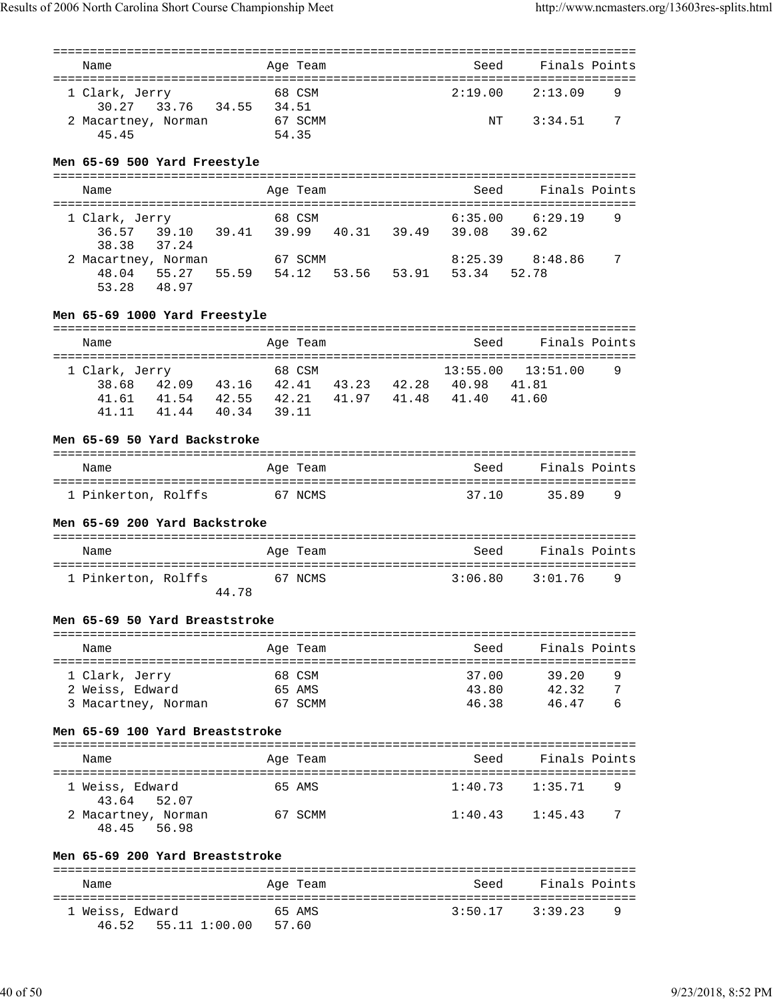| Name                               |                         |         | Age Team |  | Seed                                                 | Finals Points       |   |
|------------------------------------|-------------------------|---------|----------|--|------------------------------------------------------|---------------------|---|
|                                    |                         |         |          |  |                                                      |                     |   |
| 1 Clark, Jerry                     |                         |         | 68 CSM   |  | 2:19.00                                              | 2:13.09             | 9 |
|                                    | 30.27 33.76 34.55 34.51 |         |          |  |                                                      |                     |   |
| 2 Macartney, Norman                |                         |         | 67 SCMM  |  |                                                      | NT 3:34.51          | 7 |
| 45.45                              |                         |         | 54.35    |  |                                                      |                     |   |
| Men 65-69 500 Yard Freestyle       |                         |         |          |  |                                                      |                     |   |
|                                    |                         |         |          |  |                                                      |                     |   |
| Name                               |                         |         | Age Team |  | Seed                                                 | Finals Points       |   |
|                                    |                         |         |          |  |                                                      |                     |   |
| 1 Clark, Jerry<br>36.57            |                         | 68 CSM  |          |  | 6:35.00<br>39.10 39.41 39.99 40.31 39.49 39.08 39.62 | 6:29.19             | 9 |
| 38.38                              | 37.24                   |         |          |  |                                                      |                     |   |
| 2 Macartney, Norman 67 SCMM        |                         |         |          |  |                                                      | $8:25.39$ $8:48.86$ | 7 |
|                                    |                         |         |          |  | 48.04 55.27 55.59 54.12 53.56 53.91 53.34 52.78      |                     |   |
| 53.28 48.97                        |                         |         |          |  |                                                      |                     |   |
| Men 65-69 1000 Yard Freestyle      |                         |         |          |  |                                                      |                     |   |
|                                    |                         |         |          |  |                                                      |                     |   |
| Name                               |                         |         | Age Team |  | Seed                                                 | Finals Points       |   |
|                                    |                         |         |          |  |                                                      |                     |   |
| 1 Clark, Jerry                     |                         |         | 68 CSM   |  | 13:55.00                                             | 13:51.00            | 9 |
|                                    |                         |         |          |  | 38.68 42.09 43.16 42.41 43.23 42.28 40.98 41.81      |                     |   |
|                                    |                         |         |          |  | 41.61 41.54 42.55 42.21 41.97 41.48 41.40            | 41.60               |   |
|                                    | 41.11 41.44 40.34 39.11 |         |          |  |                                                      |                     |   |
| Men 65-69 50 Yard Backstroke       |                         |         |          |  |                                                      |                     |   |
| Name                               |                         |         | Age Team |  | Seed                                                 | Finals Points       |   |
|                                    |                         |         |          |  |                                                      |                     |   |
| 1 Pinkerton, Rolffs 67 NCMS        |                         |         |          |  | 37.10                                                | 35.89               | 9 |
| Men 65-69 200 Yard Backstroke      |                         |         |          |  |                                                      |                     |   |
| Name                               |                         |         | Age Team |  | Seed                                                 | Finals Points       |   |
|                                    |                         |         |          |  |                                                      |                     |   |
| 1 Pinkerton, Rolffs                |                         | 67 NCMS |          |  | 3:06.80                                              | 3:01.76             | 9 |
|                                    |                         | 44.78   |          |  |                                                      |                     |   |
| Men 65-69 50 Yard Breaststroke     |                         |         |          |  |                                                      |                     |   |
| Name                               |                         |         |          |  |                                                      |                     |   |
|                                    |                         |         |          |  |                                                      |                     |   |
|                                    |                         |         | Age Team |  | Seed                                                 | Finals Points       |   |
| 1 Clark, Jerry                     |                         |         | 68 CSM   |  | 37.00                                                | 39.20               | 9 |
| 2 Weiss, Edward                    |                         |         | 65 AMS   |  | 43.80                                                | 42.32               | 7 |
| 3 Macartney, Norman                |                         |         | 67 SCMM  |  | 46.38                                                | 46.47               | 6 |
| Men 65-69 100 Yard Breaststroke    |                         |         |          |  |                                                      |                     |   |
| Name                               |                         |         | Age Team |  | Seed                                                 | Finals Points       |   |
| 1 Weiss, Edward                    |                         |         | 65 AMS   |  | 1:40.73                                              | 1:35.71             | 9 |
| 43.64                              | 52.07                   |         |          |  |                                                      |                     |   |
| 2 Macartney, Norman<br>48.45 56.98 |                         | 67 SCMM |          |  | 1:40.43                                              | 1:45.43             | 7 |
| Men 65-69 200 Yard Breaststroke    |                         |         |          |  |                                                      |                     |   |
|                                    |                         |         |          |  |                                                      |                     |   |
| Name                               |                         |         | Age Team |  | Seed                                                 | Finals Points       |   |
| 1 Weiss, Edward                    |                         |         | 65 AMS   |  | 3:50.17                                              | 3:39.23             | 9 |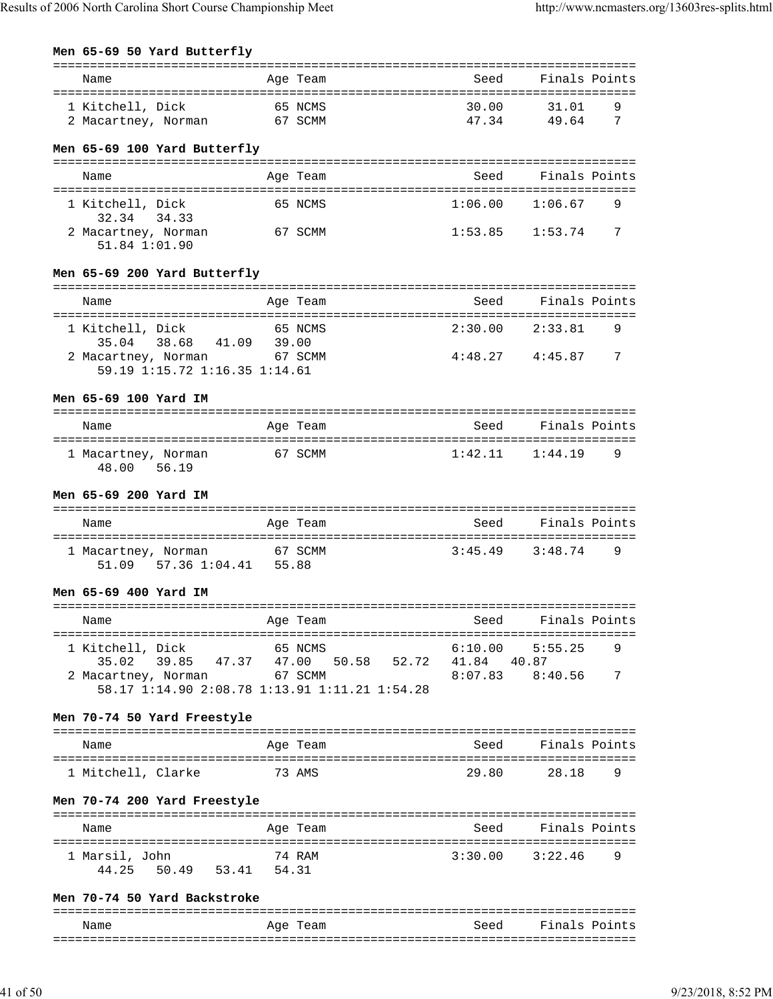#### **Men 65-69 50 Yard Butterfly**

| Name                                                 |       | Age Team |                 | Seed    | Finals Points       |   |
|------------------------------------------------------|-------|----------|-----------------|---------|---------------------|---|
|                                                      |       |          |                 |         |                     |   |
| 1 Kitchell, Dick                                     |       | 65 NCMS  |                 | 30.00   | 31.01               | 9 |
| 2 Macartney, Norman 67 SCMM                          |       |          |                 | 47.34   | 49.64               | 7 |
|                                                      |       |          |                 |         |                     |   |
| Men 65-69 100 Yard Butterfly                         |       |          |                 |         |                     |   |
| Name                                                 |       | Age Team |                 | Seed    | Finals Points       |   |
|                                                      |       |          |                 |         |                     |   |
| 1 Kitchell, Dick                                     |       | 65 NCMS  |                 | 1:06.00 | 1:06.67             | 9 |
| 32.34 34.33                                          |       |          |                 |         |                     |   |
| 2 Macartney, Norman                                  |       | 67 SCMM  |                 |         | $1:53.85$ $1:53.74$ | 7 |
| 51.84 1:01.90                                        |       |          |                 |         |                     |   |
|                                                      |       |          |                 |         |                     |   |
| Men 65-69 200 Yard Butterfly                         |       |          |                 |         |                     |   |
|                                                      |       |          |                 |         |                     |   |
| Name                                                 |       | Age Team |                 | Seed    | Finals Points       |   |
|                                                      |       |          |                 |         |                     |   |
| 1 Kitchell, Dick                                     |       | 65 NCMS  |                 |         | $2:30.00$ $2:33.81$ | 9 |
| 35.04 38.68 41.09 39.00                              |       |          |                 |         |                     |   |
| 2 Macartney, Norman 67 SCMM                          |       |          |                 |         | $4:48.27$ $4:45.87$ | 7 |
| 59.19 1:15.72 1:16.35 1:14.61                        |       |          |                 |         |                     |   |
| Men 65-69 100 Yard IM                                |       |          |                 |         |                     |   |
|                                                      |       |          |                 |         |                     |   |
| Name                                                 |       | Age Team |                 | Seed    | Finals Points       |   |
|                                                      |       |          |                 |         |                     |   |
| 67 SCMM<br>1 Macartney, Norman                       |       |          |                 |         | $1:42.11$ $1:44.19$ | 9 |
| 48.00 56.19                                          |       |          |                 |         |                     |   |
| Men 65-69 200 Yard IM                                |       |          |                 |         |                     |   |
|                                                      |       |          |                 |         |                     |   |
| Name                                                 |       | Age Team |                 | Seed    | Finals Points       |   |
|                                                      |       |          |                 |         |                     |   |
| 1 Macartney, Norman                                  |       |          |                 | 3:45.49 | 3:48.74             | 9 |
| cartney, Norman 67 SCMM<br>51.09 57.36 1:04.41 55.88 |       |          |                 |         |                     |   |
|                                                      |       |          |                 |         |                     |   |
| Men 65-69 400 Yard IM                                |       |          |                 |         |                     |   |
| ==============================                       |       |          |                 |         |                     |   |
| Name                                                 |       | Age Team |                 | Seed    | Finals Points       |   |
|                                                      |       | 65 NCMS  |                 | 6:10.00 | 5:55.25             | 9 |
| 1 Kitchell, Dick<br>39.85<br>35.02<br>47.37          | 47.00 |          | 50.58 52.72     | 41.84   | 40.87               |   |
| 2 Macartney, Norman                                  |       | 67 SCMM  |                 | 8:07.83 | 8:40.56             | 7 |
| 58.17 1:14.90 2:08.78 1:13.91 1:11.21 1:54.28        |       |          |                 |         |                     |   |
|                                                      |       |          |                 |         |                     |   |
| Men 70-74 50 Yard Freestyle                          |       |          |                 |         |                     |   |
|                                                      |       |          |                 |         |                     |   |
| Name                                                 |       | Age Team |                 | Seed    | Finals Points       |   |
|                                                      |       |          |                 |         |                     |   |
| 1 Mitchell, Clarke                                   |       | 73 AMS   |                 | 29.80   | 28.18               | 9 |
| Men 70-74 200 Yard Freestyle                         |       |          |                 |         |                     |   |
|                                                      |       |          |                 |         |                     |   |
| Name                                                 |       | Age Team |                 | Seed    | Finals Points       |   |
|                                                      |       |          | =============== |         | =========           |   |
| 1 Marsil, John                                       |       | 74 RAM   |                 | 3:30.00 | 3:22.46             | 9 |
| 50.49<br>53.41 54.31<br>44.25                        |       |          |                 |         |                     |   |
|                                                      |       |          |                 |         |                     |   |
| Men 70-74 50 Yard Backstroke                         |       |          |                 |         |                     |   |
| Name                                                 |       | Age Team |                 | Seed    | Finals Points       |   |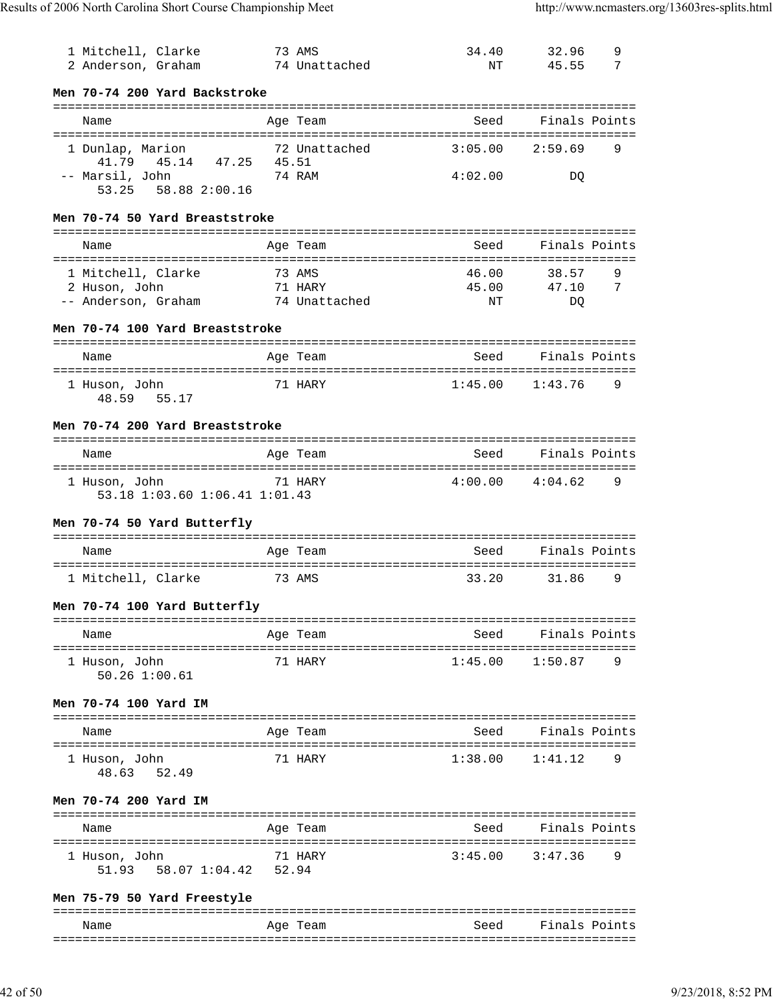| 1 Mitchell, Clarke<br>2 Anderson, Graham       |        | 73 AMS<br>74 Unattached | 34.40<br>NΤ         | 9<br>32.96<br>45.55<br>7 |
|------------------------------------------------|--------|-------------------------|---------------------|--------------------------|
| Men 70-74 200 Yard Backstroke                  |        |                         |                     |                          |
| Name                                           |        | Age Team                | Seed                | Finals Points            |
| 1 Dunlap, Marion<br>41.79  45.14  47.25  45.51 |        | 72 Unattached           | 3:05.00             | 2:59.69<br>9             |
| -- Marsil, John<br>58.88 2:00.16<br>53.25      |        | 74 RAM                  | 4:02.00             | DO.                      |
| Men 70-74 50 Yard Breaststroke                 |        |                         |                     |                          |
| Name                                           |        | Age Team                | Seed                | Finals Points            |
| 1 Mitchell, Clarke                             | 73 AMS |                         | 46.00               | 38.57<br>9               |
| 2 Huson, John                                  |        | 71 HARY                 | 45.00               | 7<br>47.10               |
| -- Anderson, Graham                            |        | 74 Unattached           | ΝT                  | DQ                       |
|                                                |        |                         |                     |                          |
| Men 70-74 100 Yard Breaststroke                |        |                         |                     |                          |
| Name                                           |        | Age Team                | Seed                | Finals Points            |
| 1 Huson, John                                  |        | 71 HARY                 | $1:45.00$ $1:43.76$ | 9                        |
| 55.17<br>48.59                                 |        |                         |                     |                          |
| Men 70-74 200 Yard Breaststroke                |        |                         |                     |                          |
| Name                                           |        | Age Team                | Seed                | Finals Points            |
| 1 Huson, John<br>53.18 1:03.60 1:06.41 1:01.43 |        | 71 HARY                 | $4:00.00$ $4:04.62$ | 9                        |
| Men 70-74 50 Yard Butterfly                    |        |                         |                     |                          |
| Name                                           |        | Age Team                | Seed                | Finals Points            |
| 1 Mitchell, Clarke                             |        | 73 AMS                  | 33.20               | 9<br>31.86               |
| Men 70-74 100 Yard Butterfly                   |        |                         |                     |                          |
| Name                                           |        | Age Team                |                     | Seed Finals Points       |
|                                                |        | 71 HARY                 | 1:45.00             | 9<br>1:50.87             |
| 1 Huson, John<br>50.26 1:00.61                 |        |                         |                     |                          |
| Men 70-74 100 Yard IM                          |        |                         |                     |                          |
| Name                                           |        | Age Team                | Seed                | Finals Points            |
| 1 Huson, John                                  |        | 71 HARY                 | 1:38.00             | 1:41.12<br>9             |
| 48.63 52.49                                    |        |                         |                     |                          |
| Men 70-74 200 Yard IM                          |        |                         |                     |                          |
| Name                                           |        | Age Team                | Seed                | Finals Points            |
| 1 Huson, John<br>58.07 1:04.42<br>51.93        | 52.94  | 71 HARY                 | 3:45.00             | 3:47.36<br>9             |
| Men 75-79 50 Yard Freestyle                    |        |                         |                     |                          |
| Name                                           |        | Age Team                | Seed                | Finals Points            |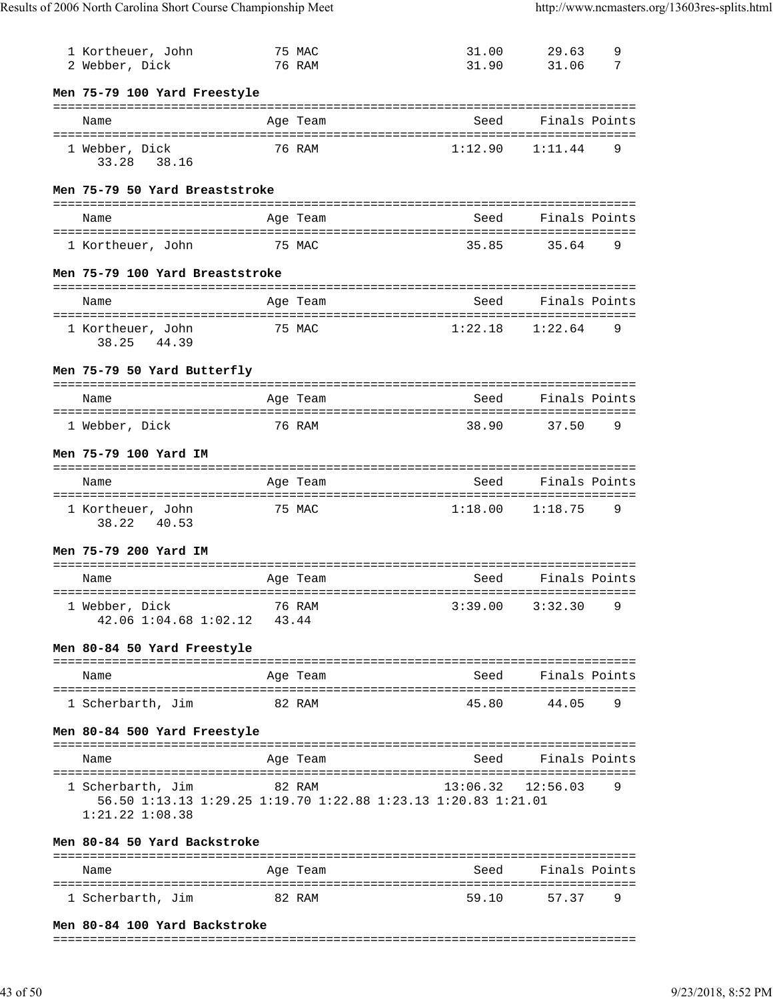| 1 Kortheuer, John<br>2 Webber, Dick                                                                       |        | 75 MAC<br>76 RAM       | 31.00<br>31.90        | 29.63<br>31.06 | 9<br>7 |
|-----------------------------------------------------------------------------------------------------------|--------|------------------------|-----------------------|----------------|--------|
| Men 75-79 100 Yard Freestyle                                                                              |        |                        |                       |                |        |
| Name                                                                                                      |        | Age Team               | Seed                  | Finals Points  |        |
| 1 Webber, Dick<br>33.28 38.16                                                                             |        | 76 RAM                 | 1:12.90               | 1:11.44        | 9      |
| Men 75-79 50 Yard Breaststroke                                                                            |        |                        |                       |                |        |
| Name                                                                                                      |        | Age Team               | Seed                  | Finals Points  |        |
| 1 Kortheuer, John                                                                                         |        | 75 MAC                 | 35.85                 | 35.64          | 9      |
| Men 75-79 100 Yard Breaststroke                                                                           |        |                        |                       |                |        |
| Name                                                                                                      |        | Age Team               | Seed                  | Finals Points  |        |
| 1 Kortheuer, John<br>38.25 44.39                                                                          |        | 75 MAC                 | 1:22.18               | 1:22.64        | 9      |
| Men 75-79 50 Yard Butterfly                                                                               |        |                        |                       |                |        |
| Name                                                                                                      |        | Age Team               | Seed                  | Finals Points  |        |
| 1 Webber, Dick                                                                                            |        | 76 RAM                 | 38.90                 | 37.50          | 9      |
| Men 75-79 100 Yard IM                                                                                     |        |                        |                       |                |        |
| Name                                                                                                      |        | Age Team               | Seed                  | Finals Points  |        |
| 1 Kortheuer, John<br>40.53<br>38.22                                                                       |        | 75 MAC                 | $1:18.00$ $1:18.75$   |                | 9      |
| Men 75-79 200 Yard IM                                                                                     |        |                        |                       |                |        |
| Name                                                                                                      |        | Age Team               | Seed                  | Finals Points  |        |
| 1 Webber, Dick<br>42.06 1:04.68 1:02.12 43.44                                                             |        | 76 RAM 3:39.00 3:32.30 |                       |                | q      |
| Men 80-84 50 Yard Freestyle                                                                               |        |                        |                       |                |        |
| Name                                                                                                      |        | Age Team               | Seed Finals Points    |                |        |
| 1 Scherbarth, Jim<br>82 RAM                                                                               |        |                        | 45.80                 | 44.05          | 9      |
| Men 80-84 500 Yard Freestyle                                                                              |        |                        |                       |                |        |
| Name                                                                                                      |        | Age Team               | Seed                  | Finals Points  |        |
| 1 Scherbarth, Jim<br>56.50 1:13.13 1:29.25 1:19.70 1:22.88 1:23.13 1:20.83 1:21.01<br>$1:21.22$ $1:08.38$ | 82 RAM |                        | $13:06.32$ $12:56.03$ |                | 9      |
| Men 80-84 50 Yard Backstroke                                                                              |        |                        |                       |                |        |
| Name                                                                                                      |        | Age Team               | Seed                  | Finals Points  |        |
|                                                                                                           |        |                        |                       |                |        |

#### **Men 80-84 100 Yard Backstroke**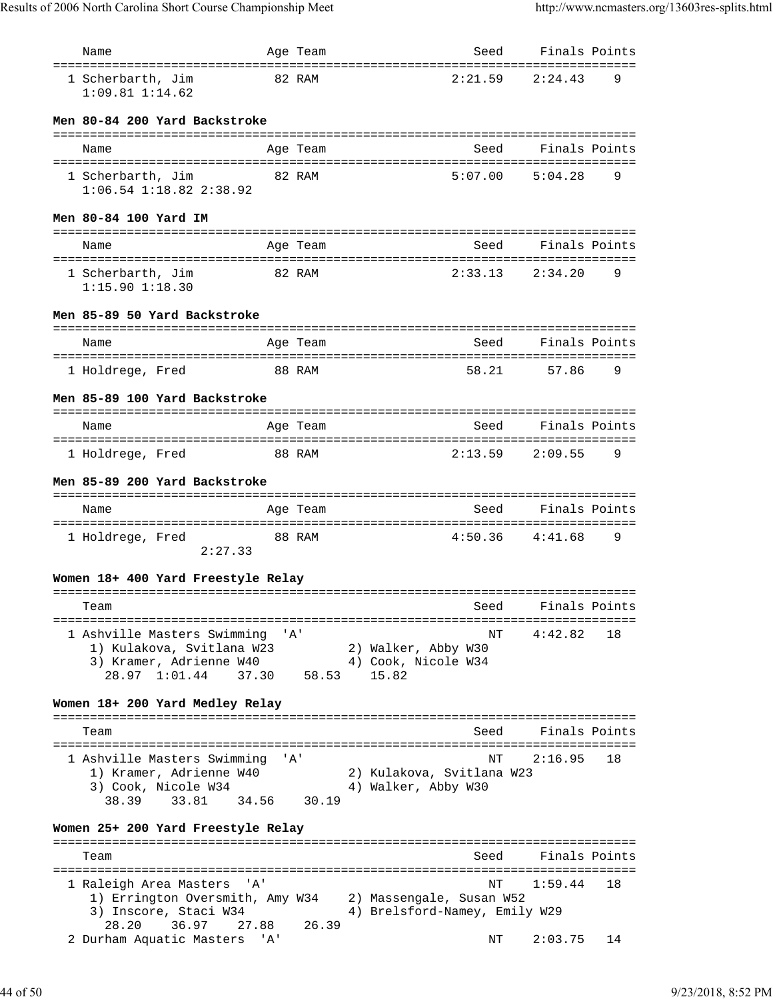| Name                                                     |       | Age Team | Seed                                                      | Finals Points |    |
|----------------------------------------------------------|-------|----------|-----------------------------------------------------------|---------------|----|
| 1 Scherbarth, Jim<br>$1:09.81$ $1:14.62$                 |       | 82 RAM   | 2:21.59                                                   | 2:24.43       | 9  |
| Men 80-84 200 Yard Backstroke                            |       |          |                                                           |               |    |
| Name                                                     |       | Age Team | Seed                                                      | Finals Points |    |
| 1 Scherbarth, Jim                                        |       | 82 RAM   | 5:07.00                                                   | 5:04.28       | 9  |
| $1:06.54$ $1:18.82$ $2:38.92$                            |       |          |                                                           |               |    |
| Men 80-84 100 Yard IM                                    |       |          |                                                           |               |    |
| Name                                                     |       | Age Team | Seed                                                      | Finals Points |    |
| 1 Scherbarth, Jim                                        |       | 82 RAM   | 2:33.13                                                   | 2:34.20       | 9  |
| $1:15.90$ $1:18.30$                                      |       |          |                                                           |               |    |
| Men 85-89 50 Yard Backstroke                             |       |          |                                                           |               |    |
| Name                                                     |       | Age Team | Seed                                                      | Finals Points |    |
| 1 Holdrege, Fred                                         |       | 88 RAM   | 58.21                                                     | 57.86         | 9  |
| Men 85-89 100 Yard Backstroke                            |       |          |                                                           |               |    |
| Name                                                     |       | Age Team | Seed                                                      | Finals Points |    |
| 1 Holdrege, Fred                                         |       | 88 RAM   | 2:13.59                                                   | 2:09.55       | 9  |
| Men 85-89 200 Yard Backstroke                            |       |          |                                                           |               |    |
|                                                          |       |          |                                                           |               |    |
| Name<br>======================================           |       | Age Team | Seed                                                      | Finals Points |    |
| 1 Holdrege, Fred<br>2:27.33                              |       | 88 RAM   | 4:50.36                                                   | 4:41.68       | 9  |
|                                                          |       |          |                                                           |               |    |
| Women 18+ 400 Yard Freestyle Relay                       |       |          |                                                           |               |    |
| Team                                                     |       |          | seed                                                      | Finals Points |    |
| 1 Ashville Masters Swimming 'A'                          |       |          | NΤ                                                        | 4:42.82       | 18 |
| 1) Kulakova, Svitlana W23<br>3) Kramer, Adrienne W40     |       |          | 2) Walker, Abby W30<br>4) Cook, Nicole W34                |               |    |
| 28.97 1:01.44                                            | 37.30 | 58.53    | 15.82                                                     |               |    |
| Women 18+ 200 Yard Medley Relay                          |       |          |                                                           |               |    |
| Team                                                     |       |          | Seed                                                      | Finals Points |    |
| 1 Ashville Masters Swimming                              |       | 'A'      | NΤ                                                        | 2:16.95       | 18 |
| 1) Kramer, Adrienne W40                                  |       |          | 2) Kulakova, Svitlana W23                                 |               |    |
| 3) Cook, Nicole W34<br>33.81                             |       | 30.19    | 4) Walker, Abby W30                                       |               |    |
| 38.39<br>34.56                                           |       |          |                                                           |               |    |
| Women 25+ 200 Yard Freestyle Relay                       |       |          |                                                           |               |    |
| Team                                                     |       |          | Seed                                                      | Finals Points |    |
| 1 Raleigh Area Masters 'A'                               |       |          | NΤ                                                        | 1:59.44       | 18 |
| 1) Errington Oversmith, Amy W34<br>3) Inscore, Staci W34 |       |          | 2) Massengale, Susan W52<br>4) Brelsford-Namey, Emily W29 |               |    |
| 36.97<br>27.88<br>28.20                                  |       | 26.39    |                                                           |               |    |
| 2 Durham Aquatic Masters                                 | 'A'   |          | NΤ                                                        | 2:03.75       | 14 |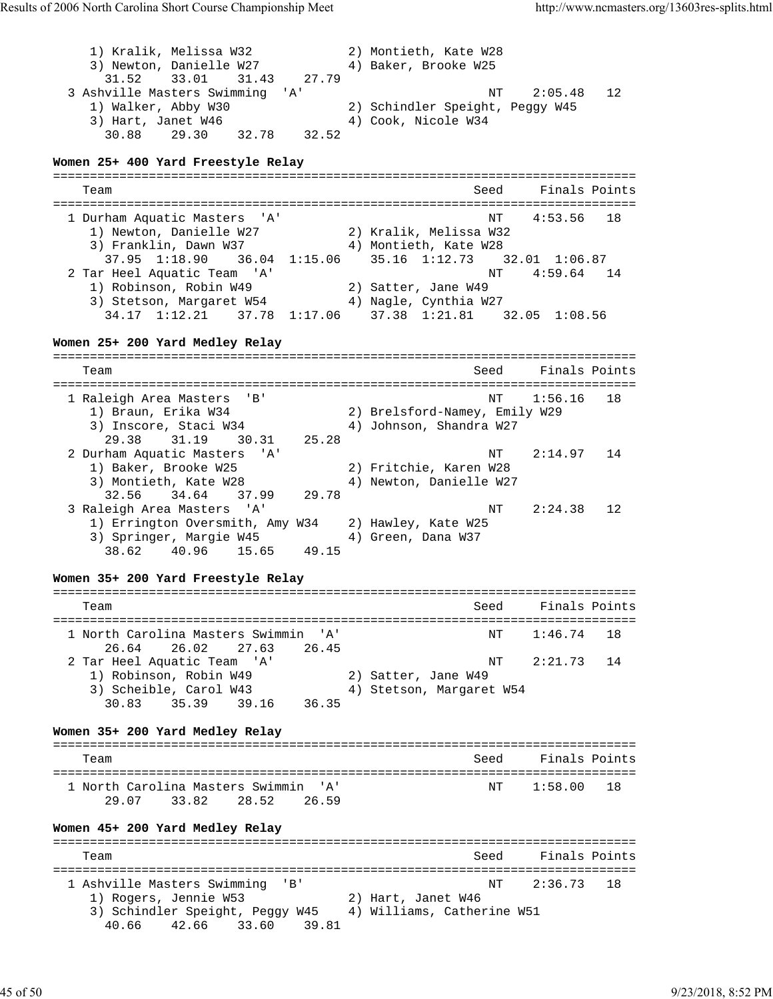1) Kralik, Melissa W32 2) Montieth, Kate W28 3) Newton, Danielle W27 4) Baker, Brooke W25 31.52 33.01 31.43 27.79 3 Ashville Masters Swimming 'A' NT 2:05.48 12 1) Walker, Abby W30 2) Schindler Speight, Peggy W45 3) Hart, Janet W46  $\hskip1cm 4)$  Cook, Nicole W34 30.88 29.30 32.78 32.52 **Women 25+ 400 Yard Freestyle Relay** =============================================================================== Seed Finals Points =============================================================================== 1 Durham Aquatic Masters 'A' 1) Newton, Danielle W27 2) Kralik, Melissa W32 3) Franklin, Dawn W37 4) Montieth, Kate W28 37.95 1:18.90 36.04 1:15.06 35.16 1:12.73 32.01 1:06.87 2 Tar Heel Aquatic Team 'A' 1) Robinson, Robin W49 2) Satter, Jane W49 3) Stetson, Margaret W54 4) Nagle, Cynthia W27 34.17 1:12.21 37.78 1:17.06 37.38 1:21.81 32.05 1:08.56 **Women 25+ 200 Yard Medley Relay** =============================================================================== Team Seed Finals Points =============================================================================== 1 Raleigh Area Masters 'B' NT 1:56.16 18 1) Braun, Erika W34 2) Brelsford-Namey, Emily W29 3) Inscore, Staci W34 4) Johnson, Shandra W27 29.38 31.19 30.31 25.28 2 Durham Aquatic Masters 'A' NT 2:14.97 14 1) Baker, Brooke W25 2) Fritchie, Karen W28 3) Montieth, Kate W28 4) Newton, Danielle W27 32.56 34.64 37.99 29.78 3 Raleigh Area Masters 'A' NT 2:24.38 12 1) Errington Oversmith, Amy W34 2) Hawley, Kate W25 3) Springer, Margie W45 4) Green, Dana W37 38.62 40.96 15.65 49.15 **Women 35+ 200 Yard Freestyle Relay** =============================================================================== Team Seed Finals Points =============================================================================== 1 North Carolina Masters Swimmin 'A' NT 1:46.74 18 26.64 26.02 27.63 26.45 2 Tar Heel Aquatic Team 'A' NT 2:21.73 14 1) Robinson, Robin W49 2) Satter, Jane W49 3) Scheible, Carol W43 4) Stetson, Margaret W54 30.83 35.39 39.16 36.35 **Women 35+ 200 Yard Medley Relay** =============================================================================== Team Seed Finals Points =============================================================================== 1 North Carolina Masters Swimmin 'A' NT 1:58.00 18 29.07 33.82 28.52 26.59 **Women 45+ 200 Yard Medley Relay** =============================================================================== Seed Finals Points =============================================================================== 1 Ashville Masters Swimming 'B'<br>1) Rogers, Jennie W53 1) Rogers, Jennie W53 2) Hart, Janet W46 3) Schindler Speight, Peggy W45 4) Williams, Catherine W51 40.66 42.66 33.60 39.81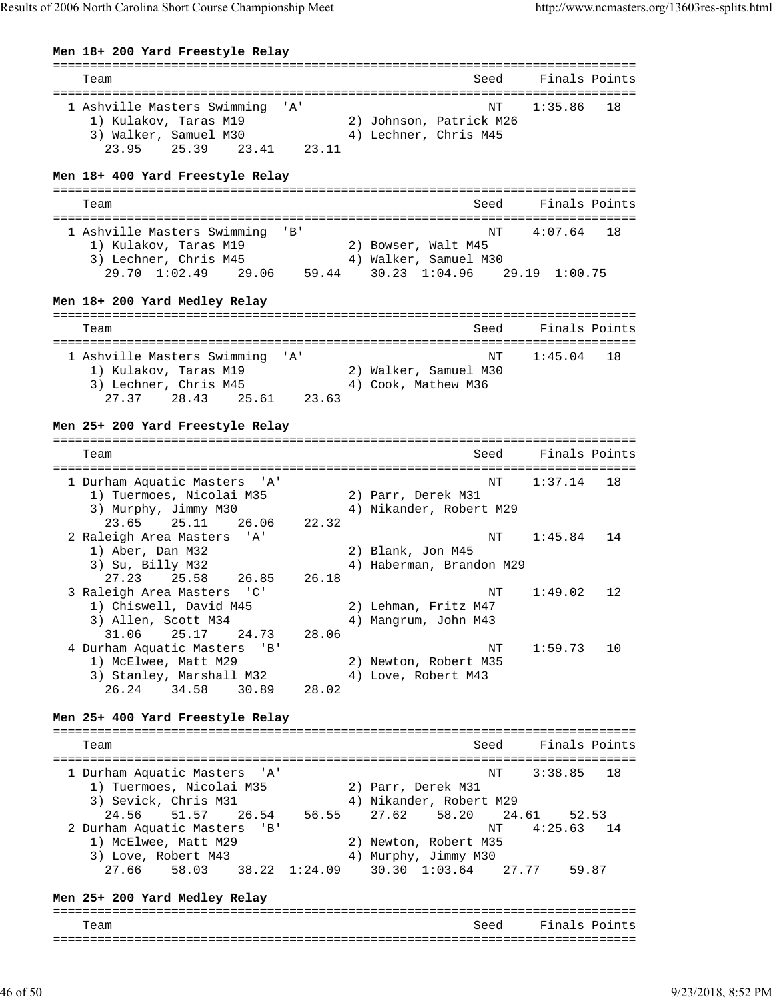**Men 18+ 200 Yard Freestyle Relay**

| Team                                                                                                                                                                                                                 |                        | Seed                                                                                                                                                  | Finals Points                                          |          |
|----------------------------------------------------------------------------------------------------------------------------------------------------------------------------------------------------------------------|------------------------|-------------------------------------------------------------------------------------------------------------------------------------------------------|--------------------------------------------------------|----------|
| 1 Ashville Masters Swimming 'A'<br>1) Kulakov, Taras M19<br>3) Walker, Samuel M30<br>25.39 23.41 23.11<br>23.95                                                                                                      |                        | ΝT<br>2) Johnson, Patrick M26<br>4) Lechner, Chris M45                                                                                                | 1:35.86                                                | 18       |
| Men 18+ 400 Yard Freestyle Relay                                                                                                                                                                                     |                        |                                                                                                                                                       |                                                        |          |
| Team                                                                                                                                                                                                                 |                        | Seed                                                                                                                                                  | Finals Points                                          |          |
| 1 Ashville Masters Swimming 'B'<br>1) Kulakov, Taras M19<br>3) Lechner, Chris M45<br>29.70 1:02.49 29.06 59.44 30.23 1:04.96 29.19 1:00.75<br>Men 18+ 200 Yard Medley Relay                                          |                        | NΤ<br>2) Bowser, Walt M45<br>4) Walker, Samuel M30                                                                                                    | 4:07.64                                                | 18       |
|                                                                                                                                                                                                                      |                        |                                                                                                                                                       |                                                        |          |
| Team                                                                                                                                                                                                                 |                        | Seed                                                                                                                                                  | Finals Points                                          |          |
| 1 Ashville Masters Swimming 'A'<br>1) Kulakov, Taras M19<br>3) Lechner, Chris M45<br>27.37 28.43<br>25.61                                                                                                            | 23.63                  | ΝT<br>2) Walker, Samuel M30<br>4) Cook, Mathew M36                                                                                                    | 1:45.04                                                | 18       |
| Men 25+ 200 Yard Freestyle Relay                                                                                                                                                                                     |                        |                                                                                                                                                       |                                                        |          |
| Team                                                                                                                                                                                                                 |                        | Seed                                                                                                                                                  | Finals Points                                          |          |
| 1 Durham Aquatic Masters 'A'<br>1) Tuermoes, Nicolai M35<br>3) Murphy, Jimmy M30<br>23.65<br>25.11<br>26.06                                                                                                          | 22.32                  | ΝT<br>2) Parr, Derek M31<br>4) Nikander, Robert M29                                                                                                   | 1:37.14                                                | 18       |
| 2 Raleigh Area Masters 'A'<br>1) Aber, Dan M32<br>3) Su, Billy M32<br>25.58<br>27.23<br>26.85<br>3 Raleigh Area Masters 'C'                                                                                          | 26.18                  | ΝT<br>2) Blank, Jon M45<br>4) Haberman, Brandon M29<br>ΝT                                                                                             | 1:45.84<br>1:49.02                                     | 14<br>12 |
| 1) Chiswell, David M45<br>3) Allen, Scott M34<br>31.06<br>25.17<br>24.73<br>4 Durham Aquatic Masters<br>$'$ B $'$                                                                                                    | 28.06                  | 2) Lehman, Fritz M47<br>4) Mangrum, John M43<br>NΤ                                                                                                    | 1:59.73                                                | 10       |
| 1) McElwee, Matt M29<br>3) Stanley, Marshall M32<br>26.24<br>34.58<br>30.89                                                                                                                                          | 28.02                  | 2) Newton, Robert M35<br>4) Love, Robert M43                                                                                                          |                                                        |          |
| Men 25+ 400 Yard Freestyle Relay                                                                                                                                                                                     |                        |                                                                                                                                                       |                                                        |          |
| Team                                                                                                                                                                                                                 |                        | Seed                                                                                                                                                  | Finals Points                                          |          |
| 1 Durham Aquatic Masters<br>" A '<br>1) Tuermoes, Nicolai M35<br>3) Sevick, Chris M31<br>24.56<br>51.57<br>26.54<br>2 Durham Aquatic Masters<br>'B'<br>1) McElwee, Matt M29<br>3) Love, Robert M43<br>27.66<br>58.03 | 56.55<br>38.22 1:24.09 | NΤ<br>2) Parr, Derek M31<br>4) Nikander, Robert M29<br>27.62<br>58.20<br>NΤ<br>2) Newton, Robert M35<br>4) Murphy, Jimmy M30<br>$30.30 \quad 1:03.64$ | 3:38.85<br>24.61<br>52.53<br>4:25.63<br>27.77<br>59.87 | 18<br>14 |
| Men 25+ 200 Yard Medley Relay                                                                                                                                                                                        |                        |                                                                                                                                                       |                                                        |          |
| Team                                                                                                                                                                                                                 |                        | Seed                                                                                                                                                  | Finals Points                                          |          |
|                                                                                                                                                                                                                      |                        |                                                                                                                                                       |                                                        |          |
|                                                                                                                                                                                                                      |                        |                                                                                                                                                       |                                                        |          |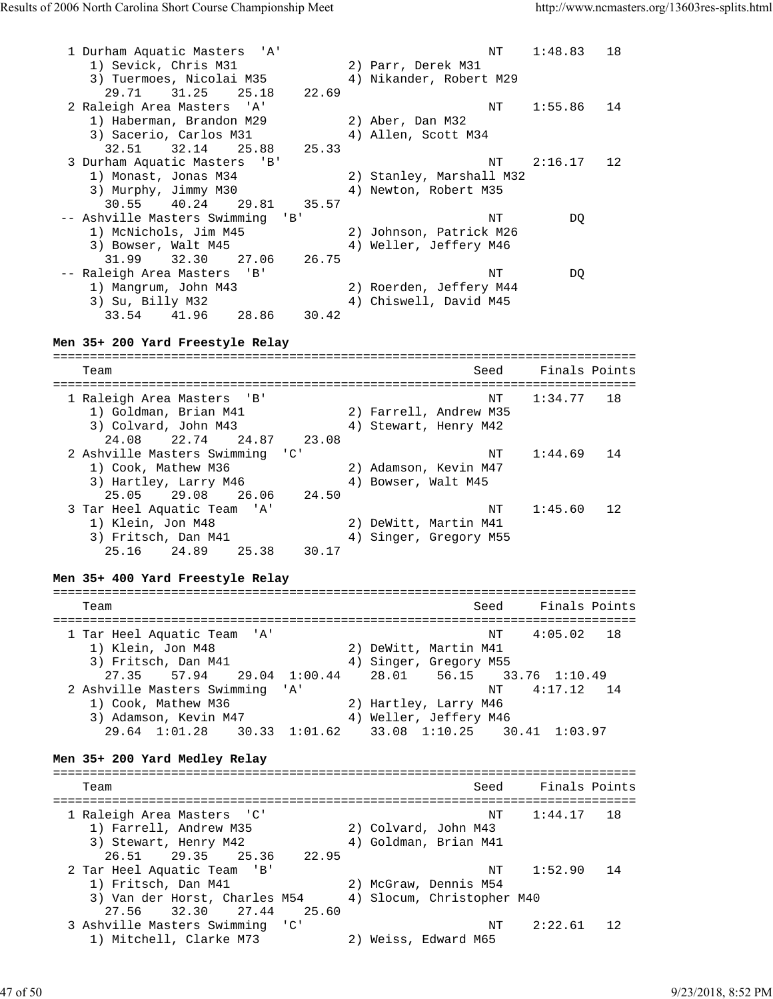1 Durham Aquatic Masters 'A' NT 1:48.83 18 1) Sevick, Chris M31 2) Parr, Derek M31 3) Tuermoes, Nicolai M35 4) Nikander, Robert M29 29.71 31.25 25.18 22.69 2 Raleigh Area Masters 'A' NT 1:55.86 14 1) Haberman, Brandon M29 2) Aber, Dan M32 3) Sacerio, Carlos M31 (4) Allen, Scott M34 32.51 32.14 25.88 25.33 3 Durham Aquatic Masters 'B' NT 2:16.17 12 1) Monast, Jonas M34 2) Stanley, Marshall M32 3) Murphy, Jimmy M30 4) Newton, Robert M35 30.55 40.24 29.81 35.57 -- Ashville Masters Swimming 'B' NT NT DQ 1) McNichols, Jim M45 2) Johnson, Patrick M26 3) Bowser, Walt M45 4) Weller, Jeffery M46 31.99 32.30 27.06 26.75 -- Raleigh Area Masters 'B' NT DQ 1) Mangrum, John M43 2) Roerden, Jeffery M44 3) Su, Billy M32 4) Chiswell, David M45 33.54 41.96 28.86 30.42 **Men 35+ 200 Yard Freestyle Relay** =============================================================================== Team Seed Finals Points =============================================================================== 1 Raleigh Area Masters 'B' NT 1:34.77 18 1) Goldman, Brian M41 2) Farrell, Andrew M35 3) Colvard, John M43 4) Stewart, Henry M42 24.08 22.74 24.87 23.08 2 Ashville Masters Swimming 'C' NT 1:44.69 14 1) Cook, Mathew M36 2) Adamson, Kevin M47 3) Hartley, Larry M46  $\hskip1cm 4$ ) Bowser, Walt M45 25.05 29.08 26.06 24.50 3 Tar Heel Aquatic Team 'A' NT 1:45.60 12 1) Klein, Jon M48 2) DeWitt, Martin M41 3) Fritsch, Dan M41 4) Singer, Gregory M55 25.16 24.89 25.38 30.17 **Men 35+ 400 Yard Freestyle Relay** =============================================================================== Team Seed Finals Points =============================================================================== 1 Tar Heel Aquatic Team 'A' NT 4:05.02 18 1) Klein, Jon M48 2) DeWitt, Martin M41 3) Fritsch, Dan M41 4) Singer, Gregory M55 27.35 57.94 29.04 1:00.44 28.01 56.15 33.76 1:10.49 2 Ashville Masters Swimming 'A' 1) Cook, Mathew M36 2) Hartley, Larry M46 3) Adamson, Kevin M47 4) Weller, Jeffery M46 29.64 1:01.28 30.33 1:01.62 33.08 1:10.25 30.41 1:03.97 **Men 35+ 200 Yard Medley Relay** =============================================================================== Team Seed Finals Points =============================================================================== 1 Raleigh Area Masters 'C' NT 1:44.17 18 1) Farrell, Andrew M35 2) Colvard, John M43 3) Stewart, Henry M42 4) Goldman, Brian M41 26.51 29.35 25.36 22.95 2 Tar Heel Aquatic Team 'B' NT 1:52.90 14 1) Fritsch, Dan M41 2) McGraw, Dennis M54 3) Fritsch, Dan M41 2) McGraw, Dennis M54<br>3) Van der Horst, Charles M54 4) Slocum, Christopher M40 27.56 32.30 27.44 25.60 3 Ashville Masters Swimming 'C' NT 2:22.61 12 1) Mitchell, Clarke M73 2) Weiss, Edward M65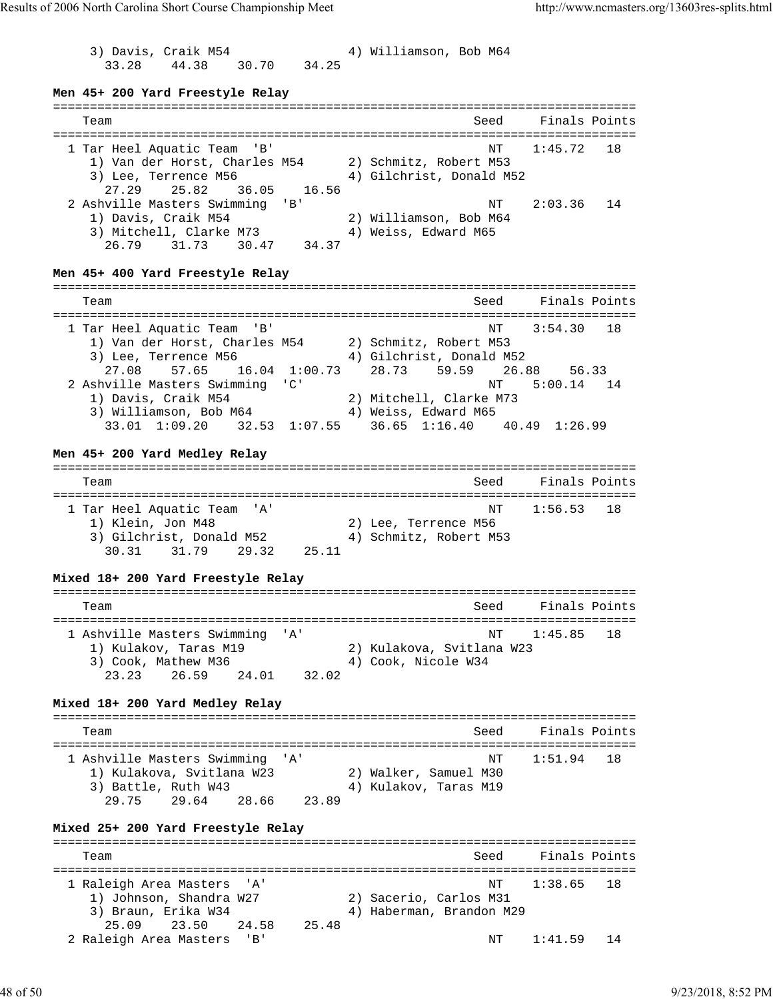3) Davis, Craik M54 4) Williamson, Bob M64 33.28 44.38 30.70 34.25 **Men 45+ 200 Yard Freestyle Relay** =============================================================================== Team Seed Finals Points =============================================================================== 1 Tar Heel Aquatic Team 'B' 1) Van der Horst, Charles M54 2) Schmitz, Robert M53 3) Lee, Terrence M56 4) Gilchrist, Donald M52 27.29 25.82 36.05 16.56 2 Ashville Masters Swimming 'B' (2:03.36 14 1) Davis, Craik M54 2) Williamson, Bob M64 3) Mitchell, Clarke M73 4) Weiss, Edward M65 26.79 31.73 30.47 34.37 **Men 45+ 400 Yard Freestyle Relay** =============================================================================== Team Seed Finals Points =============================================================================== 1 Tar Heel Aquatic Team 'B' NT 3:54.30 18 1) Van der Horst, Charles M54 2) Schmitz, Robert M53 3) Lee, Terrence M56 4) Gilchrist, Donald M52 27.08 57.65 16.04 1:00.73 28.73 59.59 26.88 56.33 2 Ashville Masters Swimming 'C' 1) Davis, Craik M54 2) Mitchell, Clarke M73 3) Williamson, Bob M64 4) Weiss, Edward M65 33.01 1:09.20 32.53 1:07.55 36.65 1:16.40 40.49 1:26.99 **Men 45+ 200 Yard Medley Relay** =============================================================================== Team Seed Finals Points =============================================================================== 1 Tar Heel Aquatic Team 'A' NT 1:56.53 18 1) Klein, Jon M48 2) Lee, Terrence M56 3) Gilchrist, Donald M52 4) Schmitz, Robert M53 30.31 31.79 29.32 25.11 **Mixed 18+ 200 Yard Freestyle Relay** =============================================================================== Team Seed Finals Points =============================================================================== 1 Ashville Masters Swimming 'A' 1) Kulakov, Taras M19 2) Kulakova, Svitlana W23 3) Cook, Mathew M36 4) Cook, Nicole W34 23.23 26.59 24.01 32.02 **Mixed 18+ 200 Yard Medley Relay** =============================================================================== Team Seed Finals Points =============================================================================== 1 Ashville Masters Swimming 'A' NT 1:51.94 18 1) Kulakova, Svitlana W23 2) Walker, Samuel M30 3) Battle, Ruth W43 4) Kulakov, Taras M19 29.75 29.64 28.66 23.89 **Mixed 25+ 200 Yard Freestyle Relay** =============================================================================== Team Seed Finals Points =============================================================================== 1 Raleigh Area Masters 'A' NT 1:38.65 18 1) Johnson, Shandra W27 2) Sacerio, Carlos M31 3) Braun, Erika W34 4) Haberman, Brandon M29 25.09 23.50 24.58 25.48 2 Raleigh Area Masters 'B' NT 1:41.59 14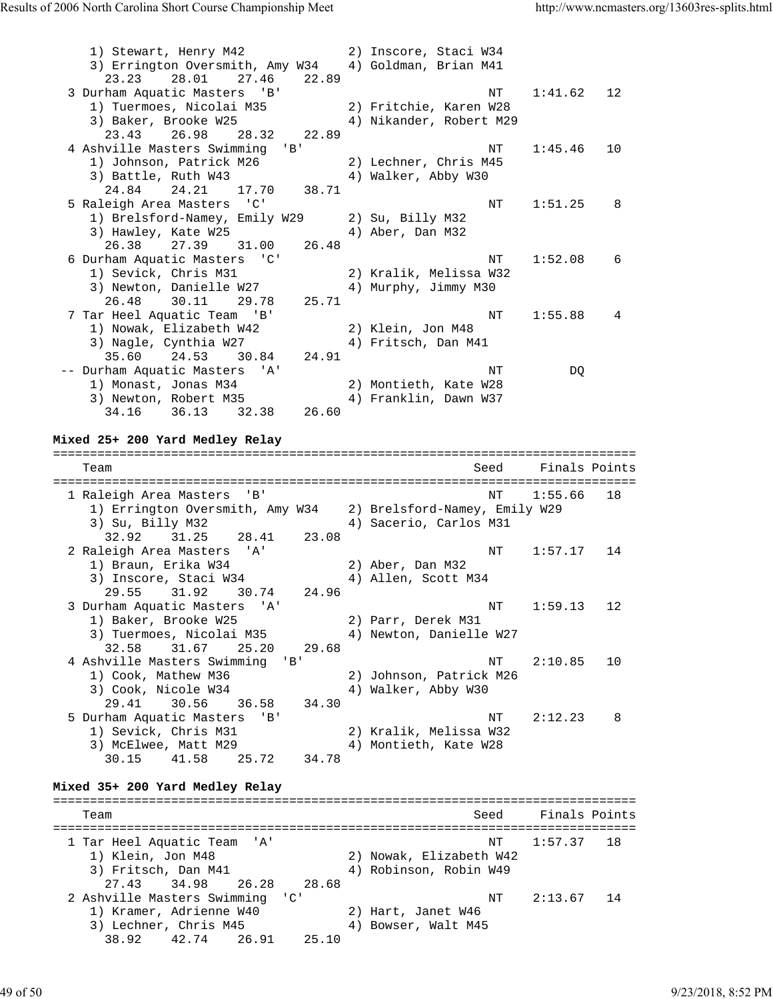| 1) Stewart, Henry M42<br>3) Errington Oversmith, Amy W34<br>27.46<br>23.23<br>28.01<br>22.89                                                             | 2) Inscore, Staci W34<br>4) Goldman, Brian M41    |      |               |    |
|----------------------------------------------------------------------------------------------------------------------------------------------------------|---------------------------------------------------|------|---------------|----|
| 3 Durham Aquatic Masters 'B'<br>1) Tuermoes, Nicolai M35<br>3) Baker, Brooke W25<br>23.43<br>26.98<br>28.32<br>22.89                                     | 2) Fritchie, Karen W28<br>4) Nikander, Robert M29 | ΝT   | 1:41.62       | 12 |
| 4 Ashville Masters Swimming 'B'<br>1) Johnson, Patrick M26<br>3) Battle, Ruth W43<br>24.21<br>17.70<br>38.71<br>24.84                                    | 2) Lechner, Chris M45<br>4) Walker, Abby W30      | NΤ   | 1:45.46       | 10 |
| 5 Raleigh Area Masters 'C'<br>1) Brelsford-Namey, Emily W29<br>3) Hawley, Kate W25<br>26.38<br>27.39<br>26.48<br>31.00                                   | 2) Su, Billy M32<br>4) Aber, Dan M32              | ΝT   | 1:51.25       | 8  |
| 6 Durham Aquatic Masters 'C'<br>1) Sevick, Chris M31<br>3) Newton, Danielle W27<br>29.78<br>26.48<br>30.11<br>25.71                                      | 2) Kralik, Melissa W32<br>4) Murphy, Jimmy M30    | NΤ   | 1:52.08       | 6  |
| 7 Tar Heel Aquatic Team 'B'<br>1) Nowak, Elizabeth W42<br>3) Nagle, Cynthia W27<br>24.53<br>24.91<br>35.60<br>30.84                                      | 2) Klein, Jon M48<br>4) Fritsch, Dan M41          | ΝT   | 1:55.88       | 4  |
| -- Durham Aquatic Masters 'A'<br>1) Monast, Jonas M34<br>3) Newton, Robert M35<br>34.16 36.13 32.38<br>26.60                                             | 2) Montieth, Kate W28<br>4) Franklin, Dawn W37    | NΤ   | DQ            |    |
|                                                                                                                                                          |                                                   |      |               |    |
| Mixed 25+ 200 Yard Medley Relay                                                                                                                          |                                                   |      |               |    |
| Team                                                                                                                                                     |                                                   | Seed | Finals Points |    |
| 1 Raleigh Area Masters<br>'B'<br>1) Errington Oversmith, Amy W34 2) Brelsford-Namey, Emily W29<br>3) Su, Billy M32                                       | 4) Sacerio, Carlos M31                            | ΝT   | 1:55.66       | 18 |
| 32.92<br>31.25<br>28.41<br>23.08<br>2 Raleigh Area Masters 'A'<br>1) Braun, Erika W34<br>3) Inscore, Staci W34                                           | 2) Aber, Dan M32<br>4) Allen, Scott M34           | NT   | 1:57.17       | 14 |
| 31.92<br>29.55<br>30.74<br>24.96<br>3 Durham Aquatic Masters 'A'<br>1) Baker, Brooke W25<br>3) Tuermoes, Nicolai M35<br>31.67<br>32.58<br>25.20<br>29.68 | 2) Parr, Derek M31<br>4) Newton, Danielle W27     | ΝT   | 1:59.13       | 12 |
| $'$ B $'$<br>4 Ashville Masters Swimming<br>1) Cook, Mathew M36<br>3) Cook, Nicole W34                                                                   | 2) Johnson, Patrick M26<br>4) Walker, Abby W30    | NΤ   | 2:10.85       | 10 |
| 29.41<br>30.56<br>36.58<br>34.30<br>5 Durham Aquatic Masters<br>'B'<br>1) Sevick, Chris M31<br>3) McElwee, Matt M29<br>30.15<br>41.58<br>25.72<br>34.78  | 2) Kralik, Melissa W32<br>4) Montieth, Kate W28   | NT   | 2:12.23       | 8  |
| Mixed 35+ 200 Yard Medley Relay                                                                                                                          |                                                   |      |               |    |
| Team                                                                                                                                                     |                                                   | Seed | Finals Points |    |